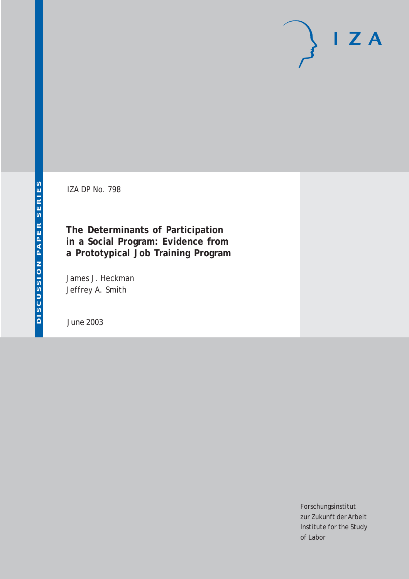# $I Z A$

IZA DP No. 798

**The Determinants of Participation in a Social Program: Evidence from a Prototypical Job Training Program**

James J. Heckman Jeffrey A. Smith

June 2003

Forschungsinstitut zur Zukunft der Arbeit Institute for the Study of Labor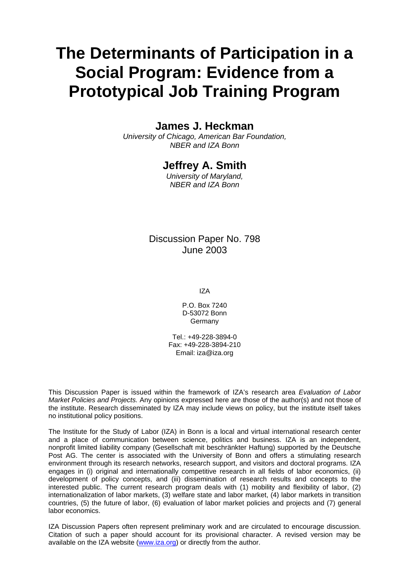# **The Determinants of Participation in a Social Program: Evidence from a Prototypical Job Training Program**

## **James J. Heckman**

*University of Chicago, American Bar Foundation, NBER and IZA Bonn* 

# **Jeffrey A. Smith**

*University of Maryland, NBER and IZA Bonn* 

### Discussion Paper No. 798 June 2003

IZA

P.O. Box 7240 D-53072 Bonn Germany

 $Tel + 49-228-3894-0$ Fax: +49-228-3894-210 Email: [iza@iza.org](mailto:iza@iza.org)

This Discussion Paper is issued within the framework of IZA's research area *Evaluation of Labor Market Policies and Projects.* Any opinions expressed here are those of the author(s) and not those of the institute. Research disseminated by IZA may include views on policy, but the institute itself takes no institutional policy positions.

The Institute for the Study of Labor (IZA) in Bonn is a local and virtual international research center and a place of communication between science, politics and business. IZA is an independent, nonprofit limited liability company (Gesellschaft mit beschränkter Haftung) supported by the Deutsche Post AG. The center is associated with the University of Bonn and offers a stimulating research environment through its research networks, research support, and visitors and doctoral programs. IZA engages in (i) original and internationally competitive research in all fields of labor economics, (ii) development of policy concepts, and (iii) dissemination of research results and concepts to the interested public. The current research program deals with (1) mobility and flexibility of labor, (2) internationalization of labor markets, (3) welfare state and labor market, (4) labor markets in transition countries, (5) the future of labor, (6) evaluation of labor market policies and projects and (7) general labor economics.

IZA Discussion Papers often represent preliminary work and are circulated to encourage discussion. Citation of such a paper should account for its provisional character. A revised version may be available on the IZA website ([www.iza.org](http://www.iza.org/)) or directly from the author.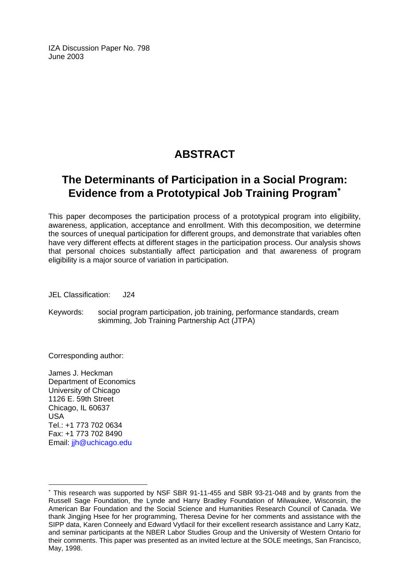IZA Discussion Paper No. 798 June 2003

# **ABSTRACT**

# **The Determinants of Participation in a Social Program: Evidence from a Prototypical Job Training Program**[∗](#page-2-0)

This paper decomposes the participation process of a prototypical program into eligibility, awareness, application, acceptance and enrollment. With this decomposition, we determine the sources of unequal participation for different groups, and demonstrate that variables often have very different effects at different stages in the participation process. Our analysis shows that personal choices substantially affect participation and that awareness of program eligibility is a major source of variation in participation.

JEL Classification: J24

Keywords: social program participation, job training, performance standards, cream skimming, Job Training Partnership Act (JTPA)

Corresponding author:

James J. Heckman Department of Economics University of Chicago 1126 E. 59th Street Chicago, IL 60637 USA Tel.: +1 773 702 0634 Fax: +1 773 702 8490 Email: [jjh@uchicago.edu](mailto:jjh@uchicago.edu) 

<span id="page-2-0"></span><sup>∗</sup> This research was supported by NSF SBR 91-11-455 and SBR 93-21-048 and by grants from the Russell Sage Foundation, the Lynde and Harry Bradley Foundation of Milwaukee, Wisconsin, the American Bar Foundation and the Social Science and Humanities Research Council of Canada. We thank Jingjing Hsee for her programming, Theresa Devine for her comments and assistance with the SIPP data, Karen Conneely and Edward Vytlacil for their excellent research assistance and Larry Katz, and seminar participants at the NBER Labor Studies Group and the University of Western Ontario for their comments. This paper was presented as an invited lecture at the SOLE meetings, San Francisco, May, 1998.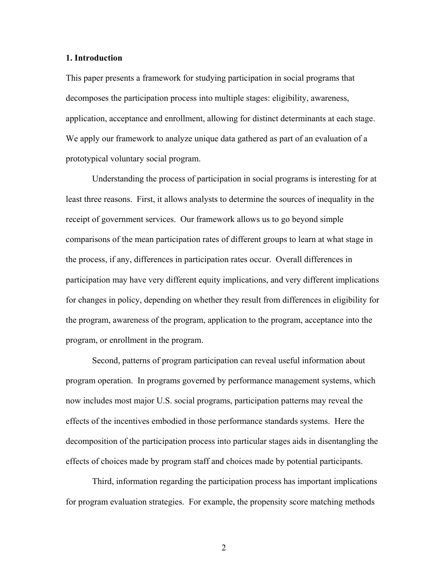#### **1. Introduction**

This paper presents a framework for studying participation in social programs that decomposes the participation process into multiple stages: eligibility, awareness, application, acceptance and enrollment, allowing for distinct determinants at each stage. We apply our framework to analyze unique data gathered as part of an evaluation of a prototypical voluntary social program.

 Understanding the process of participation in social programs is interesting for at least three reasons. First, it allows analysts to determine the sources of inequality in the receipt of government services. Our framework allows us to go beyond simple comparisons of the mean participation rates of different groups to learn at what stage in the process, if any, differences in participation rates occur. Overall differences in participation may have very different equity implications, and very different implications for changes in policy, depending on whether they result from differences in eligibility for the program, awareness of the program, application to the program, acceptance into the program, or enrollment in the program.

 Second, patterns of program participation can reveal useful information about program operation. In programs governed by performance management systems, which now includes most major U.S. social programs, participation patterns may reveal the effects of the incentives embodied in those performance standards systems. Here the decomposition of the participation process into particular stages aids in disentangling the effects of choices made by program staff and choices made by potential participants.

 Third, information regarding the participation process has important implications for program evaluation strategies. For example, the propensity score matching methods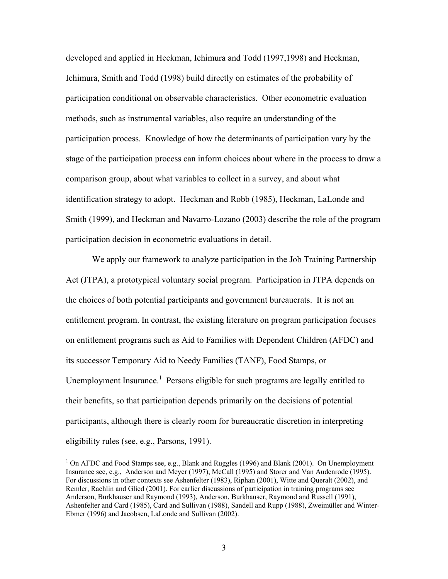developed and applied in Heckman, Ichimura and Todd (1997,1998) and Heckman, Ichimura, Smith and Todd (1998) build directly on estimates of the probability of participation conditional on observable characteristics. Other econometric evaluation methods, such as instrumental variables, also require an understanding of the participation process. Knowledge of how the determinants of participation vary by the stage of the participation process can inform choices about where in the process to draw a comparison group, about what variables to collect in a survey, and about what identification strategy to adopt. Heckman and Robb (1985), Heckman, LaLonde and Smith (1999), and Heckman and Navarro-Lozano (2003) describe the role of the program participation decision in econometric evaluations in detail.

We apply our framework to analyze participation in the Job Training Partnership Act (JTPA), a prototypical voluntary social program. Participation in JTPA depends on the choices of both potential participants and government bureaucrats. It is not an entitlement program. In contrast, the existing literature on program participation focuses on entitlement programs such as Aid to Families with Dependent Children (AFDC) and its successor Temporary Aid to Needy Families (TANF), Food Stamps, or Unemployment Insurance.<sup>1</sup> Persons eligible for such programs are legally entitled to their benefits, so that participation depends primarily on the decisions of potential participants, although there is clearly room for bureaucratic discretion in interpreting eligibility rules (see, e.g., Parsons, 1991).

 $\overline{a}$ 

<sup>&</sup>lt;sup>1</sup> On AFDC and Food Stamps see, e.g., Blank and Ruggles (1996) and Blank (2001). On Unemployment Insurance see, e.g., Anderson and Meyer (1997), McCall (1995) and Storer and Van Audenrode (1995). For discussions in other contexts see Ashenfelter (1983), Riphan (2001), Witte and Queralt (2002), and Remler, Rachlin and Glied (2001). For earlier discussions of participation in training programs see Anderson, Burkhauser and Raymond (1993), Anderson, Burkhauser, Raymond and Russell (1991), Ashenfelter and Card (1985), Card and Sullivan (1988), Sandell and Rupp (1988), Zweimüller and Winter-Ebmer (1996) and Jacobsen, LaLonde and Sullivan (2002).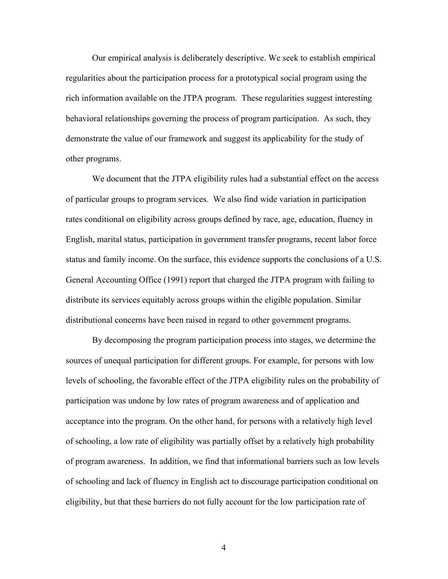Our empirical analysis is deliberately descriptive. We seek to establish empirical regularities about the participation process for a prototypical social program using the rich information available on the JTPA program. These regularities suggest interesting behavioral relationships governing the process of program participation. As such, they demonstrate the value of our framework and suggest its applicability for the study of other programs.

We document that the JTPA eligibility rules had a substantial effect on the access of particular groups to program services. We also find wide variation in participation rates conditional on eligibility across groups defined by race, age, education, fluency in English, marital status, participation in government transfer programs, recent labor force status and family income. On the surface, this evidence supports the conclusions of a U.S. General Accounting Office (1991) report that charged the JTPA program with failing to distribute its services equitably across groups within the eligible population. Similar distributional concerns have been raised in regard to other government programs.

By decomposing the program participation process into stages, we determine the sources of unequal participation for different groups. For example, for persons with low levels of schooling, the favorable effect of the JTPA eligibility rules on the probability of participation was undone by low rates of program awareness and of application and acceptance into the program. On the other hand, for persons with a relatively high level of schooling, a low rate of eligibility was partially offset by a relatively high probability of program awareness. In addition, we find that informational barriers such as low levels of schooling and lack of fluency in English act to discourage participation conditional on eligibility, but that these barriers do not fully account for the low participation rate of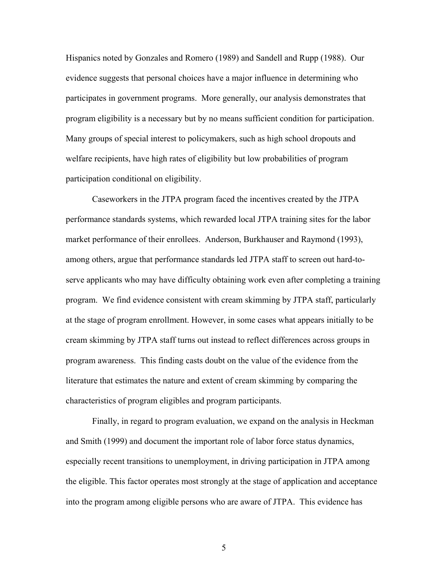Hispanics noted by Gonzales and Romero (1989) and Sandell and Rupp (1988). Our evidence suggests that personal choices have a major influence in determining who participates in government programs. More generally, our analysis demonstrates that program eligibility is a necessary but by no means sufficient condition for participation. Many groups of special interest to policymakers, such as high school dropouts and welfare recipients, have high rates of eligibility but low probabilities of program participation conditional on eligibility.

Caseworkers in the JTPA program faced the incentives created by the JTPA performance standards systems, which rewarded local JTPA training sites for the labor market performance of their enrollees. Anderson, Burkhauser and Raymond (1993), among others, argue that performance standards led JTPA staff to screen out hard-toserve applicants who may have difficulty obtaining work even after completing a training program. We find evidence consistent with cream skimming by JTPA staff, particularly at the stage of program enrollment. However, in some cases what appears initially to be cream skimming by JTPA staff turns out instead to reflect differences across groups in program awareness. This finding casts doubt on the value of the evidence from the literature that estimates the nature and extent of cream skimming by comparing the characteristics of program eligibles and program participants.

Finally, in regard to program evaluation, we expand on the analysis in Heckman and Smith (1999) and document the important role of labor force status dynamics, especially recent transitions to unemployment, in driving participation in JTPA among the eligible. This factor operates most strongly at the stage of application and acceptance into the program among eligible persons who are aware of JTPA. This evidence has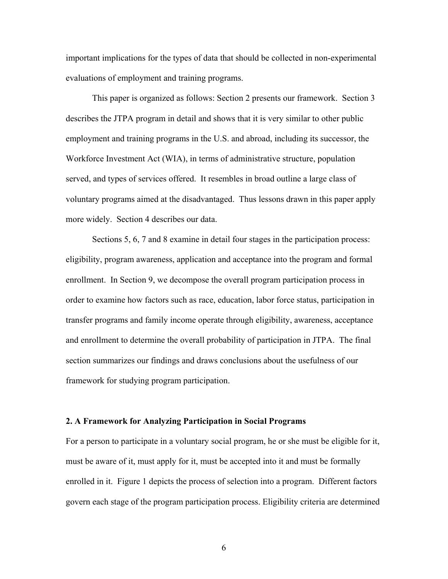important implications for the types of data that should be collected in non-experimental evaluations of employment and training programs.

This paper is organized as follows: Section 2 presents our framework. Section 3 describes the JTPA program in detail and shows that it is very similar to other public employment and training programs in the U.S. and abroad, including its successor, the Workforce Investment Act (WIA), in terms of administrative structure, population served, and types of services offered. It resembles in broad outline a large class of voluntary programs aimed at the disadvantaged. Thus lessons drawn in this paper apply more widely. Section 4 describes our data.

Sections 5, 6, 7 and 8 examine in detail four stages in the participation process: eligibility, program awareness, application and acceptance into the program and formal enrollment. In Section 9, we decompose the overall program participation process in order to examine how factors such as race, education, labor force status, participation in transfer programs and family income operate through eligibility, awareness, acceptance and enrollment to determine the overall probability of participation in JTPA. The final section summarizes our findings and draws conclusions about the usefulness of our framework for studying program participation.

#### **2. A Framework for Analyzing Participation in Social Programs**

For a person to participate in a voluntary social program, he or she must be eligible for it, must be aware of it, must apply for it, must be accepted into it and must be formally enrolled in it. Figure 1 depicts the process of selection into a program. Different factors govern each stage of the program participation process. Eligibility criteria are determined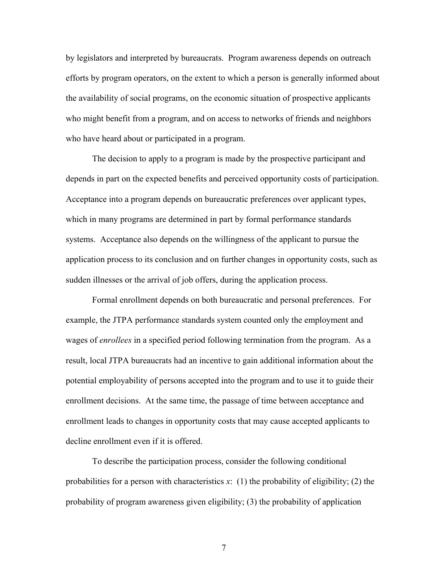by legislators and interpreted by bureaucrats. Program awareness depends on outreach efforts by program operators, on the extent to which a person is generally informed about the availability of social programs, on the economic situation of prospective applicants who might benefit from a program, and on access to networks of friends and neighbors who have heard about or participated in a program.

The decision to apply to a program is made by the prospective participant and depends in part on the expected benefits and perceived opportunity costs of participation. Acceptance into a program depends on bureaucratic preferences over applicant types, which in many programs are determined in part by formal performance standards systems. Acceptance also depends on the willingness of the applicant to pursue the application process to its conclusion and on further changes in opportunity costs, such as sudden illnesses or the arrival of job offers, during the application process.

Formal enrollment depends on both bureaucratic and personal preferences. For example, the JTPA performance standards system counted only the employment and wages of *enrollees* in a specified period following termination from the program. As a result, local JTPA bureaucrats had an incentive to gain additional information about the potential employability of persons accepted into the program and to use it to guide their enrollment decisions. At the same time, the passage of time between acceptance and enrollment leads to changes in opportunity costs that may cause accepted applicants to decline enrollment even if it is offered.

To describe the participation process, consider the following conditional probabilities for a person with characteristics  $x$ : (1) the probability of eligibility; (2) the probability of program awareness given eligibility; (3) the probability of application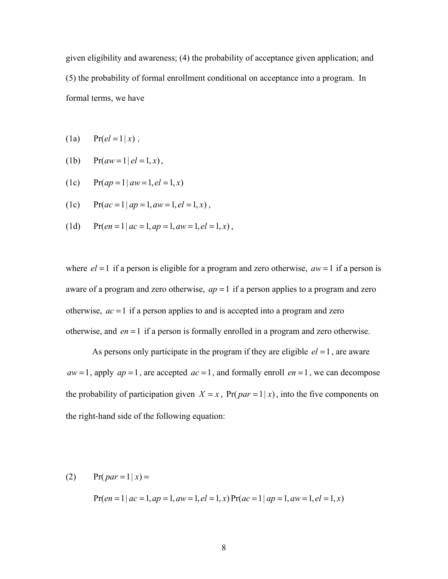given eligibility and awareness; (4) the probability of acceptance given application; and (5) the probability of formal enrollment conditional on acceptance into a program. In formal terms, we have

 $P(r(e) = 1 | x)$ ,

- (1b)  $Pr(a w = 1 | el = 1, x)$ ,
- $(1c)$   $Pr(ap = 1 | aw = 1, el = 1, x)$
- $(1c)$   $Pr(ac = 1 | ap = 1, aw = 1, el = 1, x)$ ,
- (1d)  $Pr(en = 1 | ac = 1, ap = 1, aw = 1, el = 1, x)$ ,

where  $el = 1$  if a person is eligible for a program and zero otherwise,  $aw = 1$  if a person is aware of a program and zero otherwise,  $ap = 1$  if a person applies to a program and zero otherwise,  $ac = 1$  if a person applies to and is accepted into a program and zero otherwise, and *en* =1 if a person is formally enrolled in a program and zero otherwise.

As persons only participate in the program if they are eligible *el* =1, are aware  $aw = 1$ , apply  $ap = 1$ , are accepted  $ac = 1$ , and formally enroll  $en = 1$ , we can decompose the probability of participation given  $X = x$ ,  $Pr(\text{par} = 1 | x)$ , into the five components on the right-hand side of the following equation:

$$
Pr(par = 1 | x) =
$$

 $Pr(en = 1 | ac = 1, ap = 1, aw = 1, el = 1, x) Pr(ac = 1 | ap = 1, aw = 1, el = 1, x)$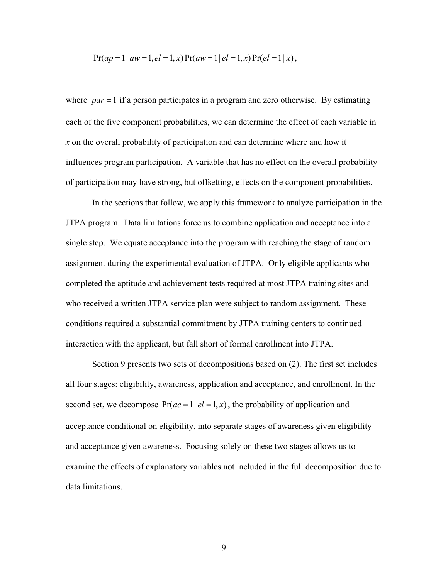$$
Pr(ap = 1 | aw = 1, el = 1, x) Pr(aw = 1 | el = 1, x) Pr(el = 1 | x),
$$

where  $par = 1$  if a person participates in a program and zero otherwise. By estimating each of the five component probabilities, we can determine the effect of each variable in *x* on the overall probability of participation and can determine where and how it influences program participation. A variable that has no effect on the overall probability of participation may have strong, but offsetting, effects on the component probabilities.

In the sections that follow, we apply this framework to analyze participation in the JTPA program. Data limitations force us to combine application and acceptance into a single step. We equate acceptance into the program with reaching the stage of random assignment during the experimental evaluation of JTPA. Only eligible applicants who completed the aptitude and achievement tests required at most JTPA training sites and who received a written JTPA service plan were subject to random assignment. These conditions required a substantial commitment by JTPA training centers to continued interaction with the applicant, but fall short of formal enrollment into JTPA.

Section 9 presents two sets of decompositions based on (2). The first set includes all four stages: eligibility, awareness, application and acceptance, and enrollment. In the second set, we decompose  $Pr(ac = 1 | el = 1, x)$ , the probability of application and acceptance conditional on eligibility, into separate stages of awareness given eligibility and acceptance given awareness. Focusing solely on these two stages allows us to examine the effects of explanatory variables not included in the full decomposition due to data limitations.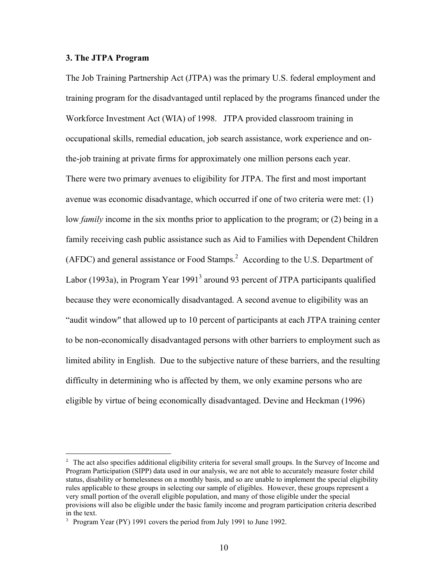#### **3. The JTPA Program**

<u>.</u>

The Job Training Partnership Act (JTPA) was the primary U.S. federal employment and training program for the disadvantaged until replaced by the programs financed under the Workforce Investment Act (WIA) of 1998. JTPA provided classroom training in occupational skills, remedial education, job search assistance, work experience and onthe-job training at private firms for approximately one million persons each year. There were two primary avenues to eligibility for JTPA. The first and most important avenue was economic disadvantage, which occurred if one of two criteria were met: (1) low *family* income in the six months prior to application to the program; or (2) being in a family receiving cash public assistance such as Aid to Families with Dependent Children (AFDC) and general assistance or Food Stamps.<sup>2</sup> According to the U.S. Department of Labor (1993a), in Program Year 1991<sup>3</sup> around 93 percent of JTPA participants qualified because they were economically disadvantaged. A second avenue to eligibility was an "audit window" that allowed up to 10 percent of participants at each JTPA training center to be non-economically disadvantaged persons with other barriers to employment such as limited ability in English. Due to the subjective nature of these barriers, and the resulting difficulty in determining who is affected by them, we only examine persons who are eligible by virtue of being economically disadvantaged. Devine and Heckman (1996)

<sup>&</sup>lt;sup>2</sup> The act also specifies additional eligibility criteria for several small groups. In the Survey of Income and Program Participation (SIPP) data used in our analysis, we are not able to accurately measure foster child status, disability or homelessness on a monthly basis, and so are unable to implement the special eligibility rules applicable to these groups in selecting our sample of eligibles. However, these groups represent a very small portion of the overall eligible population, and many of those eligible under the special provisions will also be eligible under the basic family income and program participation criteria described in the text.

<sup>&</sup>lt;sup>3</sup> Program Year (PY) 1991 covers the period from July 1991 to June 1992.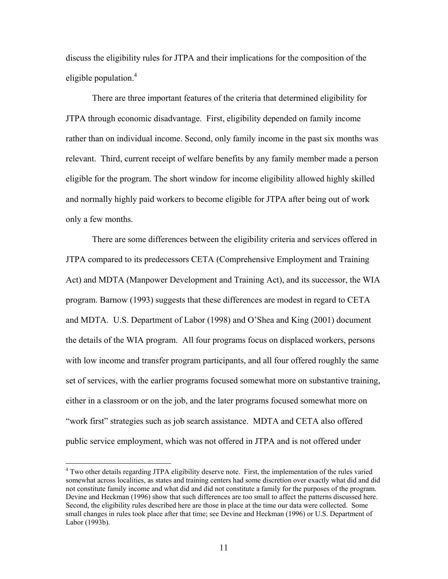discuss the eligibility rules for JTPA and their implications for the composition of the eligible population.<sup>4</sup>

There are three important features of the criteria that determined eligibility for JTPA through economic disadvantage. First, eligibility depended on family income rather than on individual income. Second, only family income in the past six months was relevant. Third, current receipt of welfare benefits by any family member made a person eligible for the program. The short window for income eligibility allowed highly skilled and normally highly paid workers to become eligible for JTPA after being out of work only a few months.

There are some differences between the eligibility criteria and services offered in JTPA compared to its predecessors CETA (Comprehensive Employment and Training Act) and MDTA (Manpower Development and Training Act), and its successor, the WIA program. Barnow (1993) suggests that these differences are modest in regard to CETA and MDTA. U.S. Department of Labor (1998) and O'Shea and King (2001) document the details of the WIA program. All four programs focus on displaced workers, persons with low income and transfer program participants, and all four offered roughly the same set of services, with the earlier programs focused somewhat more on substantive training, either in a classroom or on the job, and the later programs focused somewhat more on "work first" strategies such as job search assistance. MDTA and CETA also offered public service employment, which was not offered in JTPA and is not offered under

 $\overline{a}$ 

<sup>&</sup>lt;sup>4</sup> Two other details regarding JTPA eligibility deserve note. First, the implementation of the rules varied somewhat across localities, as states and training centers had some discretion over exactly what did and did not constitute family income and what did and did not constitute a family for the purposes of the program. Devine and Heckman (1996) show that such differences are too small to affect the patterns discussed here. Second, the eligibility rules described here are those in place at the time our data were collected. Some small changes in rules took place after that time; see Devine and Heckman (1996) or U.S. Department of Labor (1993b).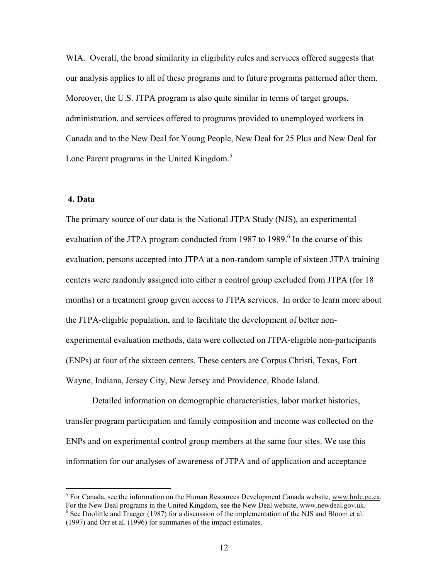WIA. Overall, the broad similarity in eligibility rules and services offered suggests that our analysis applies to all of these programs and to future programs patterned after them. Moreover, the U.S. JTPA program is also quite similar in terms of target groups, administration, and services offered to programs provided to unemployed workers in Canada and to the New Deal for Young People, New Deal for 25 Plus and New Deal for Lone Parent programs in the United Kingdom.<sup>5</sup>

#### **4. Data**

<u>.</u>

The primary source of our data is the National JTPA Study (NJS), an experimental evaluation of the JTPA program conducted from 1987 to 1989. $<sup>6</sup>$  In the course of this</sup> evaluation, persons accepted into JTPA at a non-random sample of sixteen JTPA training centers were randomly assigned into either a control group excluded from JTPA (for 18 months) or a treatment group given access to JTPA services. In order to learn more about the JTPA-eligible population, and to facilitate the development of better nonexperimental evaluation methods, data were collected on JTPA-eligible non-participants (ENPs) at four of the sixteen centers. These centers are Corpus Christi, Texas, Fort Wayne, Indiana, Jersey City, New Jersey and Providence, Rhode Island.

Detailed information on demographic characteristics, labor market histories, transfer program participation and family composition and income was collected on the ENPs and on experimental control group members at the same four sites. We use this information for our analyses of awareness of JTPA and of application and acceptance

<sup>&</sup>lt;sup>5</sup> For Canada, see the information on the Human Resources Development Canada website, www.hrdc.gc.ca. For the New Deal programs in the United Kingdom, see the New Deal website, www.newdeal.gov.uk. 6  $6$  See Doolittle and Traeger (1987) for a discussion of the implementation of the NJS and Bloom et al. (1997) and Orr et al. (1996) for summaries of the impact estimates.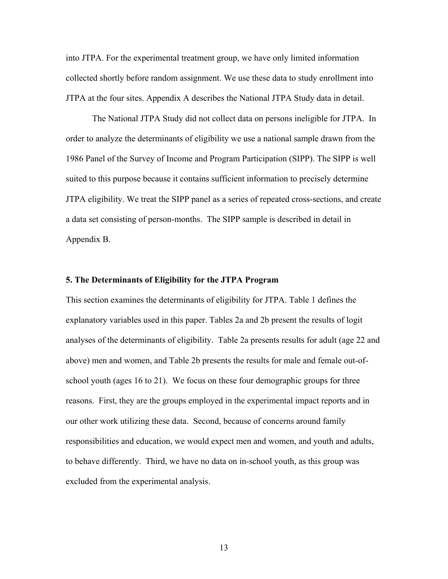into JTPA. For the experimental treatment group, we have only limited information collected shortly before random assignment. We use these data to study enrollment into JTPA at the four sites. Appendix A describes the National JTPA Study data in detail.

The National JTPA Study did not collect data on persons ineligible for JTPA. In order to analyze the determinants of eligibility we use a national sample drawn from the 1986 Panel of the Survey of Income and Program Participation (SIPP). The SIPP is well suited to this purpose because it contains sufficient information to precisely determine JTPA eligibility. We treat the SIPP panel as a series of repeated cross-sections, and create a data set consisting of person-months. The SIPP sample is described in detail in Appendix B.

#### **5. The Determinants of Eligibility for the JTPA Program**

This section examines the determinants of eligibility for JTPA. Table 1 defines the explanatory variables used in this paper. Tables 2a and 2b present the results of logit analyses of the determinants of eligibility. Table 2a presents results for adult (age 22 and above) men and women, and Table 2b presents the results for male and female out-ofschool youth (ages 16 to 21). We focus on these four demographic groups for three reasons. First, they are the groups employed in the experimental impact reports and in our other work utilizing these data. Second, because of concerns around family responsibilities and education, we would expect men and women, and youth and adults, to behave differently. Third, we have no data on in-school youth, as this group was excluded from the experimental analysis.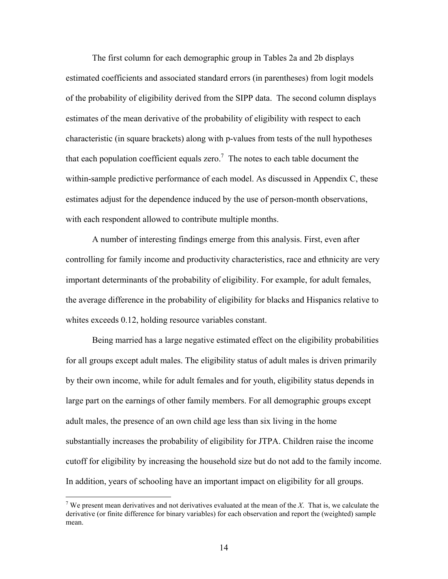The first column for each demographic group in Tables 2a and 2b displays estimated coefficients and associated standard errors (in parentheses) from logit models of the probability of eligibility derived from the SIPP data. The second column displays estimates of the mean derivative of the probability of eligibility with respect to each characteristic (in square brackets) along with p-values from tests of the null hypotheses that each population coefficient equals zero.<sup>7</sup> The notes to each table document the within-sample predictive performance of each model. As discussed in Appendix C, these estimates adjust for the dependence induced by the use of person-month observations, with each respondent allowed to contribute multiple months.

A number of interesting findings emerge from this analysis. First, even after controlling for family income and productivity characteristics, race and ethnicity are very important determinants of the probability of eligibility. For example, for adult females, the average difference in the probability of eligibility for blacks and Hispanics relative to whites exceeds 0.12, holding resource variables constant.

Being married has a large negative estimated effect on the eligibility probabilities for all groups except adult males. The eligibility status of adult males is driven primarily by their own income, while for adult females and for youth, eligibility status depends in large part on the earnings of other family members. For all demographic groups except adult males, the presence of an own child age less than six living in the home substantially increases the probability of eligibility for JTPA. Children raise the income cutoff for eligibility by increasing the household size but do not add to the family income. In addition, years of schooling have an important impact on eligibility for all groups.

 $\overline{a}$ 

<sup>&</sup>lt;sup>7</sup> We present mean derivatives and not derivatives evaluated at the mean of the *X*. That is, we calculate the derivative (or finite difference for binary variables) for each observation and report the (weighted) sample mean.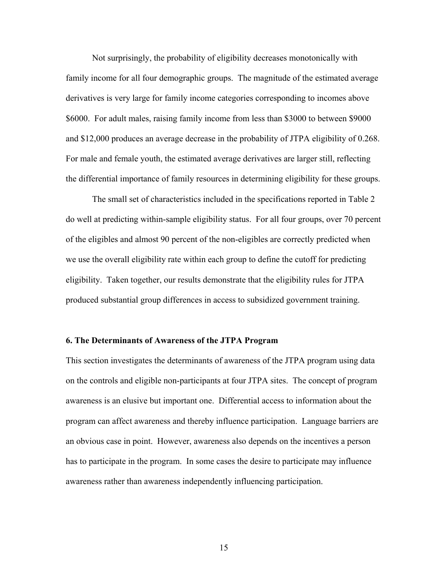Not surprisingly, the probability of eligibility decreases monotonically with family income for all four demographic groups. The magnitude of the estimated average derivatives is very large for family income categories corresponding to incomes above \$6000. For adult males, raising family income from less than \$3000 to between \$9000 and \$12,000 produces an average decrease in the probability of JTPA eligibility of 0.268. For male and female youth, the estimated average derivatives are larger still, reflecting the differential importance of family resources in determining eligibility for these groups.

The small set of characteristics included in the specifications reported in Table 2 do well at predicting within-sample eligibility status. For all four groups, over 70 percent of the eligibles and almost 90 percent of the non-eligibles are correctly predicted when we use the overall eligibility rate within each group to define the cutoff for predicting eligibility. Taken together, our results demonstrate that the eligibility rules for JTPA produced substantial group differences in access to subsidized government training.

#### **6. The Determinants of Awareness of the JTPA Program**

This section investigates the determinants of awareness of the JTPA program using data on the controls and eligible non-participants at four JTPA sites. The concept of program awareness is an elusive but important one. Differential access to information about the program can affect awareness and thereby influence participation. Language barriers are an obvious case in point. However, awareness also depends on the incentives a person has to participate in the program. In some cases the desire to participate may influence awareness rather than awareness independently influencing participation.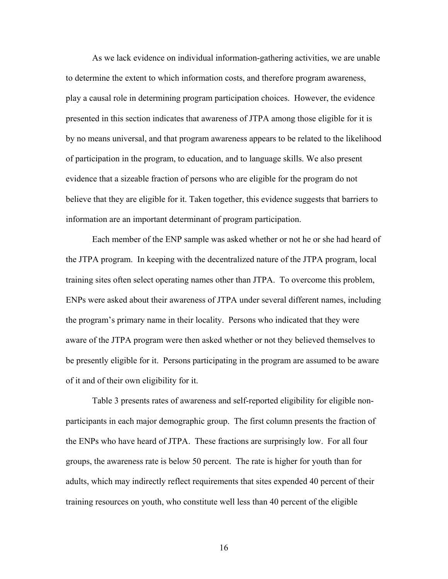As we lack evidence on individual information-gathering activities, we are unable to determine the extent to which information costs, and therefore program awareness, play a causal role in determining program participation choices. However, the evidence presented in this section indicates that awareness of JTPA among those eligible for it is by no means universal, and that program awareness appears to be related to the likelihood of participation in the program, to education, and to language skills. We also present evidence that a sizeable fraction of persons who are eligible for the program do not believe that they are eligible for it. Taken together, this evidence suggests that barriers to information are an important determinant of program participation.

Each member of the ENP sample was asked whether or not he or she had heard of the JTPA program. In keeping with the decentralized nature of the JTPA program, local training sites often select operating names other than JTPA. To overcome this problem, ENPs were asked about their awareness of JTPA under several different names, including the programís primary name in their locality. Persons who indicated that they were aware of the JTPA program were then asked whether or not they believed themselves to be presently eligible for it. Persons participating in the program are assumed to be aware of it and of their own eligibility for it.

Table 3 presents rates of awareness and self-reported eligibility for eligible nonparticipants in each major demographic group. The first column presents the fraction of the ENPs who have heard of JTPA. These fractions are surprisingly low. For all four groups, the awareness rate is below 50 percent. The rate is higher for youth than for adults, which may indirectly reflect requirements that sites expended 40 percent of their training resources on youth, who constitute well less than 40 percent of the eligible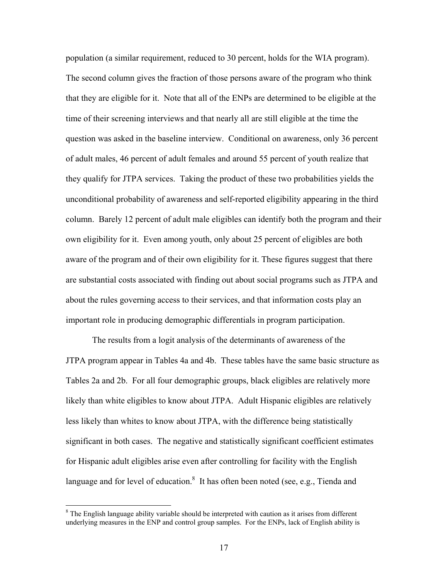population (a similar requirement, reduced to 30 percent, holds for the WIA program). The second column gives the fraction of those persons aware of the program who think that they are eligible for it. Note that all of the ENPs are determined to be eligible at the time of their screening interviews and that nearly all are still eligible at the time the question was asked in the baseline interview. Conditional on awareness, only 36 percent of adult males, 46 percent of adult females and around 55 percent of youth realize that they qualify for JTPA services. Taking the product of these two probabilities yields the unconditional probability of awareness and self-reported eligibility appearing in the third column. Barely 12 percent of adult male eligibles can identify both the program and their own eligibility for it. Even among youth, only about 25 percent of eligibles are both aware of the program and of their own eligibility for it. These figures suggest that there are substantial costs associated with finding out about social programs such as JTPA and about the rules governing access to their services, and that information costs play an important role in producing demographic differentials in program participation.

The results from a logit analysis of the determinants of awareness of the JTPA program appear in Tables 4a and 4b. These tables have the same basic structure as Tables 2a and 2b. For all four demographic groups, black eligibles are relatively more likely than white eligibles to know about JTPA. Adult Hispanic eligibles are relatively less likely than whites to know about JTPA, with the difference being statistically significant in both cases. The negative and statistically significant coefficient estimates for Hispanic adult eligibles arise even after controlling for facility with the English language and for level of education. $8$  It has often been noted (see, e.g., Tienda and

 $\overline{a}$ 

 $8$  The English language ability variable should be interpreted with caution as it arises from different underlying measures in the ENP and control group samples. For the ENPs, lack of English ability is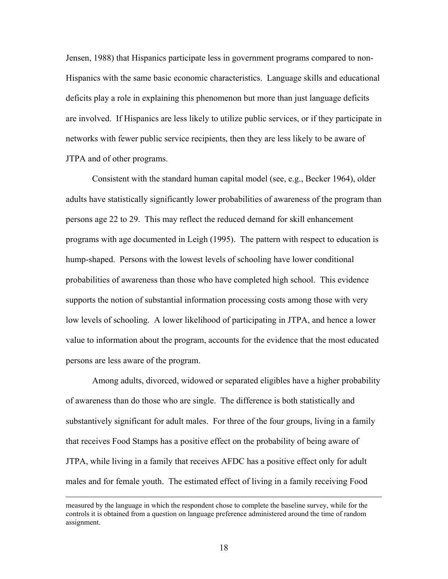Jensen, 1988) that Hispanics participate less in government programs compared to non-Hispanics with the same basic economic characteristics. Language skills and educational deficits play a role in explaining this phenomenon but more than just language deficits are involved. If Hispanics are less likely to utilize public services, or if they participate in networks with fewer public service recipients, then they are less likely to be aware of JTPA and of other programs.

Consistent with the standard human capital model (see, e.g., Becker 1964), older adults have statistically significantly lower probabilities of awareness of the program than persons age 22 to 29. This may reflect the reduced demand for skill enhancement programs with age documented in Leigh (1995). The pattern with respect to education is hump-shaped. Persons with the lowest levels of schooling have lower conditional probabilities of awareness than those who have completed high school. This evidence supports the notion of substantial information processing costs among those with very low levels of schooling. A lower likelihood of participating in JTPA, and hence a lower value to information about the program, accounts for the evidence that the most educated persons are less aware of the program.

Among adults, divorced, widowed or separated eligibles have a higher probability of awareness than do those who are single. The difference is both statistically and substantively significant for adult males. For three of the four groups, living in a family that receives Food Stamps has a positive effect on the probability of being aware of JTPA, while living in a family that receives AFDC has a positive effect only for adult males and for female youth. The estimated effect of living in a family receiving Food

measured by the language in which the respondent chose to complete the baseline survey, while for the controls it is obtained from a question on language preference administered around the time of random assignment.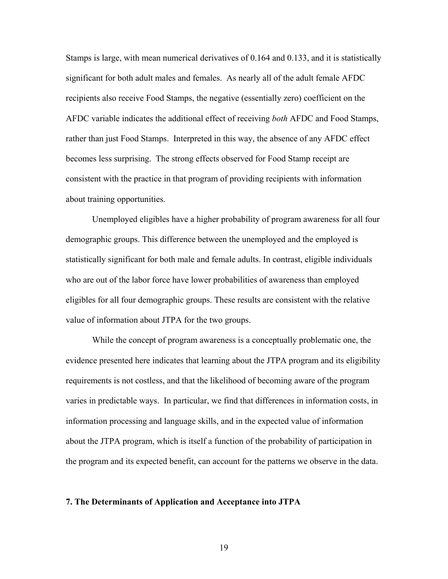Stamps is large, with mean numerical derivatives of 0.164 and 0.133, and it is statistically significant for both adult males and females. As nearly all of the adult female AFDC recipients also receive Food Stamps, the negative (essentially zero) coefficient on the AFDC variable indicates the additional effect of receiving *both* AFDC and Food Stamps, rather than just Food Stamps. Interpreted in this way, the absence of any AFDC effect becomes less surprising. The strong effects observed for Food Stamp receipt are consistent with the practice in that program of providing recipients with information about training opportunities.

Unemployed eligibles have a higher probability of program awareness for all four demographic groups. This difference between the unemployed and the employed is statistically significant for both male and female adults. In contrast, eligible individuals who are out of the labor force have lower probabilities of awareness than employed eligibles for all four demographic groups. These results are consistent with the relative value of information about JTPA for the two groups.

While the concept of program awareness is a conceptually problematic one, the evidence presented here indicates that learning about the JTPA program and its eligibility requirements is not costless, and that the likelihood of becoming aware of the program varies in predictable ways. In particular, we find that differences in information costs, in information processing and language skills, and in the expected value of information about the JTPA program, which is itself a function of the probability of participation in the program and its expected benefit, can account for the patterns we observe in the data.

#### **7. The Determinants of Application and Acceptance into JTPA**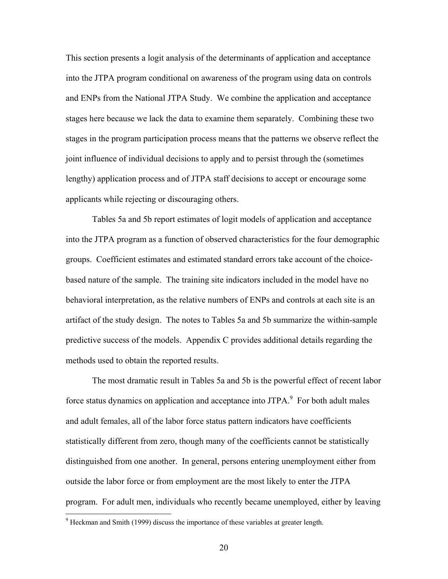This section presents a logit analysis of the determinants of application and acceptance into the JTPA program conditional on awareness of the program using data on controls and ENPs from the National JTPA Study. We combine the application and acceptance stages here because we lack the data to examine them separately. Combining these two stages in the program participation process means that the patterns we observe reflect the joint influence of individual decisions to apply and to persist through the (sometimes lengthy) application process and of JTPA staff decisions to accept or encourage some applicants while rejecting or discouraging others.

Tables 5a and 5b report estimates of logit models of application and acceptance into the JTPA program as a function of observed characteristics for the four demographic groups. Coefficient estimates and estimated standard errors take account of the choicebased nature of the sample. The training site indicators included in the model have no behavioral interpretation, as the relative numbers of ENPs and controls at each site is an artifact of the study design. The notes to Tables 5a and 5b summarize the within-sample predictive success of the models. Appendix C provides additional details regarding the methods used to obtain the reported results.

The most dramatic result in Tables 5a and 5b is the powerful effect of recent labor force status dynamics on application and acceptance into JTPA. $<sup>9</sup>$  For both adult males</sup> and adult females, all of the labor force status pattern indicators have coefficients statistically different from zero, though many of the coefficients cannot be statistically distinguished from one another. In general, persons entering unemployment either from outside the labor force or from employment are the most likely to enter the JTPA program. For adult men, individuals who recently became unemployed, either by leaving

 $\overline{a}$ 

 $9$ <sup>9</sup> Heckman and Smith (1999) discuss the importance of these variables at greater length.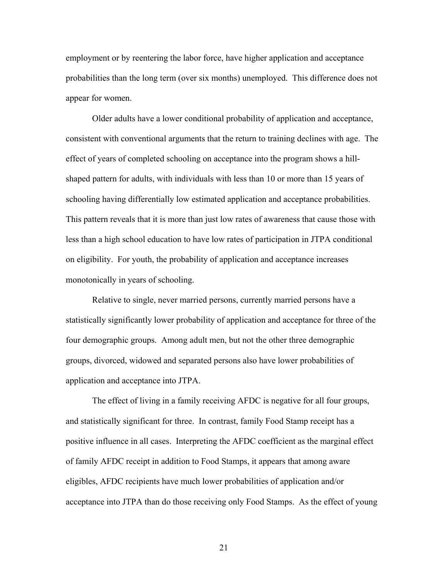employment or by reentering the labor force, have higher application and acceptance probabilities than the long term (over six months) unemployed. This difference does not appear for women.

Older adults have a lower conditional probability of application and acceptance, consistent with conventional arguments that the return to training declines with age. The effect of years of completed schooling on acceptance into the program shows a hillshaped pattern for adults, with individuals with less than 10 or more than 15 years of schooling having differentially low estimated application and acceptance probabilities. This pattern reveals that it is more than just low rates of awareness that cause those with less than a high school education to have low rates of participation in JTPA conditional on eligibility. For youth, the probability of application and acceptance increases monotonically in years of schooling.

Relative to single, never married persons, currently married persons have a statistically significantly lower probability of application and acceptance for three of the four demographic groups. Among adult men, but not the other three demographic groups, divorced, widowed and separated persons also have lower probabilities of application and acceptance into JTPA.

The effect of living in a family receiving AFDC is negative for all four groups, and statistically significant for three. In contrast, family Food Stamp receipt has a positive influence in all cases. Interpreting the AFDC coefficient as the marginal effect of family AFDC receipt in addition to Food Stamps, it appears that among aware eligibles, AFDC recipients have much lower probabilities of application and/or acceptance into JTPA than do those receiving only Food Stamps. As the effect of young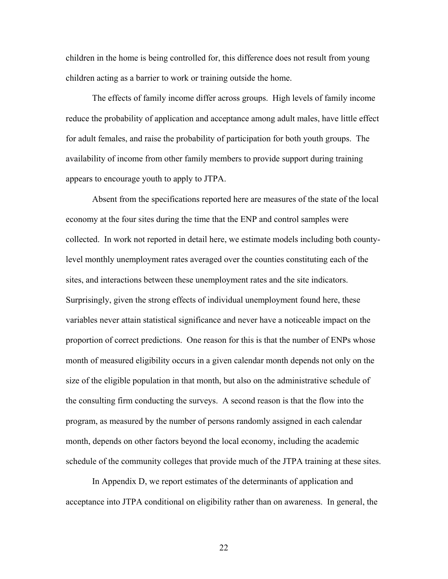children in the home is being controlled for, this difference does not result from young children acting as a barrier to work or training outside the home.

The effects of family income differ across groups. High levels of family income reduce the probability of application and acceptance among adult males, have little effect for adult females, and raise the probability of participation for both youth groups. The availability of income from other family members to provide support during training appears to encourage youth to apply to JTPA.

Absent from the specifications reported here are measures of the state of the local economy at the four sites during the time that the ENP and control samples were collected. In work not reported in detail here, we estimate models including both countylevel monthly unemployment rates averaged over the counties constituting each of the sites, and interactions between these unemployment rates and the site indicators. Surprisingly, given the strong effects of individual unemployment found here, these variables never attain statistical significance and never have a noticeable impact on the proportion of correct predictions. One reason for this is that the number of ENPs whose month of measured eligibility occurs in a given calendar month depends not only on the size of the eligible population in that month, but also on the administrative schedule of the consulting firm conducting the surveys. A second reason is that the flow into the program, as measured by the number of persons randomly assigned in each calendar month, depends on other factors beyond the local economy, including the academic schedule of the community colleges that provide much of the JTPA training at these sites.

In Appendix D, we report estimates of the determinants of application and acceptance into JTPA conditional on eligibility rather than on awareness. In general, the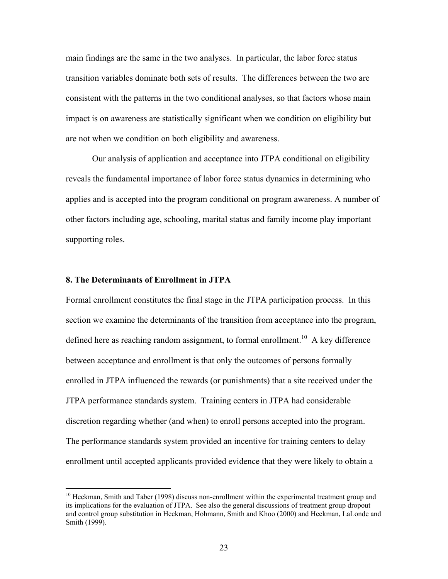main findings are the same in the two analyses. In particular, the labor force status transition variables dominate both sets of results. The differences between the two are consistent with the patterns in the two conditional analyses, so that factors whose main impact is on awareness are statistically significant when we condition on eligibility but are not when we condition on both eligibility and awareness.

Our analysis of application and acceptance into JTPA conditional on eligibility reveals the fundamental importance of labor force status dynamics in determining who applies and is accepted into the program conditional on program awareness. A number of other factors including age, schooling, marital status and family income play important supporting roles.

#### **8. The Determinants of Enrollment in JTPA**

<u>.</u>

Formal enrollment constitutes the final stage in the JTPA participation process. In this section we examine the determinants of the transition from acceptance into the program, defined here as reaching random assignment, to formal enrollment.<sup>10</sup> A key difference between acceptance and enrollment is that only the outcomes of persons formally enrolled in JTPA influenced the rewards (or punishments) that a site received under the JTPA performance standards system. Training centers in JTPA had considerable discretion regarding whether (and when) to enroll persons accepted into the program. The performance standards system provided an incentive for training centers to delay enrollment until accepted applicants provided evidence that they were likely to obtain a

<sup>&</sup>lt;sup>10</sup> Heckman, Smith and Taber (1998) discuss non-enrollment within the experimental treatment group and its implications for the evaluation of JTPA. See also the general discussions of treatment group dropout and control group substitution in Heckman, Hohmann, Smith and Khoo (2000) and Heckman, LaLonde and Smith (1999).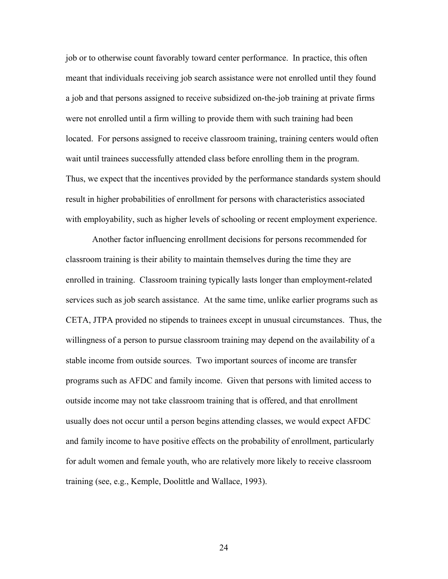job or to otherwise count favorably toward center performance. In practice, this often meant that individuals receiving job search assistance were not enrolled until they found a job and that persons assigned to receive subsidized on-the-job training at private firms were not enrolled until a firm willing to provide them with such training had been located. For persons assigned to receive classroom training, training centers would often wait until trainees successfully attended class before enrolling them in the program. Thus, we expect that the incentives provided by the performance standards system should result in higher probabilities of enrollment for persons with characteristics associated with employability, such as higher levels of schooling or recent employment experience.

Another factor influencing enrollment decisions for persons recommended for classroom training is their ability to maintain themselves during the time they are enrolled in training. Classroom training typically lasts longer than employment-related services such as job search assistance. At the same time, unlike earlier programs such as CETA, JTPA provided no stipends to trainees except in unusual circumstances. Thus, the willingness of a person to pursue classroom training may depend on the availability of a stable income from outside sources. Two important sources of income are transfer programs such as AFDC and family income. Given that persons with limited access to outside income may not take classroom training that is offered, and that enrollment usually does not occur until a person begins attending classes, we would expect AFDC and family income to have positive effects on the probability of enrollment, particularly for adult women and female youth, who are relatively more likely to receive classroom training (see, e.g., Kemple, Doolittle and Wallace, 1993).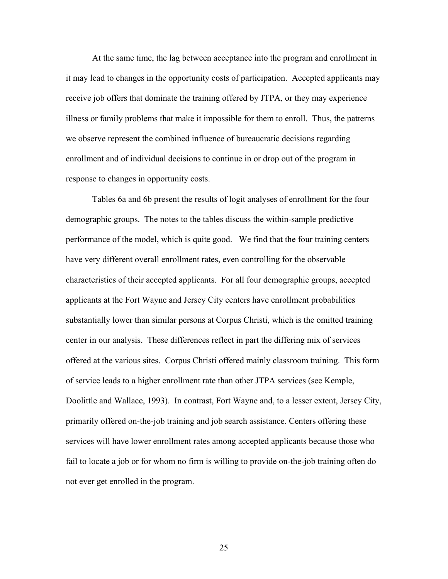At the same time, the lag between acceptance into the program and enrollment in it may lead to changes in the opportunity costs of participation. Accepted applicants may receive job offers that dominate the training offered by JTPA, or they may experience illness or family problems that make it impossible for them to enroll. Thus, the patterns we observe represent the combined influence of bureaucratic decisions regarding enrollment and of individual decisions to continue in or drop out of the program in response to changes in opportunity costs.

Tables 6a and 6b present the results of logit analyses of enrollment for the four demographic groups. The notes to the tables discuss the within-sample predictive performance of the model, which is quite good. We find that the four training centers have very different overall enrollment rates, even controlling for the observable characteristics of their accepted applicants. For all four demographic groups, accepted applicants at the Fort Wayne and Jersey City centers have enrollment probabilities substantially lower than similar persons at Corpus Christi, which is the omitted training center in our analysis. These differences reflect in part the differing mix of services offered at the various sites. Corpus Christi offered mainly classroom training. This form of service leads to a higher enrollment rate than other JTPA services (see Kemple, Doolittle and Wallace, 1993). In contrast, Fort Wayne and, to a lesser extent, Jersey City, primarily offered on-the-job training and job search assistance. Centers offering these services will have lower enrollment rates among accepted applicants because those who fail to locate a job or for whom no firm is willing to provide on-the-job training often do not ever get enrolled in the program.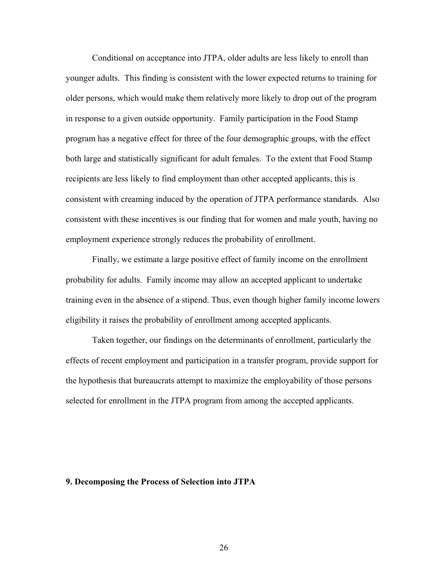Conditional on acceptance into JTPA, older adults are less likely to enroll than younger adults. This finding is consistent with the lower expected returns to training for older persons, which would make them relatively more likely to drop out of the program in response to a given outside opportunity. Family participation in the Food Stamp program has a negative effect for three of the four demographic groups, with the effect both large and statistically significant for adult females. To the extent that Food Stamp recipients are less likely to find employment than other accepted applicants, this is consistent with creaming induced by the operation of JTPA performance standards. Also consistent with these incentives is our finding that for women and male youth, having no employment experience strongly reduces the probability of enrollment.

Finally, we estimate a large positive effect of family income on the enrollment probability for adults. Family income may allow an accepted applicant to undertake training even in the absence of a stipend. Thus, even though higher family income lowers eligibility it raises the probability of enrollment among accepted applicants.

Taken together, our findings on the determinants of enrollment, particularly the effects of recent employment and participation in a transfer program, provide support for the hypothesis that bureaucrats attempt to maximize the employability of those persons selected for enrollment in the JTPA program from among the accepted applicants.

#### **9. Decomposing the Process of Selection into JTPA**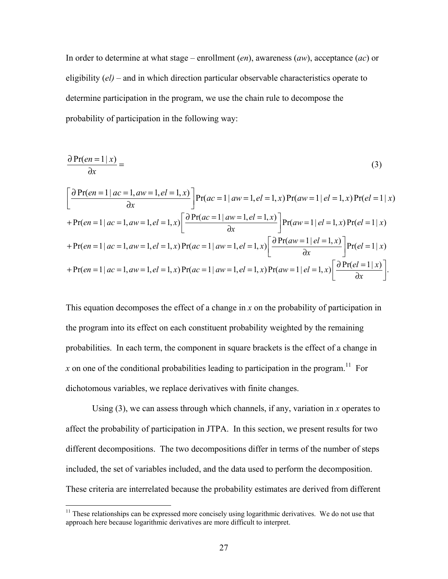In order to determine at what stage – enrollment *(en)*, awareness (*aw*), acceptance (*ac*) or eligibility  $\left( el \right)$  – and in which direction particular observable characteristics operate to determine participation in the program, we use the chain rule to decompose the probability of participation in the following way:

$$
\frac{\partial \Pr(en=1 \mid x)}{\partial x} = \tag{3}
$$

$$
\left[\frac{\partial \Pr(en=1 | ac=1,aw=1,el=1,x)}{\partial x}\right] \Pr(ac=1 | aw=1,el=1,x) \Pr(dw=1 | el=1,x) \Pr(cl=1 | x)
$$
  
+ 
$$
\Pr(en=1 | ac=1,aw=1,el=1,x) \left[\frac{\partial \Pr(ac=1 | aw=1,el=1,x)}{\partial x}\right] \Pr(dw=1 | el=1,x) \Pr(cl=1 | x)
$$
  
+ 
$$
\Pr(en=1 | ac=1,aw=1,el=1,x) \Pr(ac=1 | aw=1,el=1,x) \left[\frac{\partial \Pr(dw=1 | el=1,x)}{\partial x}\right] \Pr(cl=1 | x)
$$
  
+ 
$$
\Pr(en=1 | ac=1,aw=1,el=1,x) \Pr(ac=1 | aw=1,el=1,x) \Pr(dw=1 | el=1,x) \left[\frac{\partial \Pr(cl=1 | x)}{\partial x}\right].
$$

This equation decomposes the effect of a change in *x* on the probability of participation in the program into its effect on each constituent probability weighted by the remaining probabilities. In each term, the component in square brackets is the effect of a change in *x* on one of the conditional probabilities leading to participation in the program.<sup>11</sup> For dichotomous variables, we replace derivatives with finite changes.

Using (3), we can assess through which channels, if any, variation in *x* operates to affect the probability of participation in JTPA. In this section, we present results for two different decompositions. The two decompositions differ in terms of the number of steps included, the set of variables included, and the data used to perform the decomposition. These criteria are interrelated because the probability estimates are derived from different

 $\overline{a}$ 

 $11$  These relationships can be expressed more concisely using logarithmic derivatives. We do not use that approach here because logarithmic derivatives are more difficult to interpret.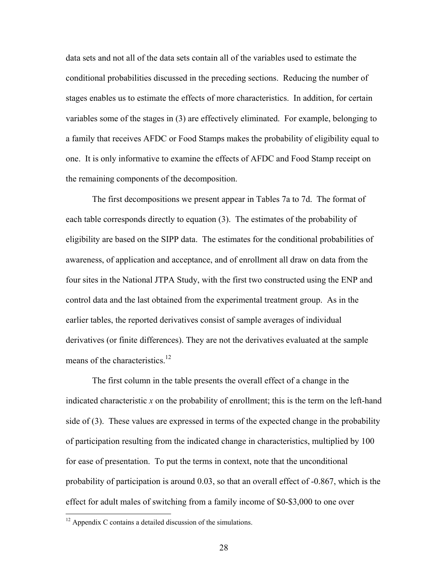data sets and not all of the data sets contain all of the variables used to estimate the conditional probabilities discussed in the preceding sections. Reducing the number of stages enables us to estimate the effects of more characteristics. In addition, for certain variables some of the stages in (3) are effectively eliminated. For example, belonging to a family that receives AFDC or Food Stamps makes the probability of eligibility equal to one. It is only informative to examine the effects of AFDC and Food Stamp receipt on the remaining components of the decomposition.

The first decompositions we present appear in Tables 7a to 7d. The format of each table corresponds directly to equation (3). The estimates of the probability of eligibility are based on the SIPP data. The estimates for the conditional probabilities of awareness, of application and acceptance, and of enrollment all draw on data from the four sites in the National JTPA Study, with the first two constructed using the ENP and control data and the last obtained from the experimental treatment group. As in the earlier tables, the reported derivatives consist of sample averages of individual derivatives (or finite differences). They are not the derivatives evaluated at the sample means of the characteristics.<sup>12</sup>

The first column in the table presents the overall effect of a change in the indicated characteristic *x* on the probability of enrollment; this is the term on the left-hand side of (3). These values are expressed in terms of the expected change in the probability of participation resulting from the indicated change in characteristics, multiplied by 100 for ease of presentation. To put the terms in context, note that the unconditional probability of participation is around 0.03, so that an overall effect of -0.867, which is the effect for adult males of switching from a family income of \$0-\$3,000 to one over

 $\overline{a}$ 

<sup>&</sup>lt;sup>12</sup> Appendix C contains a detailed discussion of the simulations.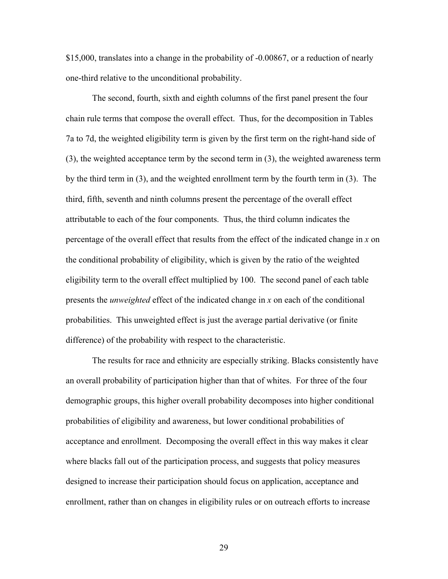\$15,000, translates into a change in the probability of -0.00867, or a reduction of nearly one-third relative to the unconditional probability.

The second, fourth, sixth and eighth columns of the first panel present the four chain rule terms that compose the overall effect. Thus, for the decomposition in Tables 7a to 7d, the weighted eligibility term is given by the first term on the right-hand side of (3), the weighted acceptance term by the second term in (3), the weighted awareness term by the third term in (3), and the weighted enrollment term by the fourth term in (3). The third, fifth, seventh and ninth columns present the percentage of the overall effect attributable to each of the four components. Thus, the third column indicates the percentage of the overall effect that results from the effect of the indicated change in *x* on the conditional probability of eligibility, which is given by the ratio of the weighted eligibility term to the overall effect multiplied by 100. The second panel of each table presents the *unweighted* effect of the indicated change in *x* on each of the conditional probabilities. This unweighted effect is just the average partial derivative (or finite difference) of the probability with respect to the characteristic.

The results for race and ethnicity are especially striking. Blacks consistently have an overall probability of participation higher than that of whites. For three of the four demographic groups, this higher overall probability decomposes into higher conditional probabilities of eligibility and awareness, but lower conditional probabilities of acceptance and enrollment. Decomposing the overall effect in this way makes it clear where blacks fall out of the participation process, and suggests that policy measures designed to increase their participation should focus on application, acceptance and enrollment, rather than on changes in eligibility rules or on outreach efforts to increase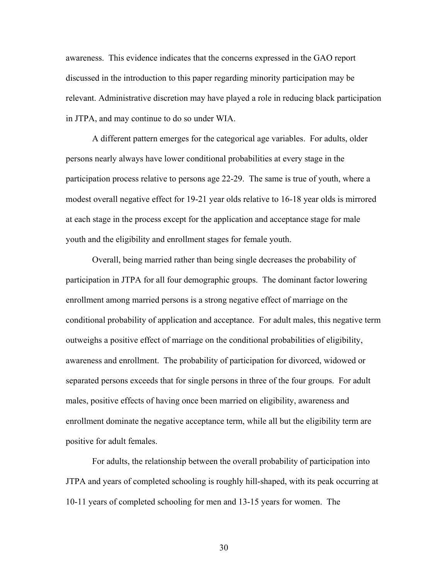awareness. This evidence indicates that the concerns expressed in the GAO report discussed in the introduction to this paper regarding minority participation may be relevant. Administrative discretion may have played a role in reducing black participation in JTPA, and may continue to do so under WIA.

A different pattern emerges for the categorical age variables. For adults, older persons nearly always have lower conditional probabilities at every stage in the participation process relative to persons age 22-29. The same is true of youth, where a modest overall negative effect for 19-21 year olds relative to 16-18 year olds is mirrored at each stage in the process except for the application and acceptance stage for male youth and the eligibility and enrollment stages for female youth.

Overall, being married rather than being single decreases the probability of participation in JTPA for all four demographic groups. The dominant factor lowering enrollment among married persons is a strong negative effect of marriage on the conditional probability of application and acceptance. For adult males, this negative term outweighs a positive effect of marriage on the conditional probabilities of eligibility, awareness and enrollment. The probability of participation for divorced, widowed or separated persons exceeds that for single persons in three of the four groups. For adult males, positive effects of having once been married on eligibility, awareness and enrollment dominate the negative acceptance term, while all but the eligibility term are positive for adult females.

For adults, the relationship between the overall probability of participation into JTPA and years of completed schooling is roughly hill-shaped, with its peak occurring at 10-11 years of completed schooling for men and 13-15 years for women. The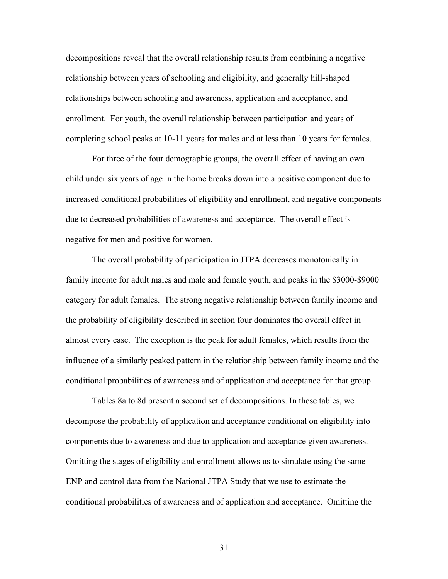decompositions reveal that the overall relationship results from combining a negative relationship between years of schooling and eligibility, and generally hill-shaped relationships between schooling and awareness, application and acceptance, and enrollment. For youth, the overall relationship between participation and years of completing school peaks at 10-11 years for males and at less than 10 years for females.

For three of the four demographic groups, the overall effect of having an own child under six years of age in the home breaks down into a positive component due to increased conditional probabilities of eligibility and enrollment, and negative components due to decreased probabilities of awareness and acceptance. The overall effect is negative for men and positive for women.

The overall probability of participation in JTPA decreases monotonically in family income for adult males and male and female youth, and peaks in the \$3000-\$9000 category for adult females. The strong negative relationship between family income and the probability of eligibility described in section four dominates the overall effect in almost every case. The exception is the peak for adult females, which results from the influence of a similarly peaked pattern in the relationship between family income and the conditional probabilities of awareness and of application and acceptance for that group.

Tables 8a to 8d present a second set of decompositions. In these tables, we decompose the probability of application and acceptance conditional on eligibility into components due to awareness and due to application and acceptance given awareness. Omitting the stages of eligibility and enrollment allows us to simulate using the same ENP and control data from the National JTPA Study that we use to estimate the conditional probabilities of awareness and of application and acceptance. Omitting the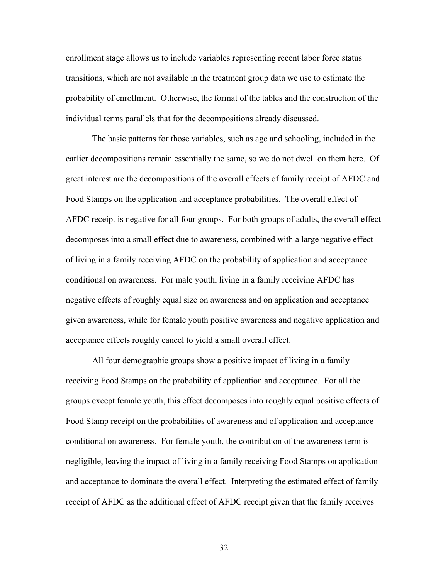enrollment stage allows us to include variables representing recent labor force status transitions, which are not available in the treatment group data we use to estimate the probability of enrollment. Otherwise, the format of the tables and the construction of the individual terms parallels that for the decompositions already discussed.

The basic patterns for those variables, such as age and schooling, included in the earlier decompositions remain essentially the same, so we do not dwell on them here. Of great interest are the decompositions of the overall effects of family receipt of AFDC and Food Stamps on the application and acceptance probabilities. The overall effect of AFDC receipt is negative for all four groups. For both groups of adults, the overall effect decomposes into a small effect due to awareness, combined with a large negative effect of living in a family receiving AFDC on the probability of application and acceptance conditional on awareness. For male youth, living in a family receiving AFDC has negative effects of roughly equal size on awareness and on application and acceptance given awareness, while for female youth positive awareness and negative application and acceptance effects roughly cancel to yield a small overall effect.

All four demographic groups show a positive impact of living in a family receiving Food Stamps on the probability of application and acceptance. For all the groups except female youth, this effect decomposes into roughly equal positive effects of Food Stamp receipt on the probabilities of awareness and of application and acceptance conditional on awareness. For female youth, the contribution of the awareness term is negligible, leaving the impact of living in a family receiving Food Stamps on application and acceptance to dominate the overall effect. Interpreting the estimated effect of family receipt of AFDC as the additional effect of AFDC receipt given that the family receives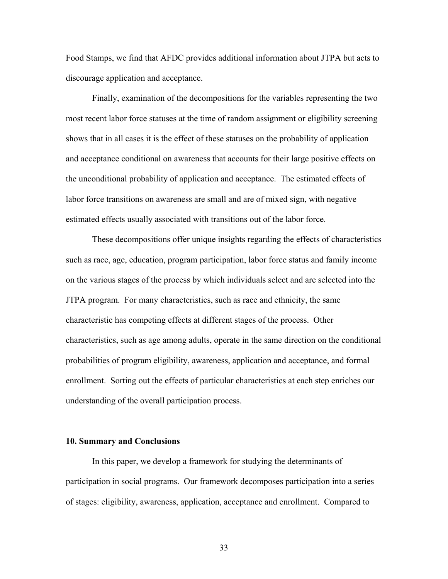Food Stamps, we find that AFDC provides additional information about JTPA but acts to discourage application and acceptance.

Finally, examination of the decompositions for the variables representing the two most recent labor force statuses at the time of random assignment or eligibility screening shows that in all cases it is the effect of these statuses on the probability of application and acceptance conditional on awareness that accounts for their large positive effects on the unconditional probability of application and acceptance. The estimated effects of labor force transitions on awareness are small and are of mixed sign, with negative estimated effects usually associated with transitions out of the labor force.

These decompositions offer unique insights regarding the effects of characteristics such as race, age, education, program participation, labor force status and family income on the various stages of the process by which individuals select and are selected into the JTPA program. For many characteristics, such as race and ethnicity, the same characteristic has competing effects at different stages of the process. Other characteristics, such as age among adults, operate in the same direction on the conditional probabilities of program eligibility, awareness, application and acceptance, and formal enrollment. Sorting out the effects of particular characteristics at each step enriches our understanding of the overall participation process.

#### **10. Summary and Conclusions**

In this paper, we develop a framework for studying the determinants of participation in social programs. Our framework decomposes participation into a series of stages: eligibility, awareness, application, acceptance and enrollment. Compared to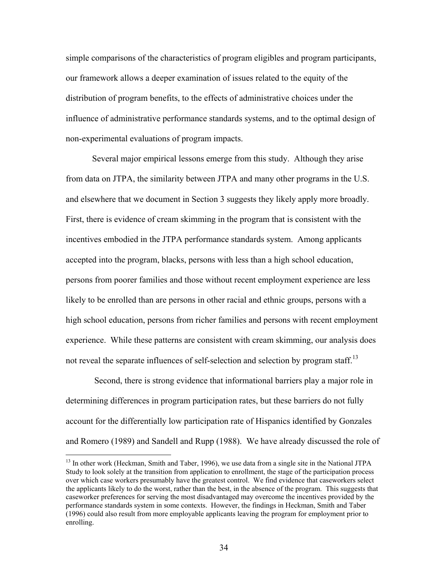simple comparisons of the characteristics of program eligibles and program participants, our framework allows a deeper examination of issues related to the equity of the distribution of program benefits, to the effects of administrative choices under the influence of administrative performance standards systems, and to the optimal design of non-experimental evaluations of program impacts.

Several major empirical lessons emerge from this study. Although they arise from data on JTPA, the similarity between JTPA and many other programs in the U.S. and elsewhere that we document in Section 3 suggests they likely apply more broadly. First, there is evidence of cream skimming in the program that is consistent with the incentives embodied in the JTPA performance standards system. Among applicants accepted into the program, blacks, persons with less than a high school education, persons from poorer families and those without recent employment experience are less likely to be enrolled than are persons in other racial and ethnic groups, persons with a high school education, persons from richer families and persons with recent employment experience. While these patterns are consistent with cream skimming, our analysis does not reveal the separate influences of self-selection and selection by program staff.<sup>13</sup>

 Second, there is strong evidence that informational barriers play a major role in determining differences in program participation rates, but these barriers do not fully account for the differentially low participation rate of Hispanics identified by Gonzales and Romero (1989) and Sandell and Rupp (1988). We have already discussed the role of

<sup>&</sup>lt;sup>13</sup> In other work (Heckman, Smith and Taber, 1996), we use data from a single site in the National JTPA Study to look solely at the transition from application to enrollment, the stage of the participation process over which case workers presumably have the greatest control. We find evidence that caseworkers select the applicants likely to do the worst, rather than the best, in the absence of the program. This suggests that caseworker preferences for serving the most disadvantaged may overcome the incentives provided by the performance standards system in some contexts. However, the findings in Heckman, Smith and Taber (1996) could also result from more employable applicants leaving the program for employment prior to enrolling.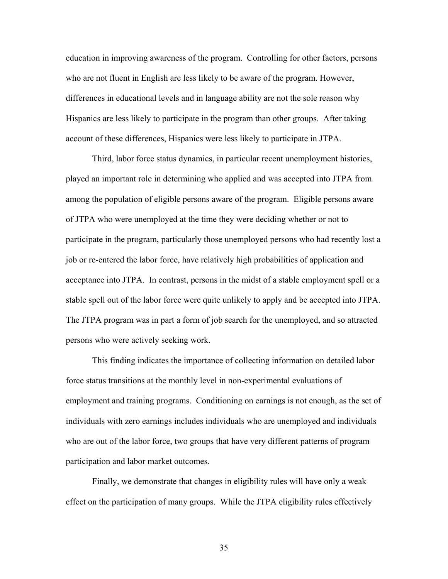education in improving awareness of the program. Controlling for other factors, persons who are not fluent in English are less likely to be aware of the program. However, differences in educational levels and in language ability are not the sole reason why Hispanics are less likely to participate in the program than other groups. After taking account of these differences, Hispanics were less likely to participate in JTPA.

Third, labor force status dynamics, in particular recent unemployment histories, played an important role in determining who applied and was accepted into JTPA from among the population of eligible persons aware of the program. Eligible persons aware of JTPA who were unemployed at the time they were deciding whether or not to participate in the program, particularly those unemployed persons who had recently lost a job or re-entered the labor force, have relatively high probabilities of application and acceptance into JTPA. In contrast, persons in the midst of a stable employment spell or a stable spell out of the labor force were quite unlikely to apply and be accepted into JTPA. The JTPA program was in part a form of job search for the unemployed, and so attracted persons who were actively seeking work.

This finding indicates the importance of collecting information on detailed labor force status transitions at the monthly level in non-experimental evaluations of employment and training programs. Conditioning on earnings is not enough, as the set of individuals with zero earnings includes individuals who are unemployed and individuals who are out of the labor force, two groups that have very different patterns of program participation and labor market outcomes.

Finally, we demonstrate that changes in eligibility rules will have only a weak effect on the participation of many groups. While the JTPA eligibility rules effectively

35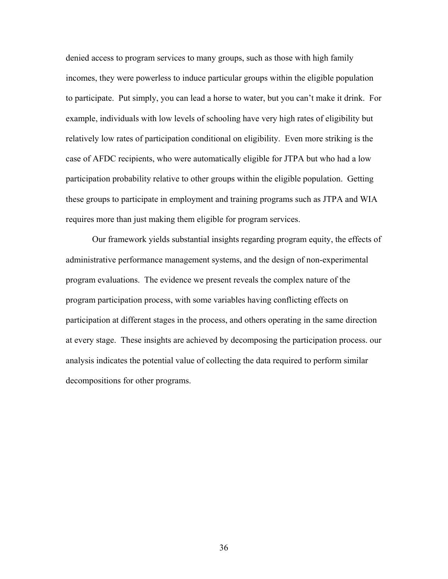denied access to program services to many groups, such as those with high family incomes, they were powerless to induce particular groups within the eligible population to participate. Put simply, you can lead a horse to water, but you can't make it drink. For example, individuals with low levels of schooling have very high rates of eligibility but relatively low rates of participation conditional on eligibility. Even more striking is the case of AFDC recipients, who were automatically eligible for JTPA but who had a low participation probability relative to other groups within the eligible population. Getting these groups to participate in employment and training programs such as JTPA and WIA requires more than just making them eligible for program services.

Our framework yields substantial insights regarding program equity, the effects of administrative performance management systems, and the design of non-experimental program evaluations. The evidence we present reveals the complex nature of the program participation process, with some variables having conflicting effects on participation at different stages in the process, and others operating in the same direction at every stage. These insights are achieved by decomposing the participation process. our analysis indicates the potential value of collecting the data required to perform similar decompositions for other programs.

36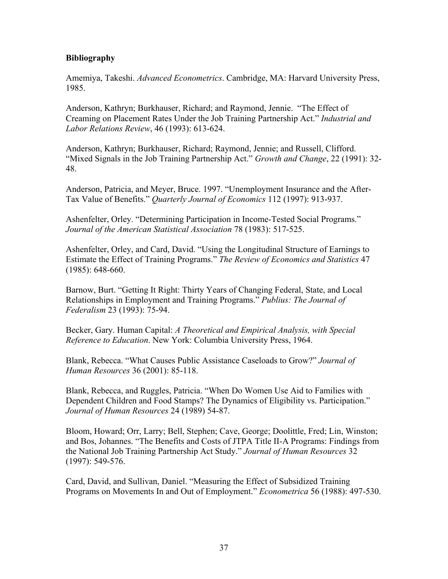# **Bibliography**

Amemiya, Takeshi. *Advanced Econometrics*. Cambridge, MA: Harvard University Press, 1985.

Anderson, Kathryn; Burkhauser, Richard; and Raymond, Jennie. "The Effect of Creaming on Placement Rates Under the Job Training Partnership Act.î *Industrial and Labor Relations Review*, 46 (1993): 613-624.

Anderson, Kathryn; Burkhauser, Richard; Raymond, Jennie; and Russell, Clifford. ìMixed Signals in the Job Training Partnership Act.î *Growth and Change*, 22 (1991): 32- 48.

Anderson, Patricia, and Meyer, Bruce. 1997. "Unemployment Insurance and the After-Tax Value of Benefits.î *Quarterly Journal of Economics* 112 (1997): 913-937.

Ashenfelter, Orley. "Determining Participation in Income-Tested Social Programs." *Journal of the American Statistical Association* 78 (1983): 517-525.

Ashenfelter, Orley, and Card, David. "Using the Longitudinal Structure of Earnings to Estimate the Effect of Training Programs." *The Review of Economics and Statistics* 47 (1985): 648-660.

Barnow, Burt. "Getting It Right: Thirty Years of Changing Federal, State, and Local Relationships in Employment and Training Programs.î *Publius: The Journal of Federalism* 23 (1993): 75-94.

Becker, Gary. Human Capital: *A Theoretical and Empirical Analysis, with Special Reference to Education*. New York: Columbia University Press, 1964.

Blank, Rebecca. "What Causes Public Assistance Caseloads to Grow?" *Journal of Human Resources* 36 (2001): 85-118.

Blank, Rebecca, and Ruggles, Patricia. "When Do Women Use Aid to Families with Dependent Children and Food Stamps? The Dynamics of Eligibility vs. Participation." *Journal of Human Resources* 24 (1989) 54-87.

Bloom, Howard; Orr, Larry; Bell, Stephen; Cave, George; Doolittle, Fred; Lin, Winston; and Bos, Johannes. "The Benefits and Costs of JTPA Title II-A Programs: Findings from the National Job Training Partnership Act Study.î *Journal of Human Resources* 32 (1997): 549-576.

Card, David, and Sullivan, Daniel. "Measuring the Effect of Subsidized Training Programs on Movements In and Out of Employment.î *Econometrica* 56 (1988): 497-530.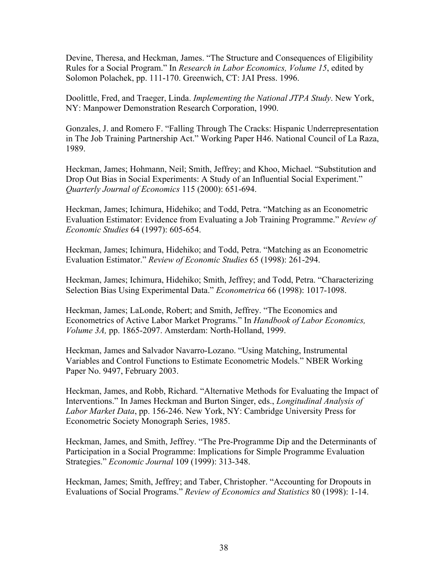Devine, Theresa, and Heckman, James. "The Structure and Consequences of Eligibility Rules for a Social Program." In *Research in Labor Economics, Volume 15*, edited by Solomon Polachek, pp. 111-170. Greenwich, CT: JAI Press. 1996.

Doolittle, Fred, and Traeger, Linda. *Implementing the National JTPA Study*. New York, NY: Manpower Demonstration Research Corporation, 1990.

Gonzales, J. and Romero F. "Falling Through The Cracks: Hispanic Underrepresentation in The Job Training Partnership Act." Working Paper H46. National Council of La Raza, 1989.

Heckman, James; Hohmann, Neil; Smith, Jeffrey; and Khoo, Michael. "Substitution and Drop Out Bias in Social Experiments: A Study of an Influential Social Experiment." *Quarterly Journal of Economics* 115 (2000): 651-694.

Heckman, James; Ichimura, Hidehiko; and Todd, Petra. "Matching as an Econometric Evaluation Estimator: Evidence from Evaluating a Job Training Programme." *Review of Economic Studies* 64 (1997): 605-654.

Heckman, James; Ichimura, Hidehiko; and Todd, Petra. "Matching as an Econometric Evaluation Estimator.î *Review of Economic Studies* 65 (1998): 261-294.

Heckman, James; Ichimura, Hidehiko; Smith, Jeffrey; and Todd, Petra. "Characterizing Selection Bias Using Experimental Data.<sup>7</sup> *Econometrica* 66 (1998): 1017-1098.

Heckman, James; LaLonde, Robert; and Smith, Jeffrey. "The Economics and Econometrics of Active Labor Market Programs." In *Handbook of Labor Economics*, *Volume 3A,* pp. 1865-2097. Amsterdam: North-Holland, 1999.

Heckman, James and Salvador Navarro-Lozano. "Using Matching, Instrumental Variables and Control Functions to Estimate Econometric Models." NBER Working Paper No. 9497, February 2003.

Heckman, James, and Robb, Richard. "Alternative Methods for Evaluating the Impact of Interventions.î In James Heckman and Burton Singer, eds., *Longitudinal Analysis of Labor Market Data*, pp. 156-246. New York, NY: Cambridge University Press for Econometric Society Monograph Series, 1985.

Heckman, James, and Smith, Jeffrey. "The Pre-Programme Dip and the Determinants of Participation in a Social Programme: Implications for Simple Programme Evaluation Strategies.î *Economic Journal* 109 (1999): 313-348.

Heckman, James; Smith, Jeffrey; and Taber, Christopher. "Accounting for Dropouts in Evaluations of Social Programs.î *Review of Economics and Statistics* 80 (1998): 1-14.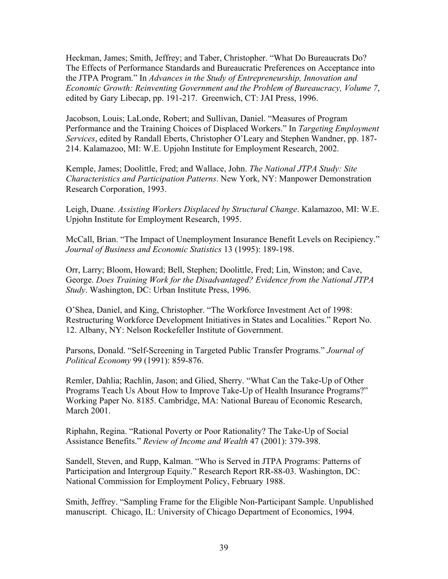Heckman, James; Smith, Jeffrey; and Taber, Christopher. "What Do Bureaucrats Do? The Effects of Performance Standards and Bureaucratic Preferences on Acceptance into the JTPA Program." In *Advances in the Study of Entrepreneurship, Innovation and Economic Growth: Reinventing Government and the Problem of Bureaucracy, Volume 7*, edited by Gary Libecap, pp. 191-217. Greenwich, CT: JAI Press, 1996.

Jacobson, Louis; LaLonde, Robert; and Sullivan, Daniel. "Measures of Program Performance and the Training Choices of Displaced Workers." In *Targeting Employment Services*, edited by Randall Eberts, Christopher O'Leary and Stephen Wandner, pp. 187-214. Kalamazoo, MI: W.E. Upjohn Institute for Employment Research, 2002.

Kemple, James; Doolittle, Fred; and Wallace, John. *The National JTPA Study: Site Characteristics and Participation Patterns*. New York, NY: Manpower Demonstration Research Corporation, 1993.

Leigh, Duane. *Assisting Workers Displaced by Structural Change*. Kalamazoo, MI: W.E. Upjohn Institute for Employment Research, 1995.

McCall, Brian. "The Impact of Unemployment Insurance Benefit Levels on Recipiency." *Journal of Business and Economic Statistics* 13 (1995): 189-198.

Orr, Larry; Bloom, Howard; Bell, Stephen; Doolittle, Fred; Lin, Winston; and Cave, George. *Does Training Work for the Disadvantaged? Evidence from the National JTPA Study*. Washington, DC: Urban Institute Press, 1996.

O'Shea, Daniel, and King, Christopher. "The Workforce Investment Act of 1998: Restructuring Workforce Development Initiatives in States and Localities." Report No. 12. Albany, NY: Nelson Rockefeller Institute of Government.

Parsons, Donald. "Self-Screening in Targeted Public Transfer Programs." *Journal of Political Economy* 99 (1991): 859-876.

Remler, Dahlia; Rachlin, Jason; and Glied, Sherry. "What Can the Take-Up of Other Programs Teach Us About How to Improve Take-Up of Health Insurance Programs?" Working Paper No. 8185. Cambridge, MA: National Bureau of Economic Research, March 2001.

Riphahn, Regina. "Rational Poverty or Poor Rationality? The Take-Up of Social Assistance Benefits.î *Review of Income and Wealth* 47 (2001): 379-398.

Sandell, Steven, and Rupp, Kalman. "Who is Served in JTPA Programs: Patterns of Participation and Intergroup Equity." Research Report RR-88-03. Washington, DC: National Commission for Employment Policy, February 1988.

Smith, Jeffrey. "Sampling Frame for the Eligible Non-Participant Sample. Unpublished manuscript. Chicago, IL: University of Chicago Department of Economics, 1994.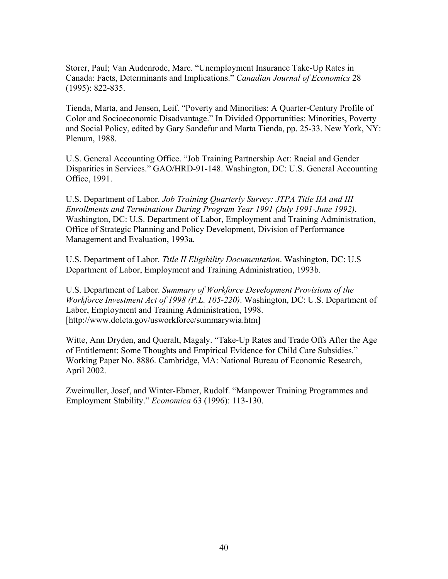Storer, Paul; Van Audenrode, Marc. "Unemployment Insurance Take-Up Rates in Canada: Facts, Determinants and Implications.î *Canadian Journal of Economics* 28 (1995): 822-835.

Tienda, Marta, and Jensen, Leif. "Poverty and Minorities: A Quarter-Century Profile of Color and Socioeconomic Disadvantage." In Divided Opportunities: Minorities, Poverty and Social Policy, edited by Gary Sandefur and Marta Tienda, pp. 25-33. New York, NY: Plenum, 1988.

U.S. General Accounting Office. "Job Training Partnership Act: Racial and Gender Disparities in Services." GAO/HRD-91-148. Washington, DC: U.S. General Accounting Office, 1991.

U.S. Department of Labor. *Job Training Quarterly Survey: JTPA Title IIA and III Enrollments and Terminations During Program Year 1991 (July 1991-June 1992)*. Washington, DC: U.S. Department of Labor, Employment and Training Administration, Office of Strategic Planning and Policy Development, Division of Performance Management and Evaluation, 1993a.

U.S. Department of Labor. *Title II Eligibility Documentation*. Washington, DC: U.S Department of Labor, Employment and Training Administration, 1993b.

U.S. Department of Labor. *Summary of Workforce Development Provisions of the Workforce Investment Act of 1998 (P.L. 105-220)*. Washington, DC: U.S. Department of Labor, Employment and Training Administration, 1998. [http://www.doleta.gov/usworkforce/summarywia.htm]

Witte, Ann Dryden, and Queralt, Magaly. "Take-Up Rates and Trade Offs After the Age of Entitlement: Some Thoughts and Empirical Evidence for Child Care Subsidies." Working Paper No. 8886. Cambridge, MA: National Bureau of Economic Research, April 2002.

Zweimuller, Josef, and Winter-Ebmer, Rudolf. "Manpower Training Programmes and Employment Stability.î *Economica* 63 (1996): 113-130.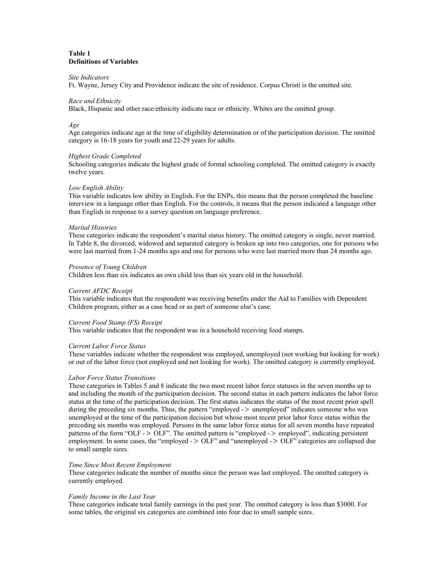## **Table 1 Definitions of Variables**

#### *Site Indicators*

Ft. Wayne, Jersey City and Providence indicate the site of residence. Corpus Christi is the omitted site.

## *Race and Ethnicity*

Black, Hispanic and other race/ethnicity indicate race or ethnicity. Whites are the omitted group.

## *Age*

Age categories indicate age at the time of eligibility determination or of the participation decision. The omitted category is 16-18 years for youth and 22-29 years for adults.

## *Highest Grade Completed*

Schooling categories indicate the highest grade of formal schooling completed. The omitted category is exactly twelve years.

## *Low English Ability*

This variable indicates low ability in English. For the ENPs, this means that the person completed the baseline interview in a language other than English. For the controls, it means that the person indicated a language other than English in response to a survey question on language preference.

## *Marital Histories*

These categories indicate the respondent's marital status history. The omitted category is single, never married. In Table 8, the divorced, widowed and separated category is broken up into two categories, one for persons who were last married from 1-24 months ago and one for persons who were last married more than 24 months ago.

## *Presence of Young Children*

Children less than six indicates an own child less than six years old in the household.

## *Current AFDC Receipt*

This variable indicates that the respondent was receiving benefits under the Aid to Families with Dependent Children program, either as a case head or as part of someone else's case.

## *Current Food Stamp (FS) Receipt*

This variable indicates that the respondent was in a household receiving food stamps.

## *Current Labor Force Status*

These variables indicate whether the respondent was employed, unemployed (not working but looking for work) or out of the labor force (not employed and not looking for work). The omitted category is currently employed.

## *Labor Force Status Transitions*

These categories in Tables 5 and 8 indicate the two most recent labor force statuses in the seven months up to and including the month of the participation decision. The second status in each pattern indicates the labor force status at the time of the participation decision. The first status indicates the status of the most recent prior spell during the preceding six months. Thus, the pattern "employed - > unemployed" indicates someone who was unemployed at the time of the participation decision but whose most recent prior labor force status within the preceding six months was employed. Persons in the same labor force status for all seven months have repeated patterns of the form "OLF -> OLF". The omitted pattern is "employed -> employed", indicating persistent employment. In some cases, the "employed -  $>$  OLF" and "unemployed -  $>$  OLF" categories are collapsed due to small sample sizes.

## *Time Since Most Recent Employment*

These categories indicate the number of months since the person was last employed. The omitted category is currently employed.

## *Family Income in the Last Year*

These categories indicate total family earnings in the past year. The omitted category is less than \$3000. For some tables, the original six categories are combined into four due to small sample sizes.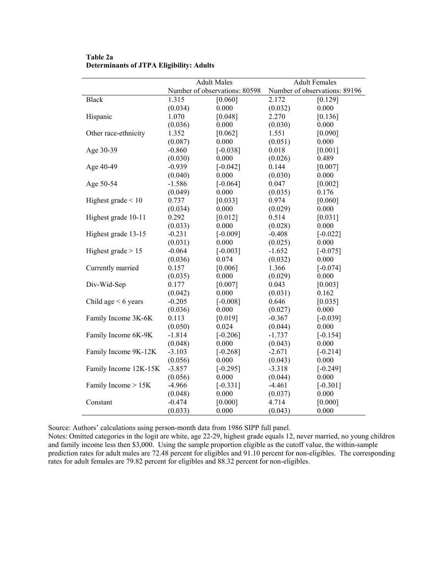|                       |          | <b>Adult Males</b>            |          | <b>Adult Females</b>          |
|-----------------------|----------|-------------------------------|----------|-------------------------------|
|                       |          | Number of observations: 80598 |          | Number of observations: 89196 |
| <b>Black</b>          | 1.315    | [0.060]                       | 2.172    | [0.129]                       |
|                       | (0.034)  | 0.000                         | (0.032)  | 0.000                         |
| Hispanic              | 1.070    | [0.048]                       | 2.270    | [0.136]                       |
|                       | (0.036)  | 0.000                         | (0.030)  | 0.000                         |
| Other race-ethnicity  | 1.352    | [0.062]                       | 1.551    | [0.090]                       |
|                       | (0.087)  | 0.000                         | (0.051)  | 0.000                         |
| Age 30-39             | $-0.860$ | $[-0.038]$                    | 0.018    | [0.001]                       |
|                       | (0.030)  | 0.000                         | (0.026)  | 0.489                         |
| Age 40-49             | $-0.939$ | $[-0.042]$                    | 0.144    | [0.007]                       |
|                       | (0.040)  | 0.000                         | (0.030)  | 0.000                         |
| Age 50-54             | $-1.586$ | $[-0.064]$                    | 0.047    | [0.002]                       |
|                       | (0.049)  | 0.000                         | (0.035)  | 0.176                         |
| Highest grade $< 10$  | 0.737    | [0.033]                       | 0.974    | [0.060]                       |
|                       | (0.034)  | 0.000                         | (0.029)  | 0.000                         |
| Highest grade 10-11   | 0.292    | [0.012]                       | 0.514    | [0.031]                       |
|                       | (0.033)  | 0.000                         | (0.028)  | 0.000                         |
| Highest grade 13-15   | $-0.231$ | $[-0.009]$                    | $-0.408$ | $[-0.022]$                    |
|                       | (0.031)  | 0.000                         | (0.025)  | 0.000                         |
| Highest grade $> 15$  | $-0.064$ | $[-0.003]$                    | $-1.652$ | $[-0.075]$                    |
|                       | (0.036)  | 0.074                         | (0.032)  | 0.000                         |
| Currently married     | 0.157    | [0.006]                       | 1.366    | $[-0.074]$                    |
|                       | (0.035)  | 0.000                         | (0.029)  | 0.000                         |
| Div-Wid-Sep           | 0.177    | [0.007]                       | 0.043    | [0.003]                       |
|                       | (0.042)  | 0.000                         | (0.031)  | 0.162                         |
| Child age $< 6$ years | $-0.205$ | $[-0.008]$                    | 0.646    | [0.035]                       |
|                       | (0.036)  | 0.000                         | (0.027)  | 0.000                         |
| Family Income 3K-6K   | 0.113    | [0.019]                       | $-0.367$ | $[-0.039]$                    |
|                       | (0.050)  | 0.024                         | (0.044)  | 0.000                         |
| Family Income 6K-9K   | $-1.814$ | $[-0.206]$                    | $-1.737$ | $[-0.154]$                    |
|                       | (0.048)  | 0.000                         | (0.043)  | 0.000                         |
| Family Income 9K-12K  | $-3.103$ | $[-0.268]$                    | $-2.671$ | $[-0.214]$                    |
|                       | (0.056)  | 0.000                         | (0.043)  | 0.000                         |
| Family Income 12K-15K | $-3.857$ | $[-0.295]$                    | $-3.318$ | $[-0.249]$                    |
|                       | (0.056)  | 0.000                         | (0.044)  | 0.000                         |
| Family Income > 15K   | $-4.966$ | $[-0.331]$                    | $-4.461$ | $[-0.301]$                    |
|                       | (0.048)  | 0.000                         | (0.037)  | 0.000                         |
| Constant              | $-0.474$ | [0.000]                       | 4.714    | [0.000]                       |
|                       | (0.033)  | 0.000                         | (0.043)  | 0.000                         |

# **Table 2a Determinants of JTPA Eligibility: Adults**

Source: Authors' calculations using person-month data from 1986 SIPP full panel.

Notes: Omitted categories in the logit are white, age 22-29, highest grade equals 12, never married, no young children and family income less then \$3,000. Using the sample proportion eligible as the cutoff value, the within-sample prediction rates for adult males are 72.48 percent for eligibles and 91.10 percent for non-eligibles. The corresponding rates for adult females are 79.82 percent for eligibles and 88.32 percent for non-eligibles.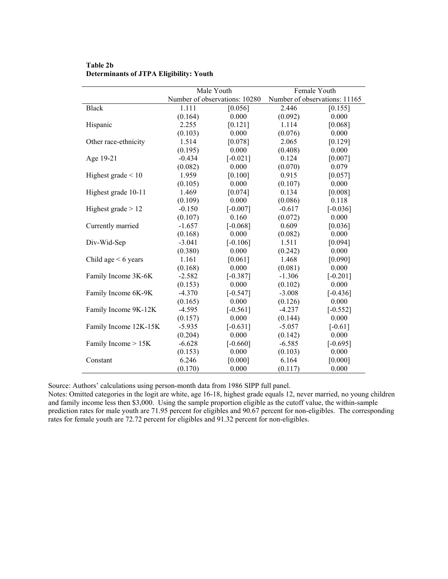|                          |          | Male Youth                    |          | Female Youth                  |
|--------------------------|----------|-------------------------------|----------|-------------------------------|
|                          |          | Number of observations: 10280 |          | Number of observations: 11165 |
| <b>Black</b>             | 1.111    | [0.056]                       | 2.446    | [0.155]                       |
|                          | (0.164)  | 0.000                         | (0.092)  | 0.000                         |
| Hispanic                 | 2.255    | [0.121]                       | 1.114    | [0.068]                       |
|                          | (0.103)  | 0.000                         | (0.076)  | 0.000                         |
| Other race-ethnicity     | 1.514    | [0.078]                       | 2.065    | [0.129]                       |
|                          | (0.195)  | 0.000                         | (0.408)  | 0.000                         |
| Age 19-21                | $-0.434$ | $[-0.021]$                    | 0.124    | [0.007]                       |
|                          | (0.082)  | 0.000                         | (0.070)  | 0.079                         |
| Highest grade $\leq 10$  | 1.959    | [0.100]                       | 0.915    | [0.057]                       |
|                          | (0.105)  | 0.000                         | (0.107)  | 0.000                         |
| Highest grade 10-11      | 1.469    | [0.074]                       | 0.134    | [0.008]                       |
|                          | (0.109)  | 0.000                         | (0.086)  | 0.118                         |
| Highest grade $> 12$     | $-0.150$ | $[-0.007]$                    | $-0.617$ | $[-0.036]$                    |
|                          | (0.107)  | 0.160                         | (0.072)  | 0.000                         |
| Currently married        | $-1.657$ | $[-0.068]$                    | 0.609    | [0.036]                       |
|                          | (0.168)  | 0.000                         | (0.082)  | 0.000                         |
| Div-Wid-Sep              | $-3.041$ | $[-0.106]$                    | 1.511    | [0.094]                       |
|                          | (0.380)  | 0.000                         | (0.242)  | 0.000                         |
| Child age $\leq 6$ years | 1.161    | [0.061]                       | 1.468    | [0.090]                       |
|                          | (0.168)  | 0.000                         | (0.081)  | 0.000                         |
| Family Income 3K-6K      | $-2.582$ | $[-0.387]$                    | $-1.306$ | $[-0.201]$                    |
|                          | (0.153)  | 0.000                         | (0.102)  | 0.000                         |
| Family Income 6K-9K      | $-4.370$ | $[-0.547]$                    | $-3.008$ | $[-0.436]$                    |
|                          | (0.165)  | 0.000                         | (0.126)  | 0.000                         |
| Family Income 9K-12K     | $-4.595$ | $[-0.561]$                    | $-4.237$ | $[-0.552]$                    |
|                          | (0.157)  | 0.000                         | (0.144)  | 0.000                         |
| Family Income 12K-15K    | $-5.935$ | $[-0.631]$                    | $-5.057$ | $[-0.61]$                     |
|                          | (0.204)  | 0.000                         | (0.142)  | 0.000                         |
| Family Income > 15K      | $-6.628$ | $[-0.660]$                    | $-6.585$ | $[-0.695]$                    |
|                          | (0.153)  | 0.000                         | (0.103)  | 0.000                         |
| Constant                 | 6.246    | [0.000]                       | 6.164    | [0.000]                       |
|                          | (0.170)  | 0.000                         | (0.117)  | 0.000                         |

# **Table 2b Determinants of JTPA Eligibility: Youth**

Source: Authors' calculations using person-month data from 1986 SIPP full panel.

Notes: Omitted categories in the logit are white, age 16-18, highest grade equals 12, never married, no young children and family income less then \$3,000. Using the sample proportion eligible as the cutoff value, the within-sample prediction rates for male youth are 71.95 percent for eligibles and 90.67 percent for non-eligibles. The corresponding rates for female youth are 72.72 percent for eligibles and 91.32 percent for non-eligibles.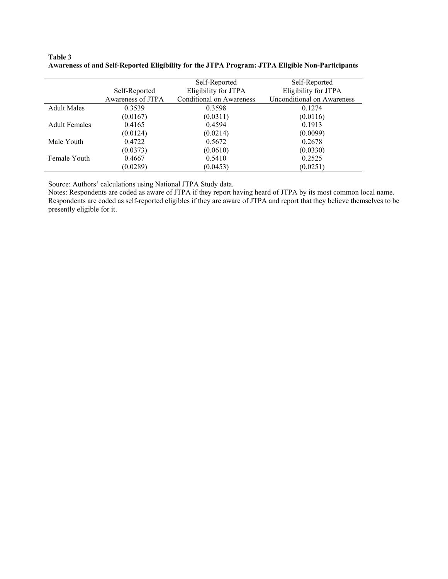|                      |                   | Self-Reported                   | Self-Reported                     |
|----------------------|-------------------|---------------------------------|-----------------------------------|
|                      | Self-Reported     | Eligibility for JTPA            | Eligibility for JTPA              |
|                      | Awareness of JTPA | <b>Conditional on Awareness</b> | <b>Unconditional on Awareness</b> |
| <b>Adult Males</b>   | 0.3539            | 0.3598                          | 0.1274                            |
|                      | (0.0167)          | (0.0311)                        | (0.0116)                          |
| <b>Adult Females</b> | 0.4165            | 0.4594                          | 0.1913                            |
|                      | (0.0124)          | (0.0214)                        | (0.0099)                          |
| Male Youth           | 0.4722            | 0.5672                          | 0.2678                            |
|                      | (0.0373)          | (0.0610)                        | (0.0330)                          |
| Female Youth         | 0.4667            | 0.5410                          | 0.2525                            |
|                      | (0.0289)          | (0.0453)                        | (0.0251)                          |

# **Table 3 Awareness of and Self-Reported Eligibility for the JTPA Program: JTPA Eligible Non-Participants**

Source: Authors' calculations using National JTPA Study data.

Notes: Respondents are coded as aware of JTPA if they report having heard of JTPA by its most common local name. Respondents are coded as self-reported eligibles if they are aware of JTPA and report that they believe themselves to be presently eligible for it.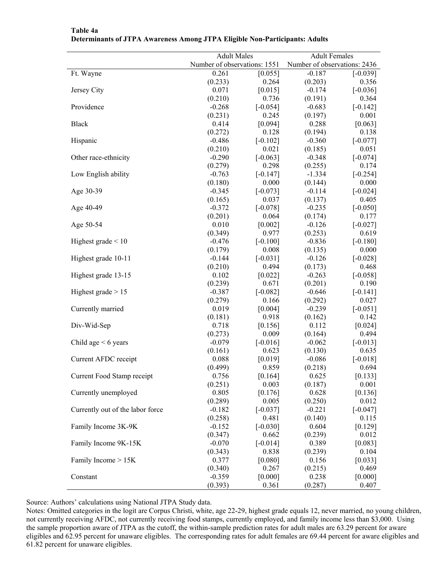|                                  |                     | <b>Adult Males</b>           | <b>Adult Females</b>         |                    |
|----------------------------------|---------------------|------------------------------|------------------------------|--------------------|
|                                  |                     | Number of observations: 1551 | Number of observations: 2436 |                    |
| Ft. Wayne                        | 0.261               | [0.055]                      | $-0.187$                     | $[-0.039]$         |
|                                  | (0.233)             | 0.264                        | (0.203)                      | 0.356              |
| Jersey City                      | 0.071               | [0.015]                      | $-0.174$                     | $[-0.036]$         |
|                                  | (0.210)             | 0.736                        | (0.191)                      | 0.364              |
| Providence                       | $-0.268$            | $[-0.054]$                   | $-0.683$                     | $[-0.142]$         |
|                                  | (0.231)             | 0.245                        | (0.197)                      | 0.001              |
| <b>Black</b>                     | 0.414               | [0.094]                      | 0.288                        | [0.063]            |
|                                  | (0.272)             | 0.128                        | (0.194)                      | 0.138              |
| Hispanic                         | $-0.486$            | $[-0.102]$                   | $-0.360$                     | $[-0.077]$         |
|                                  | (0.210)             | 0.021                        | (0.185)                      | 0.051              |
| Other race-ethnicity             | $-0.290$            | $[-0.063]$                   | $-0.348$                     | $[-0.074]$         |
|                                  | (0.279)             | 0.298                        | (0.255)                      | 0.174              |
| Low English ability              | $-0.763$            | $[-0.147]$                   | $-1.334$                     | $[-0.254]$         |
|                                  | (0.180)             | 0.000                        | (0.144)                      | 0.000              |
| Age 30-39                        | $-0.345$            | $[-0.073]$                   | $-0.114$                     | $[-0.024]$         |
|                                  | (0.165)             | 0.037                        | (0.137)                      | 0.405              |
| Age 40-49                        | $-0.372$            | $[-0.078]$                   | $-0.235$                     | $[-0.050]$         |
|                                  | (0.201)             | 0.064                        | (0.174)                      | 0.177              |
| Age 50-54                        | 0.010               | [0.002]                      | $-0.126$                     | $[-0.027]$         |
|                                  | (0.349)             | 0.977                        | (0.253)                      | 0.619              |
| Highest grade $< 10$             | $-0.476$            | $[-0.100]$                   | $-0.836$                     | $[-0.180]$         |
|                                  | (0.179)             | 0.008                        | (0.135)                      | 0.000              |
| Highest grade 10-11              | $-0.144$            | $[-0.031]$                   | $-0.126$                     | $[-0.028]$         |
|                                  | (0.210)             | 0.494                        | (0.173)                      | 0.468              |
| Highest grade 13-15              | 0.102               | [0.022]                      | $-0.263$                     | $[-0.058]$         |
|                                  | (0.239)             | 0.671                        | (0.201)                      | 0.190              |
| Highest grade $> 15$             | $-0.387$            | $[-0.082]$                   | $-0.646$                     | $[-0.141]$         |
|                                  | (0.279)             | 0.166                        | (0.292)                      | 0.027              |
| Currently married                | 0.019               | [0.004]                      | $-0.239$                     | $[-0.051]$         |
|                                  | (0.181)             | 0.918                        | (0.162)                      | 0.142              |
| Div-Wid-Sep                      | 0.718               | [0.156]                      | 0.112                        | [0.024]            |
|                                  | (0.273)             | 0.009                        | (0.164)                      | 0.494              |
| Child age $\leq 6$ years         | $-0.079$            | $[-0.016]$                   | $-0.062$                     | $[-0.013]$         |
|                                  | (0.161)             | 0.623                        | (0.130)                      | 0.635              |
| Current AFDC receipt             | 0.088               | [0.019]                      | $-0.086$                     | $[-0.018]$         |
|                                  | (0.499)             | 0.859                        | (0.218)                      | 0.694              |
| Current Food Stamp receipt       | 0.756               | [0.164]                      | 0.625                        | [0.133]            |
|                                  | (0.251)             | 0.003                        | (0.187)                      | 0.001              |
| Currently unemployed             | 0.805               | [0.176]                      | 0.628                        | [0.136]            |
|                                  | (0.289)             | 0.005                        | (0.250)                      | 0.012              |
| Currently out of the labor force | $-0.182$            | $[-0.037]$                   | $-0.221$                     | $[-0.047]$         |
| Family Income 3K-9K              | (0.258)<br>$-0.152$ | 0.481                        | (0.140)<br>0.604             | 0.115              |
|                                  | (0.347)             | $[-0.030]$<br>0.662          | (0.239)                      | $[0.129]$<br>0.012 |
| Family Income 9K-15K             | $-0.070$            |                              | 0.389                        |                    |
|                                  | (0.343)             | $[-0.014]$<br>0.838          | (0.239)                      | [0.083]<br>0.104   |
| Family Income > 15K              | 0.377               | [0.080]                      | 0.156                        | $[0.033]$          |
|                                  | (0.340)             | 0.267                        | (0.215)                      | 0.469              |
| Constant                         | $-0.359$            | [0.000]                      | 0.238                        | [0.000]            |
|                                  | (0.393)             | 0.361                        | (0.287)                      | 0.407              |

**Table 4a Determinants of JTPA Awareness Among JTPA Eligible Non-Participants: Adults** 

Source: Authors' calculations using National JTPA Study data.

Notes: Omitted categories in the logit are Corpus Christi, white, age 22-29, highest grade equals 12, never married, no young children, not currently receiving AFDC, not currently receiving food stamps, currently employed, and family income less than \$3,000. Using the sample proportion aware of JTPA as the cutoff, the within-sample prediction rates for adult males are 63.29 percent for aware eligibles and 62.95 percent for unaware eligibles. The corresponding rates for adult females are 69.44 percent for aware eligibles and 61.82 percent for unaware eligibles.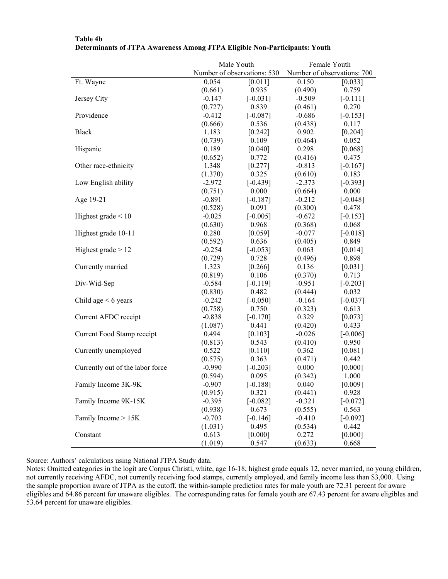|                                  |                  | Male Youth                  |          | Female Youth                |
|----------------------------------|------------------|-----------------------------|----------|-----------------------------|
|                                  |                  | Number of observations: 530 |          | Number of observations: 700 |
| Ft. Wayne                        | 0.054            | [0.011]                     | 0.150    | [0.033]                     |
|                                  | (0.661)          | 0.935                       | (0.490)  | 0.759                       |
| Jersey City                      | $-0.147$         | $[-0.031]$                  | $-0.509$ | $[-0.111]$                  |
|                                  | (0.727)          | 0.839                       | (0.461)  | 0.270                       |
| Providence                       | $-0.412$         | $[-0.087]$                  | $-0.686$ | $[-0.153]$                  |
|                                  | (0.666)          | 0.536                       | (0.438)  | 0.117                       |
| <b>Black</b>                     | 1.183            | [0.242]                     | 0.902    | [0.204]                     |
|                                  | (0.739)          | 0.109                       | (0.464)  | 0.052                       |
| Hispanic                         | 0.189            | [0.040]                     | 0.298    | [0.068]                     |
|                                  | (0.652)          | 0.772                       | (0.416)  | 0.475                       |
| Other race-ethnicity             | 1.348            | [0.277]                     | $-0.813$ | $[-0.167]$                  |
|                                  | (1.370)          | 0.325                       | (0.610)  | 0.183                       |
| Low English ability              | $-2.972$         | $[-0.439]$                  | $-2.373$ | $[-0.393]$                  |
|                                  | (0.751)          | 0.000                       | (0.664)  | 0.000                       |
| Age 19-21                        | $-0.891$         | $[-0.187]$                  | $-0.212$ | $[-0.048]$                  |
|                                  | (0.528)          | 0.091                       | (0.300)  | 0.478                       |
| Highest grade $< 10$             | $-0.025$         | $[-0.005]$                  | $-0.672$ |                             |
|                                  |                  | 0.968                       | (0.368)  | $[-0.153]$<br>0.068         |
|                                  | (0.630)<br>0.280 |                             |          |                             |
| Highest grade 10-11              |                  | [0.059]                     | $-0.077$ | $[-0.018]$                  |
|                                  | (0.592)          | 0.636                       | (0.405)  | 0.849                       |
| Highest grade $> 12$             | $-0.254$         | $[-0.053]$                  | 0.063    | [0.014]                     |
|                                  | (0.729)          | 0.728                       | (0.496)  | 0.898                       |
| Currently married                | 1.323            | [0.266]                     | 0.136    | [0.031]                     |
|                                  | (0.819)          | 0.106                       | (0.370)  | 0.713                       |
| Div-Wid-Sep                      | $-0.584$         | $[-0.119]$                  | $-0.951$ | $[-0.203]$                  |
|                                  | (0.830)          | 0.482                       | (0.444)  | 0.032                       |
| Child age $< 6$ years            | $-0.242$         | $[-0.050]$                  | $-0.164$ | $[-0.037]$                  |
|                                  | (0.758)          | 0.750                       | (0.323)  | 0.613                       |
| Current AFDC receipt             | $-0.838$         | $[-0.170]$                  | 0.329    | [0.073]                     |
|                                  | (1.087)          | 0.441                       | (0.420)  | 0.433                       |
| Current Food Stamp receipt       | 0.494            | [0.103]                     | $-0.026$ | $[-0.006]$                  |
|                                  | (0.813)          | 0.543                       | (0.410)  | 0.950                       |
| Currently unemployed             | 0.522            | [0.110]                     | 0.362    | [0.081]                     |
|                                  | (0.575)          | 0.363                       | (0.471)  | 0.442                       |
| Currently out of the labor force | $-0.990$         | $[-0.203]$                  | 0.000    | [0.000]                     |
|                                  | (0.594)          | 0.095                       | (0.342)  | 1.000                       |
| Family Income 3K-9K              | $-0.907$         | $[-0.188]$                  | 0.040    | [0.009]                     |
|                                  | (0.915)          | 0.321                       | (0.441)  | 0.928                       |
| Family Income 9K-15K             | $-0.395$         | $[-0.082]$                  | $-0.321$ | $[-0.072]$                  |
|                                  | (0.938)          | 0.673                       | (0.555)  | 0.563                       |
| Family Income > 15K              | $-0.703$         | $[-0.146]$                  | $-0.410$ | $[-0.092]$                  |
|                                  | (1.031)          | 0.495                       | (0.534)  | 0.442                       |
| Constant                         | 0.613            | $[0.000]$                   | 0.272    | [0.000]                     |
|                                  | (1.019)          | 0.547                       | (0.633)  | 0.668                       |

**Table 4b Determinants of JTPA Awareness Among JTPA Eligible Non-Participants: Youth**

Source: Authors' calculations using National JTPA Study data.

Notes: Omitted categories in the logit are Corpus Christi, white, age 16-18, highest grade equals 12, never married, no young children, not currently receiving AFDC, not currently receiving food stamps, currently employed, and family income less than \$3,000. Using the sample proportion aware of JTPA as the cutoff, the within-sample prediction rates for male youth are 72.31 percent for aware eligibles and 64.86 percent for unaware eligibles. The corresponding rates for female youth are 67.43 percent for aware eligibles and 53.64 percent for unaware eligibles.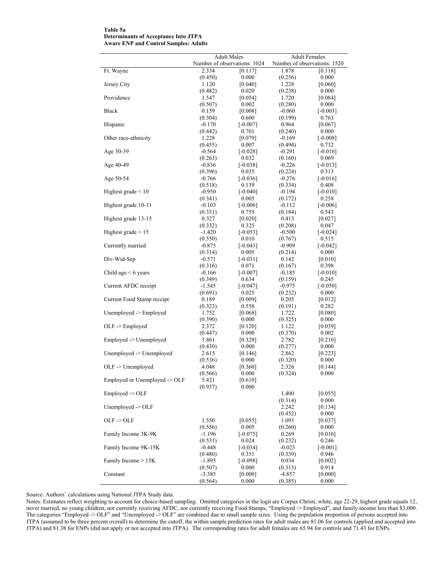#### **Table 5a Determinants of Acceptance Into JTPA Aware ENP and Control Samples: Adults**

|                               |                     | <b>Adult Males</b>           |                  | <b>Adult Females</b>         |
|-------------------------------|---------------------|------------------------------|------------------|------------------------------|
|                               |                     | Number of observations: 1024 |                  | Number of observations: 1520 |
| Ft. Wayne                     | 2.334               | [0.117]                      | 1.878            | [0.118]                      |
|                               | (0.450)             | 0.000                        | (0.256)          | 0.000                        |
| Jersey City                   | 1.120               | [0.040]                      | 1.228            | [0.060]                      |
|                               | (0.482)             | 0.020                        | (0.238)          | 0.000                        |
| Providence                    | 1.547               | [0.054]                      | 1.720            | [0.084]                      |
|                               | (0.507)             | 0.002                        | (0.280)          | 0.000                        |
| <b>Black</b>                  | 0.159<br>(0.304)    | [0.008]<br>0.600             | $-0.060$         | $[-0.003]$<br>0.763          |
| Hispanic                      | $-0.170$            | $[-0.007]$                   | (0.199)<br>0.964 | [0.067]                      |
|                               | (0.442)             | 0.701                        | (0.240)          | 0.000                        |
| Other race-ethnicity          | 1.228               | [0.079]                      | $-0.169$         | $[-0.008]$                   |
|                               | (0.455)             | 0.007                        | (0.494)          | 0.732                        |
| Age 30-39                     | $-0.564$            | $[-0.028]$                   | $-0.291$         | $[-0.016]$                   |
|                               | (0.263)             | 0.032                        | (0.160)          | 0.069                        |
| Age 40-49                     | $-0.836$            | $[-0.038]$                   | $-0.226$         | $[-0.013]$                   |
|                               | (0.396)             | 0.035                        | (0.224)          | 0.313                        |
| Age 50-54                     | $-0.766$            | $[-0.036]$                   | $-0.276$         | $[-0.016]$                   |
|                               | (0.518)             | 0.139                        | (0.334)          | 0.408                        |
| Highest grade $\leq 10$       | $-0.950$            | $[-0.040]$                   | $-0.194$         | $[-0.010]$                   |
|                               | (0.341)             | 0.005                        | (0.172)          | 0.258                        |
| Highest grade 10-11           | $-0.103$            | $[-0.006]$                   | $-0.112$         | $[-0.006]$                   |
|                               | (0.331)             | 0.755                        | (0.184)          | 0.543                        |
| Highest grade 13-15           | 0.327               | [0.020]<br>0.325             | 0.413<br>(0.208) | [0.027]<br>0.047             |
| Highest grade $> 15$          | (0.332)<br>$-1.420$ | $[-0.053]$                   | $-0.500$         | $[-0.024]$                   |
|                               | (0.550)             | 0.010                        | (0.767)          | 0.515                        |
| Currently married             | $-0.875$            | $[-0.043]$                   | $-0.909$         | $[-0.042]$                   |
|                               | (0.314)             | 0.005                        | (0.214)          | 0.000                        |
| Div-Wid-Sep                   | $-0.571$            | $[-0.031]$                   | 0.142            | [0.010]                      |
|                               | (0.316)             | 0.071                        | (0.167)          | 0.398                        |
| Child age $\leq 6$ years      | $-0.166$            | $[-0.007]$                   | $-0.185$         | $[-0.010]$                   |
|                               | (0.349)             | 0.634                        | (0.159)          | 0.245                        |
| Current AFDC receipt          | $-1.545$            | $[-0.047]$                   | $-0.975$         | $[-0.050]$                   |
|                               | (0.691)             | 0.025                        | (0.232)          | 0.000                        |
| Current Food Stamp receipt    | 0.189               | [0.009]                      | 0.205            | [0.012]                      |
|                               | (0.323)             | 0.558                        | (0.191)          | 0.282                        |
| Unemployed -> Employed        | 1.752               | [0.068]                      | 1.722            | [0.080]                      |
| $OLE$ -> Employed             | (0.390)<br>2.372    | 0.000                        | (0.325)<br>1.122 | 0.000                        |
|                               | (0.447)             | [0.120]<br>0.000             | (0.370)          | [0.039]<br>0.002             |
| Employed -> Unemployed        | 3.861               | [0.328]                      | 2.782            | [0.210]                      |
|                               | (0.430)             | 0.000                        | (0.277)          | 0.000                        |
| Unemployed -> Unemployed      | 2.615               | [0.146]                      | 2.862            | [0.223]                      |
|                               | (0.536)             | 0.000                        | (0.320)          | 0.000                        |
| $OLF \geq Unemployed$         | 4.048               | [0.360]                      | 2.326            | [0.144]                      |
|                               | (0.566)             | 0.000                        | (0.324)          | 0.000                        |
| Employed or Unemployed -> OLF | 5.421               | [0.610]                      |                  |                              |
|                               | (0.937)             | 0.000                        |                  |                              |
| Employed -> OLF               |                     |                              | 1.400            | [0.055]                      |
|                               |                     |                              | (0.314)          | 0.000                        |
| Unemployed -> OLF             |                     |                              | 2.242            | [0.134]                      |
| $OLF \geq OLF$                | 1.550               |                              | (0.452)<br>1.093 | 0.000                        |
|                               | (0.556)             | [0.055]<br>0.005             | (0.260)          | [0.037]<br>0.000             |
| Family Income 3K-9K           | $-1.196$            | $[-0.075]$                   | 0.269            | [0.016]                      |
|                               | (0.531)             | 0.024                        | (0.232)          | 0.246                        |
| Family Income 9K-15K          | $-0.448$            | $[-0.034]$                   | $-0.023$         | $[-0.001]$                   |
|                               | (0.480)             | 0.351                        | (0.339)          | 0.946                        |
| Family Income > 15K           | -1.895              | $[-0.098]$                   | 0.034            | [0.002]                      |
|                               | (0.507)             | 0.000                        | (0.313)          | 0.914                        |
| Constant                      | $-3.385$            | [0.000]                      | $-4.857$         | [0.000]                      |
|                               | (0.564)             | 0.000                        | (0.385)          | 0.000                        |

Source: Authors' calculations using National JTPA Study data.

Notes: Estimates reflect weighting to account for choice-based sampling. Omitted categories in the logit are Corpus Christi, white, age 22-29, highest grade equals 12, never married, no young children, not currently receiving AFDC, not currently receiving Food Stamps, "Employed -> Employed", and family income less than \$3,000. The categories "Employed -> OLF" and "Unemployed -> OLF" are combined due to small sample sizes. Using the population proportion of persons accepted into JTPA (assumed to be three percent overall) to determine the cutoff, the within sample prediction rates for adult males are 81.06 for controls (applied and accepted into JTPA) and 81.38 for ENPs (did not apply or not accepted into JTPA). The corresponding rates for adult females are 65.94 for controls and 71.43 for ENPs.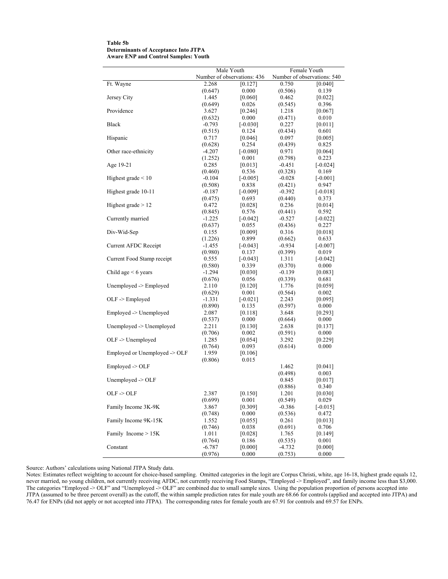#### **Table 5b Determinants of Acceptance Into JTPA Aware ENP and Control Samples: Youth**

|                               |          | Male Youth                  |          | Female Youth                |
|-------------------------------|----------|-----------------------------|----------|-----------------------------|
|                               |          | Number of observations: 436 |          | Number of observations: 540 |
| Ft. Wayne                     | 2.268    | [0.127]                     | 0.750    | [0.040]                     |
|                               | (0.647)  | 0.000                       | (0.506)  | 0.139                       |
| Jersey City                   | 1.445    | [0.060]                     | 0.462    | [0.022]                     |
|                               | (0.649)  | 0.026                       | (0.545)  | 0.396                       |
| Providence                    | 3.627    | [0.246]                     | 1.218    | [0.067]                     |
|                               | (0.632)  | 0.000                       | (0.471)  | 0.010                       |
| Black                         | $-0.793$ | $[-0.030]$                  | 0.227    | [0.011]                     |
|                               | (0.515)  | 0.124                       | (0.434)  | 0.601                       |
| Hispanic                      | 0.717    | [0.046]                     | 0.097    | [0.005]                     |
|                               | (0.628)  | 0.254                       | (0.439)  | 0.825                       |
| Other race-ethnicity          | $-4.207$ | $[-0.080]$                  | 0.971    | [0.064]                     |
|                               | (1.252)  | 0.001                       | (0.798)  | 0.223                       |
| Age 19-21                     | 0.285    | [0.013]                     | $-0.451$ | $[-0.024]$                  |
|                               | (0.460)  | 0.536                       | (0.328)  | 0.169                       |
| Highest grade $\leq 10$       | $-0.104$ | $[-0.005]$                  | $-0.028$ | $[-0.001]$                  |
|                               | (0.508)  | 0.838                       | (0.421)  | 0.947                       |
| Highest grade 10-11           | $-0.187$ | $[-0.009]$                  | $-0.392$ | $[-0.018]$                  |
|                               | (0.475)  | 0.693                       | (0.440)  | 0.373                       |
| Highest grade $> 12$          | 0.472    | [0.028]                     | 0.236    | [0.014]                     |
|                               | (0.845)  | 0.576                       | (0.441)  | 0.592                       |
| Currently married             | $-1.225$ | $[-0.042]$                  | $-0.527$ | $[-0.022]$                  |
|                               | (0.637)  | 0.055                       | (0.436)  | 0.227                       |
| Div-Wid-Sep                   | 0.155    | [0.009]                     | 0.316    | [0.018]                     |
|                               | (1.226)  | 0.899                       | (0.662)  | 0.633                       |
| <b>Current AFDC Receipt</b>   | $-1.455$ | $[-0.043]$                  | $-0.934$ | $[-0.007]$                  |
|                               | (0.980)  | 0.137                       | (0.399)  | 0.019                       |
| Current Food Stamp receipt    | 0.555    | $[-0.043]$                  | 1.311    | $[-0.042]$                  |
|                               | (0.580)  | 0.339                       | (0.370)  | 0.000                       |
| Child age $\leq 6$ years      | $-1.294$ | [0.030]                     | $-0.139$ | [0.083]                     |
|                               | (0.676)  | 0.056                       | (0.339)  | 0.681                       |
| Unemployed -> Employed        | 2.110    | [0.120]                     | 1.776    | [0.059]                     |
|                               | (0.629)  | 0.001                       | (0.564)  | 0.002                       |
| $OLF \geq Emploved$           | $-1.331$ | $[-0.021]$                  | 2.243    | [0.095]                     |
|                               | (0.890)  | 0.135                       | (0.597)  | 0.000                       |
| $Emploved \ge Unemploved$     | 2.087    | [0.118]                     | 3.648    | [0.293]                     |
|                               | (0.537)  | 0.000                       | (0.664)  | 0.000                       |
| Unemployed -> Unemployed      | 2.211    | [0.130]                     | 2.638    | [0.137]                     |
|                               | (0.706)  | 0.002                       | (0.591)  | 0.000                       |
| $OLE \rightarrow Unemployed$  | 1.285    | [0.054]                     | 3.292    | [0.229]                     |
|                               | (0.764)  | 0.093                       | (0.614)  | 0.000                       |
| Employed or Unemployed -> OLF | 1.959    | [0.106]                     |          |                             |
|                               | (0.806)  | 0.015                       |          |                             |
| Employed -> OLF               |          |                             | 1.462    | [0.041]                     |
|                               |          |                             | (0.498)  | 0.003                       |
| Unemployed -> OLF             |          |                             | 0.845    | [0.017]                     |
|                               |          |                             | (0.886)  | 0.340                       |
| $OLF \rightarrow OLF$         | 2.387    | [0.150]                     | 1.201    | [0.030]                     |
|                               | (0.699)  | 0.001                       | (0.549)  | 0.029                       |
| Family Income 3K-9K           | 3.867    | [0.309]                     | $-0.386$ | $[-0.015]$                  |
|                               | (0.748)  | 0.000                       | (0.536)  | 0.472                       |
| Family Income 9K-15K          | 1.552    | [0.055]                     | 0.261    | [0.013]                     |
|                               | (0.746)  | 0.038                       | (0.691)  | 0.706                       |
| Family Income > 15K           | 1.011    | [0.028]                     | 1.765    | [0.149]                     |
|                               | (0.764)  | 0.186                       | (0.535)  | 0.001                       |
| Constant                      | $-6.787$ | [0.000]                     | $-4.732$ | [0.000]                     |
|                               | (0.976)  | 0.000                       | (0.753)  | 0.000                       |

Source: Authors' calculations using National JTPA Study data.

Notes: Estimates reflect weighting to account for choice-based sampling. Omitted categories in the logit are Corpus Christi, white, age 16-18, highest grade equals 12, never married, no young children, not currently receiving AFDC, not currently receiving Food Stamps, "Employed -> Employed", and family income less than \$3,000. The categories "Employed -> OLF" and "Unemployed -> OLF" are combined due to small sample sizes. Using the population proportion of persons accepted into JTPA (assumed to be three percent overall) as the cutoff, the within sample prediction rates for male youth are 68.66 for controls (applied and accepted into JTPA) and 76.47 for ENPs (did not apply or not accepted into JTPA). The corresponding rates for female youth are 67.91 for controls and 69.57 for ENPs.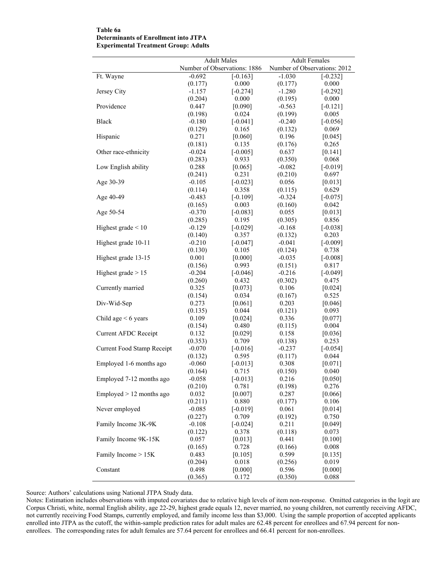## **Table 6a Determinants of Enrollment into JTPA Experimental Treatment Group: Adults**

|                             |          | <b>Adult Males</b>           |          | <b>Adult Females</b>         |
|-----------------------------|----------|------------------------------|----------|------------------------------|
|                             |          | Number of Observations: 1886 |          | Number of Observations: 2012 |
| Ft. Wayne                   | $-0.692$ | $[-0.163]$                   | $-1.030$ | $[-0.232]$                   |
|                             | (0.177)  | 0.000                        | (0.177)  | 0.000                        |
| Jersey City                 | $-1.157$ | $[-0.274]$                   | $-1.280$ | $[-0.292]$                   |
|                             | (0.204)  | 0.000                        | (0.195)  | 0.000                        |
| Providence                  | 0.447    | [0.090]                      | $-0.563$ | $[-0.121]$                   |
|                             | (0.198)  | 0.024                        | (0.199)  | 0.005                        |
| <b>Black</b>                | $-0.180$ | $[-0.041]$                   | $-0.240$ | $[-0.056]$                   |
|                             | (0.129)  | 0.165                        | (0.132)  | 0.069                        |
| Hispanic                    | 0.271    | [0.060]                      | 0.196    | [0.045]                      |
|                             | (0.181)  | 0.135                        | (0.176)  | 0.265                        |
| Other race-ethnicity        | $-0.024$ | $[-0.005]$                   | 0.637    | [0.141]                      |
|                             | (0.283)  | 0.933                        | (0.350)  | 0.068                        |
| Low English ability         | 0.288    | [0.065]                      | $-0.082$ | $[-0.019]$                   |
|                             | (0.241)  | 0.231                        | (0.210)  | 0.697                        |
| Age 30-39                   | $-0.105$ | $[-0.023]$                   | 0.056    | [0.013]                      |
|                             | (0.114)  | 0.358                        | (0.115)  | 0.629                        |
| Age 40-49                   | $-0.483$ | $[-0.109]$                   | $-0.324$ | $[-0.075]$                   |
|                             | (0.165)  | 0.003                        | (0.160)  | 0.042                        |
| Age 50-54                   | $-0.370$ | $[-0.083]$                   | 0.055    | [0.013]                      |
|                             | (0.285)  | 0.195                        | (0.305)  | 0.856                        |
| Highest grade $< 10$        | $-0.129$ | $[-0.029]$                   | $-0.168$ | $[-0.038]$                   |
|                             | (0.140)  | 0.357                        | (0.132)  | 0.203                        |
| Highest grade 10-11         | $-0.210$ | $[-0.047]$                   | $-0.041$ | $[-0.009]$                   |
|                             | (0.130)  | 0.105                        | (0.124)  | 0.738                        |
| Highest grade 13-15         | 0.001    | [0.000]                      | $-0.035$ | $[-0.008]$                   |
|                             | (0.156)  | 0.993                        | (0.151)  | 0.817                        |
| Highest grade $> 15$        | $-0.204$ | $[-0.046]$                   | $-0.216$ | $[-0.049]$                   |
|                             | (0.260)  | 0.432                        | (0.302)  | 0.475                        |
| Currently married           | 0.325    | [0.073]                      | 0.106    | [0.024]                      |
|                             | (0.154)  | 0.034                        | (0.167)  | 0.525                        |
| Div-Wid-Sep                 | 0.273    | [0.061]                      | 0.203    | [0.046]                      |
|                             | (0.135)  | 0.044                        | (0.121)  | 0.093                        |
| Child age $\leq 6$ years    | 0.109    | [0.024]                      | 0.336    | [0.077]                      |
|                             | (0.154)  | 0.480                        | (0.115)  | 0.004                        |
| <b>Current AFDC Receipt</b> | 0.132    | [0.029]                      | 0.158    | [0.036]                      |
|                             | (0.353)  | 0.709                        | (0.138)  | 0.253                        |
| Current Food Stamp Receipt  | $-0.070$ | $[-0.016]$                   | $-0.237$ | $[-0.054]$                   |
|                             | (0.132)  | 0.595                        | (0.117)  | 0.044                        |
| Employed 1-6 months ago     | $-0.060$ | $[-0.013]$                   | 0.308    | [0.071]                      |
|                             | (0.164)  | 0.715                        | (0.150)  | 0.040                        |
| Employed 7-12 months ago    | $-0.058$ | $[-0.013]$                   | 0.216    | [0.050]                      |
|                             | (0.210)  | 0.781                        | (0.198)  | 0.276                        |
| Employed $> 12$ months ago  | 0.032    | [0.007]                      | 0.287    | $[0.066]$                    |
|                             | (0.211)  | 0.880                        | (0.177)  | 0.106                        |
| Never employed              | $-0.085$ | $[-0.019]$                   | 0.061    | [0.014]                      |
|                             | (0.227)  | 0.709                        | (0.192)  | 0.750                        |
| Family Income 3K-9K         | $-0.108$ | $[-0.024]$                   | 0.211    | [0.049]                      |
|                             | (0.122)  | 0.378                        | (0.118)  | 0.073                        |
| Family Income 9K-15K        | 0.057    | [0.013]                      | 0.441    | [0.100]                      |
|                             | (0.165)  | 0.728                        | (0.166)  | 0.008                        |
| Family Income > 15K         | 0.483    | [0.105]                      | 0.599    | [0.135]                      |
|                             | (0.204)  | 0.018                        | (0.256)  | 0.019                        |
| Constant                    | 0.498    | [0.000]                      | 0.596    | [0.000]                      |
|                             | (0.365)  | 0.172                        | (0.350)  | 0.088                        |

Source: Authors' calculations using National JTPA Study data.

Notes: Estimation includes observations with imputed covariates due to relative high levels of item non-response. Omitted categories in the logit are Corpus Christi, white, normal English ability, age 22-29, highest grade equals 12, never married, no young children, not currently receiving AFDC, not currently receiving Food Stamps, currently employed, and family income less than \$3,000. Using the sample proportion of accepted applicants enrolled into JTPA as the cutoff, the within-sample prediction rates for adult males are 62.48 percent for enrollees and 67.94 percent for nonenrollees. The corresponding rates for adult females are 57.64 percent for enrollees and 66.41 percent for non-enrollees.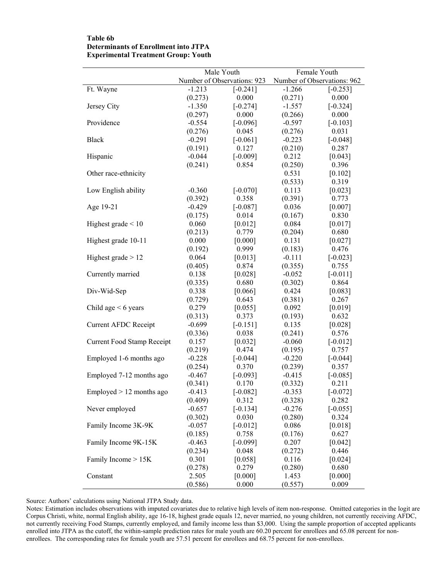# **Table 6b Determinants of Enrollment into JTPA Experimental Treatment Group: Youth**

|                                   |          | Male Youth                  |          | Female Youth                |
|-----------------------------------|----------|-----------------------------|----------|-----------------------------|
|                                   |          | Number of Observations: 923 |          | Number of Observations: 962 |
| Ft. Wayne                         | $-1.213$ | $[-0.241]$                  | $-1.266$ | $[-0.253]$                  |
|                                   | (0.273)  | 0.000                       | (0.271)  | 0.000                       |
| Jersey City                       | $-1.350$ | $[-0.274]$                  | $-1.557$ | $[-0.324]$                  |
|                                   | (0.297)  | 0.000                       | (0.266)  | 0.000                       |
| Providence                        | $-0.554$ | $[-0.096]$                  | $-0.597$ | $[-0.103]$                  |
|                                   | (0.276)  | 0.045                       | (0.276)  | 0.031                       |
| <b>Black</b>                      | $-0.291$ | $[-0.061]$                  | $-0.223$ | $[-0.048]$                  |
|                                   | (0.191)  | 0.127                       | (0.210)  | 0.287                       |
| Hispanic                          | $-0.044$ | $[-0.009]$                  | 0.212    | [0.043]                     |
|                                   | (0.241)  | 0.854                       | (0.250)  | 0.396                       |
| Other race-ethnicity              |          |                             | 0.531    | [0.102]                     |
|                                   |          |                             | (0.533)  | 0.319                       |
| Low English ability               | $-0.360$ | $[-0.070]$                  | 0.113    | [0.023]                     |
|                                   | (0.392)  | 0.358                       | (0.391)  | 0.773                       |
| Age 19-21                         | $-0.429$ | $[-0.087]$                  | 0.036    | [0.007]                     |
|                                   | (0.175)  | 0.014                       | (0.167)  | 0.830                       |
| Highest grade $< 10$              | 0.060    | [0.012]                     | 0.084    | [0.017]                     |
|                                   | (0.213)  | 0.779                       | (0.204)  | 0.680                       |
| Highest grade 10-11               | 0.000    | [0.000]                     | 0.131    | [0.027]                     |
|                                   | (0.192)  | 0.999                       | (0.183)  | 0.476                       |
| Highest grade $> 12$              | 0.064    | [0.013]                     | $-0.111$ | $[-0.023]$                  |
|                                   | (0.405)  | 0.874                       | (0.355)  | 0.755                       |
| Currently married                 | 0.138    | [0.028]                     | $-0.052$ | $[-0.011]$                  |
|                                   | (0.335)  | 0.680                       | (0.302)  | 0.864                       |
| Div-Wid-Sep                       | 0.338    | [0.066]                     | 0.424    | [0.083]                     |
|                                   | (0.729)  | 0.643                       | (0.381)  | 0.267                       |
| Child age $< 6$ years             | 0.279    | [0.055]                     | 0.092    | [0.019]                     |
|                                   | (0.313)  | 0.373                       | (0.193)  | 0.632                       |
| <b>Current AFDC Receipt</b>       | $-0.699$ | $[-0.151]$                  | 0.135    | $[0.028]$                   |
|                                   | (0.336)  | 0.038                       | (0.241)  | 0.576                       |
| <b>Current Food Stamp Receipt</b> | 0.157    | [0.032]                     | $-0.060$ | $[-0.012]$                  |
|                                   | (0.219)  | 0.474                       | (0.195)  | 0.757                       |
| Employed 1-6 months ago           | $-0.228$ | $[-0.044]$                  | $-0.220$ | $[-0.044]$                  |
|                                   | (0.254)  | 0.370                       | (0.239)  | 0.357                       |
| Employed 7-12 months ago          | $-0.467$ | $[-0.093]$                  | $-0.415$ | $[-0.085]$                  |
|                                   | (0.341)  | 0.170                       | (0.332)  | 0.211                       |
| Employed $> 12$ months ago        | $-0.413$ | $[-0.082]$                  | $-0.353$ | $[-0.072]$                  |
|                                   | (0.409)  | 0.312                       | (0.328)  | 0.282                       |
| Never employed                    | $-0.657$ | $[-0.134]$                  | $-0.276$ | $[-0.055]$                  |
|                                   | (0.302)  | 0.030                       | (0.280)  | 0.324                       |
| Family Income 3K-9K               | $-0.057$ | $[-0.012]$                  | 0.086    | $[0.018]$                   |
|                                   | (0.185)  | 0.758                       | (0.176)  | 0.627                       |
| Family Income 9K-15K              | $-0.463$ | $[-0.099]$                  | 0.207    | [0.042]                     |
|                                   | (0.234)  | 0.048                       | (0.272)  | 0.446                       |
| Family Income > 15K               | 0.301    | [0.058]                     | 0.116    | $[0.024]$                   |
|                                   | (0.278)  | 0.279                       | (0.280)  | 0.680                       |
| Constant                          | 2.505    | [0.000]                     | 1.453    | [0.000]                     |
|                                   | (0.586)  | 0.000                       | (0.557)  | 0.009                       |

Source: Authors' calculations using National JTPA Study data.

Notes: Estimation includes observations with imputed covariates due to relative high levels of item non-response. Omitted categories in the logit are Corpus Christi, white, normal English ability, age 16-18, highest grade equals 12, never married, no young children, not currently receiving AFDC, not currently receiving Food Stamps, currently employed, and family income less than \$3,000. Using the sample proportion of accepted applicants enrolled into JTPA as the cutoff, the within-sample prediction rates for male youth are 60.20 percent for enrollees and 65.08 percent for nonenrollees. The corresponding rates for female youth are 57.51 percent for enrollees and 68.75 percent for non-enrollees.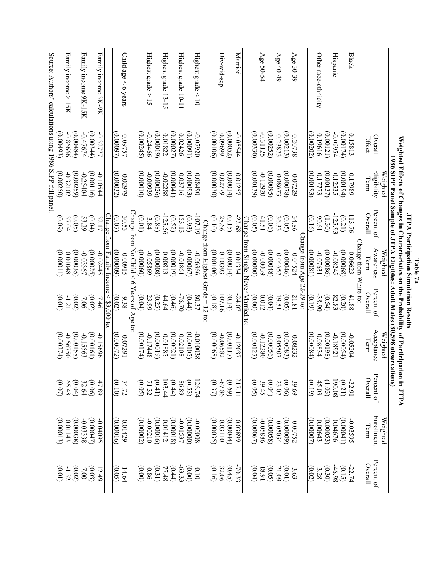|                          |                         |             |                     | Weighted Effects of Changes in Characteristics on the Probability of Participation in JTPA |                                             | <u> 1986 SIPP Panel Sample of JTPA Eligibles: Adult Males (80,598 observations)</u> |            |             |                     |
|--------------------------|-------------------------|-------------|---------------------|--------------------------------------------------------------------------------------------|---------------------------------------------|-------------------------------------------------------------------------------------|------------|-------------|---------------------|
|                          |                         | Weighted    |                     | Weighted                                                                                   |                                             | Weighted                                                                            |            | Weighted    |                     |
|                          | Overall                 | Eligibility | Percent of          | Awareness                                                                                  | Percent of                                  | Acceptance                                                                          | Percent of | Enrollment  | Percent of          |
|                          | Effect                  | <b>Term</b> | Overall             | Change from White to:<br>Ierm                                                              | Overall                                     | Term                                                                                | Overall    | <b>Term</b> | Overall             |
| <b>Black</b>             | 0.15813                 | 0.17989     | 113.76              | 0.06623                                                                                    | 41.88                                       | -0.05204                                                                            | $-32.91$   | -0.03595    | 22.74               |
|                          | (0.00174)               | (0.00194)   |                     | (0.00068)                                                                                  | (0.20)                                      | (0.00054)                                                                           | (0.21)     | (0.00041)   | (0.15)              |
| Hispanic                 | +55660.0-               | 0.12535     | $(0.21)$<br>-125.93 | -0.08245                                                                                   | 82.83                                       | -0.18921                                                                            | 190.08     | 0.04676     | -46.98              |
|                          | (0.00121)               | (0.00137)   | (1.30)              | (0.00086)                                                                                  | (0.54)                                      | (0.00198)                                                                           | (1.03)     | (0.00053)   | (0.30)              |
| Other race-ethnicity     | 0.1961.6                | 0.17773     | 19'06               | -0.07631                                                                                   | -38.90                                      | 0.08834                                                                             | 45.03      | 0.00643     | 3.28                |
|                          | (0.00202)               | (0.00193)   | (0.16)              | (0.00081)                                                                                  | (0.19)                                      | (0.00084)                                                                           | (0.19)     | (0.00007)   | (0.02)              |
|                          |                         |             |                     | Change from Age                                                                            | 22-<br>$-29$ to:                            |                                                                                     |            |             |                     |
| Age 30-39                | -0738                   | -07229      | 34.86               | 104524                                                                                     | 21.81                                       | -0.08232                                                                            | 39.69      | -0.00752    | 3.63                |
|                          | (0.00213)               | (0.00078)   | (0.05)              | (0.00046)                                                                                  | (0.05)                                      | (0.00083)                                                                           | (0.06)     | (0.00000)   | (0.01)              |
| Age $40-49$              | -0.23873                | £2980.0-    | 36.33               | -0.04657                                                                                   | 19.51                                       | -0.05507                                                                            | 23.07      | -0.05034    | 21.09               |
|                          | (0.00252)               | (0.00005)   | (0.06)              | (0.00048)                                                                                  | (0.04)                                      | (0.00056)                                                                           | (0.04)     | (0.00058)   | (0.05)              |
| Age 50-54                | -0.31125                | -0.12920    | 41.51               | -0.00039                                                                                   | 0.012                                       | -0.12280                                                                            | 39.45      | 98890.05    | 18.91               |
|                          | (0.00330)               | (0.00139)   | (0.05)              | (000000)                                                                                   | (0.00)                                      | (0.00127)                                                                           | (0.05)     | (0.00067)   | (0.04)              |
|                          |                         |             | Change              | from Single,                                                                               | Never Married to:                           |                                                                                     |            |             |                     |
| Married                  | -0.5544                 | 0.01257     | $-22.68$            | 0.01334                                                                                    | $-24.07$                                    | $-0.12037$                                                                          | 217.11     | 0.03899     | $-70.33$            |
|                          | (0.00052)               | (0.00014)   | (0.15)              | (0.00014)                                                                                  | (0.14)                                      | (0.00117)                                                                           | (0.69)     | (0.00044)   | (0.45)              |
| Div-wid-sep              | 66960'0                 | 0.02779     | 28.66               | 0.10393                                                                                    | 107.16                                      | -0.06582                                                                            | -67.86     | 0.03110     | 32.06               |
|                          | $(90100\bar{0})$        | (0.00030)   | (0.10)              | (901000)                                                                                   | (0.18)                                      | (90000)                                                                             | (0.37)     | (0.00035)   | (0.16)              |
|                          |                         |             | <b>Change</b>       | from Highest                                                                               | Grade = $12$<br>S                           |                                                                                     |            |             |                     |
| Highest grade < $10$     | -07920                  | 06+800      | $-107.19$           | 99£90'0-                                                                                   | 80.37                                       | 880010.0-                                                                           | 126.74     | 800000-     | 0.10                |
|                          | (160000)                | (0.00003)   | (0.93)              | (0.00067)                                                                                  | (0.44)                                      | (0.00105)                                                                           | (0.53)     | (000000)    | (0.00)              |
| Highest grade 10-11      | 0.02426                 | 0.03716     | 153.13              | 19810'0-                                                                                   | $-76.70$                                    | 0.02108                                                                             | 86.89      | -0.01537    | $-63.33$            |
|                          | (0.00027)               | (11,000000) | (0.52)              | (0.00019)                                                                                  | (0.46)                                      | (0.00021)                                                                           | (0.44)     | (0.00018)   | (0.44)              |
| Highest grade 13-15      | 0.01822                 | -0.02288    | $-125.56$           | 0.00813                                                                                    | 44.64                                       | 0.01885                                                                             | 103.44     | 0.01412     | 77.48               |
|                          | (610000)                | (0.00026)   | (0.88)              | (0.00008)                                                                                  | (0.25)                                      | (0.00019)                                                                           | (0.41)     | (0.00016)   | (0.31)              |
| Highest grade $>15$      | -0.24466                | -0.00939    | 3.84                | -0.05869                                                                                   | 23.99                                       | -0.17448                                                                            | 71.32      | $-0.00210$  | 980                 |
|                          | $\underline{(0.00245)}$ | (010000)    | (0.01)              | (0.00060)                                                                                  | (0.04)                                      | (0.00174)                                                                           | (0.05)     | 0.00002     | $\overline{(0.00)}$ |
|                          |                         |             |                     | Change from No Child <<br>$\circ$                                                          | Years of Age to:                            |                                                                                     |            |             |                     |
| Child age $\leq 6$ years | -0.09757                | -0.02979    | 30.53               | -0.00015                                                                                   | 9.38                                        | 162201                                                                              | 74.72      | 0.01429     | $-14.64$            |
|                          | (0.00007)               | (0.00032)   | (0.07)              | (600000)                                                                                   | (0.02)                                      | (0.00072)                                                                           | (0.10)     | (0.00016)   | (0.05)              |
|                          |                         |             |                     |                                                                                            | Change from Family Income $\leq 3.3,000$ to |                                                                                     |            |             |                     |
| Family income 3K-9K      | -0.32777                | $-0.10544$  | 32.17               | -0.02445                                                                                   | 7.46                                        | 0.15696                                                                             | 47.89      | -0.04095    | 12.49               |
|                          | (0.00344)               | (0.00116)   | (0.04)              | (0.00025)                                                                                  | (0.02)                                      | (0.00161)                                                                           | (0.06)     | (0.00047)   | (0.03)              |
| Family income 9K-15K     | 17674                   | -0.25404    | 53.29               | -0.03367                                                                                   | 7.06                                        | -0.15563                                                                            | 32.64      | -0.03338    | $7.00$              |
|                          | (0.00484)               | (0.00259)   | (0.05)              | (0.00035)                                                                                  | (0.02)                                      | (0.00158)                                                                           | (0.04)     | (0.00038)   | (0.02)              |
| Family income $>$ 15K    | -0.86666                | $-0.32102$  | 37.04               | 0.01048                                                                                    | $-1.21$                                     | 0SL9S 0-                                                                            | 65.48      | 0.01143     | 1.32                |
|                          | (0.00493)               | (0.00250)   | (0.09)              | (11000.0011)                                                                               | (0.01)                                      | (0.00274)                                                                           | (0.07)     | (0.00013)   | (10.01)             |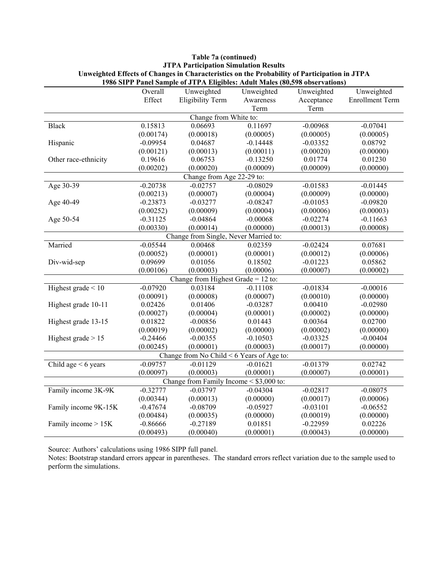|                          | Overall    | $\sim$ 00 $\sim$ 11 1 $\,$ 1 and $\sim$ ample 01 0 11 $\,$ 1 $\sim$ 10 $\rm g$ because $\sim$ 1 and $\sim$ 1 and $\sim$<br>Unweighted | Unweighted | Unweighted | Unweighted             |
|--------------------------|------------|---------------------------------------------------------------------------------------------------------------------------------------|------------|------------|------------------------|
|                          | Effect     | Eligibility Term                                                                                                                      | Awareness  | Acceptance | <b>Enrollment Term</b> |
|                          |            |                                                                                                                                       | Term       | Term       |                        |
|                          |            | Change from White to:                                                                                                                 |            |            |                        |
| <b>Black</b>             | 0.15813    | 0.06693                                                                                                                               | 0.11697    | $-0.00968$ | $-0.07041$             |
|                          | (0.00174)  | (0.00018)                                                                                                                             | (0.00005)  | (0.00005)  | (0.00005)              |
| Hispanic                 | $-0.09954$ | 0.04687                                                                                                                               | $-0.14448$ | $-0.03352$ | 0.08792                |
|                          | (0.00121)  | (0.00013)                                                                                                                             | (0.00011)  | (0.00020)  | (0.00000)              |
| Other race-ethnicity     | 0.19616    | 0.06753                                                                                                                               | $-0.13250$ | 0.01774    | 0.01230                |
|                          | (0.00202)  | (0.00020)                                                                                                                             | (0.00009)  | (0.00009)  | (0.00000)              |
|                          |            | Change from Age 22-29 to:                                                                                                             |            |            |                        |
| Age 30-39                | $-0.20738$ | $-0.02757$                                                                                                                            | $-0.08029$ | $-0.01583$ | $-0.01445$             |
|                          | (0.00213)  | (0.00007)                                                                                                                             | (0.00004)  | (0.00009)  | (0.00000)              |
| Age 40-49                | $-0.23873$ | $-0.03277$                                                                                                                            | $-0.08247$ | $-0.01053$ | $-0.09820$             |
|                          | (0.00252)  | (0.00009)                                                                                                                             | (0.00004)  | (0.00006)  | (0.00003)              |
| Age 50-54                | $-0.31125$ | $-0.04864$                                                                                                                            | $-0.00068$ | $-0.02274$ | $-0.11663$             |
|                          | (0.00330)  | (0.00014)                                                                                                                             | (0.00000)  | (0.00013)  | (0.00008)              |
|                          |            | Change from Single, Never Married to:                                                                                                 |            |            |                        |
| Married                  | $-0.05544$ | 0.00468                                                                                                                               | 0.02359    | $-0.02424$ | 0.07681                |
|                          | (0.00052)  | (0.00001)                                                                                                                             | (0.00001)  | (0.00012)  | (0.00006)              |
| Div-wid-sep              | 0.09699    | 0.01056                                                                                                                               | 0.18502    | $-0.01223$ | 0.05862                |
|                          | (0.00106)  | (0.00003)                                                                                                                             | (0.00006)  | (0.00007)  | (0.00002)              |
|                          |            | Change from Highest Grade = $12$ to:                                                                                                  |            |            |                        |
| Highest grade $\leq 10$  | $-0.07920$ | 0.03184                                                                                                                               | $-0.11108$ | $-0.01834$ | $-0.00016$             |
|                          | (0.00091)  | (0.00008)                                                                                                                             | (0.00007)  | (0.00010)  | (0.00000)              |
| Highest grade 10-11      | 0.02426    | 0.01406                                                                                                                               | $-0.03287$ | 0.00410    | $-0.02980$             |
|                          | (0.00027)  | (0.00004)                                                                                                                             | (0.00001)  | (0.00002)  | (0.00000)              |
| Highest grade 13-15      | 0.01822    | $-0.00856$                                                                                                                            | 0.01443    | 0.00364    | 0.02700                |
|                          | (0.00019)  | (0.00002)                                                                                                                             | (0.00000)  | (0.00002)  | (0.00000)              |
| Highest grade $> 15$     | $-0.24466$ | $-0.00355$                                                                                                                            | $-0.10503$ | $-0.03325$ | $-0.00404$             |
|                          | (0.00245)  | (0.00001)                                                                                                                             | (0.00003)  | (0.00017)  | (0.00000)              |
|                          |            | Change from No Child < 6 Years of Age to:                                                                                             |            |            |                        |
| Child age $\leq 6$ years | $-0.09757$ | $-0.01129$                                                                                                                            | $-0.01621$ | $-0.01379$ | 0.02742                |
|                          | (0.00097)  | (0.00003)                                                                                                                             | (0.00001)  | (0.00007)  | (0.00001)              |
|                          |            | Change from Family Income $\leq$ \$3,000 to:                                                                                          |            |            |                        |
| Family income 3K-9K      | $-0.32777$ | $-0.03797$                                                                                                                            | $-0.04304$ | $-0.02817$ | $-0.08075$             |
|                          | (0.00344)  | (0.00013)                                                                                                                             | (0.00000)  | (0.00017)  | (0.00006)              |
| Family income 9K-15K     | $-0.47674$ | $-0.08709$                                                                                                                            | $-0.05927$ | $-0.03101$ | $-0.06552$             |
|                          | (0.00484)  | (0.00035)                                                                                                                             | (0.00000)  | (0.00019)  | (0.00000)              |
| Family income > 15K      | $-0.86666$ | $-0.27189$                                                                                                                            | 0.01851    | $-0.22959$ | 0.02226                |
|                          | (0.00493)  | (0.00040)                                                                                                                             | (0.00001)  | (0.00043)  | (0.00000)              |

# **Table 7a (continued) JTPA Participation Simulation Results Unweighted Effects of Changes in Characteristics on the Probability of Participation in JTPA 1986 SIPP Panel Sample of JTPA Eligibles: Adult Males (80,598 observations)**

Source: Authors' calculations using 1986 SIPP full panel.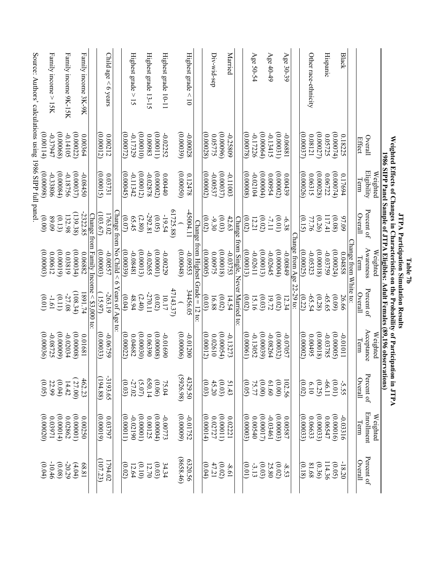|                                                           |                                     |                         |                         | <b>JTPA Participation Simulation Results</b><br>Iable 7b |                            |                                                                                                                                                                                     |                  |                       |                   |
|-----------------------------------------------------------|-------------------------------------|-------------------------|-------------------------|----------------------------------------------------------|----------------------------|-------------------------------------------------------------------------------------------------------------------------------------------------------------------------------------|------------------|-----------------------|-------------------|
|                                                           |                                     |                         |                         |                                                          |                            | Weighted Effects of Changes in Characteristics on the Probability of Participation in JTPA<br><u> 1986 SIPP Panel Sample of JTPA Eligibles: Adult Females (89,196 observations)</u> |                  |                       |                   |
|                                                           |                                     | Weighted                |                         | Weighted                                                 |                            | Weighted                                                                                                                                                                            |                  | Weighted              |                   |
|                                                           | Overall                             | Eligibility             | Percent of              | Awareness                                                | Percent of                 | Acceptance                                                                                                                                                                          | Percent of       | Enrollment            | Percent of        |
|                                                           | Effect                              | Term                    | Overall                 | hange from<br>Term                                       | White to:<br>Overall       | Term                                                                                                                                                                                | Overall          | Term                  | <u>Uverall</u>    |
| Black                                                     | 0.18225                             | 0.17694                 | 97.09                   | 0.04858                                                  | 26.66                      | 11010'0                                                                                                                                                                             | $-5.55$          | -0.03316              | $-18.20$          |
|                                                           | (0.00074)                           | (0.00074)               | (0.08)                  | (0.00024)                                                | (60.09)                    | (0.00005)                                                                                                                                                                           | (0.01)           | (0.00016)             | (0.05)            |
| Hispanic                                                  | 0.05725                             | 0.06722                 | 117.41                  | -03759                                                   | S9.55-                     | -0.03785                                                                                                                                                                            | $-66.11$         | 0.06547               | 114.36            |
|                                                           | (0.00027)                           | (0.00028)               | (0.26)                  | (0.00018)                                                | (0.28)                     | (0.00018)                                                                                                                                                                           | (0.25)           | (0.00033)             | (0.36)            |
| Other race-ethnicity                                      | 0.08121                             | 0.06315                 | 77.76                   | -0.05323                                                 | -65.54                     | 0.00495                                                                                                                                                                             | 6.10             | 0.06633               | 81.68             |
|                                                           | (0.00037)                           | (0.00026)               | (0.15)                  | (0.00025)                                                | (0.22)                     | (0.00002)                                                                                                                                                                           | (0.02)           | (0.00033)             | (0.18)            |
|                                                           |                                     |                         |                         | $\mathop{\rm Change}$ from Age                           | 22-29 to:                  |                                                                                                                                                                                     |                  |                       |                   |
| Age 30-39                                                 | 18890.0-                            | 0.00439                 | -6.38                   | 6+800.0-                                                 | 12.34                      | -0.07057                                                                                                                                                                            | 102.56           | 0.00587               | $-8.53$           |
|                                                           | (0.00031)                           | (0.00002)               | (0.01)                  | (0.00004)                                                | (0.02)                     | (0.00032)                                                                                                                                                                           | (0.00)           | (0.00003)             | (0.02)            |
| Age $40-49$                                               | $-0.13415$                          | 0.00954                 | $-7.11$                 | -0.02645                                                 | 19.72                      | -0.08264                                                                                                                                                                            | 09.19            | -0.03461              | 25.80             |
|                                                           | (0.00064)                           | (0.00004)               | (0.02)                  | (0.00013)                                                | (0.03)                     | (0.00039)                                                                                                                                                                           | (0.00)           | (0.00017)<br>0.00540  | (0.03)            |
| Age 50-54                                                 | (0.00078)<br>-0.17226               | (0.00008)<br>-0.02104   | (0.02)<br>12.21         | (0.00013)<br>-0.02611                                    | (0.02)<br>15.16            | (190000)<br>$-0.13052$                                                                                                                                                              | (0.05)<br>75.77  | (0.00003)             | (0.01)<br>$-3.13$ |
|                                                           |                                     |                         | <b>Change</b>           | from Single, Never Married to:                           |                            |                                                                                                                                                                                     |                  |                       |                   |
| Married                                                   | $-0.25809$                          | $-0.11003$              | 42.63                   | -0.03753                                                 | 14.54                      | $-0.13273$                                                                                                                                                                          | 51.43            | 0.02221               | 19.8-             |
|                                                           | (960000)                            | (0.00037)               | (0.03)                  | (0.00018)                                                | (0.02)                     | (0.00054)                                                                                                                                                                           | (0.03)           | (0.00011)             | (0.02)            |
| Div-wid-sep                                               | 0.05775                             | -0.00537                | $-9.30$                 | \$7,600.0                                                | 16.88                      | 0.02610                                                                                                                                                                             | 45.20            | 0.02727               | 47.21             |
|                                                           | (0.00028)                           | (0.00002)               | (0.02)<br><b>Change</b> | from Highest<br>(0.00005)                                | Grade = $12$ to:<br>(0.03) | (0.00012)                                                                                                                                                                           | (0.03)           | (0.00014)             | (0.04)            |
| Highest grade < $10$                                      | -0.00028                            | 0.12478                 | 45004.11                | -0.09553                                                 | 34456.05                   | -0.01200                                                                                                                                                                            | 4329.50          | -0.01752              | 6320.56           |
|                                                           | (0.00039)                           | (0.00050)               |                         | (0.00048)                                                |                            | (900000)                                                                                                                                                                            | (5926.98)        | (600000)              | (8658.46)         |
|                                                           |                                     |                         | 61725.88)               |                                                          | 47143.37)                  |                                                                                                                                                                                     |                  |                       |                   |
| Highest grade 10-11                                       | -0.02252                            | 0.00440                 | $-19.54$                | -0.00229                                                 | 10.17                      | 06910'0-                                                                                                                                                                            | 75.04            | -0.00773              | 34.34             |
|                                                           | (110000)                            | (0.00002)               | (0.05)                  | (100000)                                                 | (0.02)                     | (0.00008)                                                                                                                                                                           | (0.06)           | (0.00004)             | (0.03)            |
| Highest grade 13-15                                       | 0.00983                             | -0.02878                | -292.81                 | -0.02655                                                 | -270.11                    | 068390                                                                                                                                                                              | 650.14           | 0.00125               | 12.70             |
|                                                           | (010000)                            | (0.00012)               | $\left( 2.80\right)$    | (0.00013)                                                | (2.40)                     | (0.00030)                                                                                                                                                                           | (5.07)           | (100000)              | (0.10)            |
| Highest grade $>15$                                       | $\underline{(0.00072)}$<br>-0.17329 | (0.00045)<br>$-0.11342$ | (0.07)<br>65.45         | (0.00039)<br>18480.0-                                    | (0.04)<br>48.94            | (0.00022)<br>0.04682                                                                                                                                                                | (0.03)<br>-27.02 | (0.00011)<br>-0.02190 | (0.02)<br>12.64   |
|                                                           |                                     |                         |                         | $\frac{1}{2}$ Change from No Child<br>ᡋ                  | Years of Age to            |                                                                                                                                                                                     |                  |                       |                   |
| Child age $< 6$ years                                     | 0.00212                             | 0.03731                 | 1763.02                 | -0.00557                                                 | $-263.19$                  | 65190'0-                                                                                                                                                                            | -3193.65         | 162397                | 1794.02           |
|                                                           | (0.00012)                           | (0.00015)               | (103.67)                | (0.00003)                                                | 12.97                      | (0.00033)                                                                                                                                                                           | (194.88)         | (0.00019)             | (107.23)          |
|                                                           |                                     |                         |                         | Change from Family Income $\leq 83,000$ to               |                            |                                                                                                                                                                                     |                  |                       |                   |
| Family income 3K-9K                                       | 0.00364                             | -0.08450                | 2322.85                 | 0.06882                                                  | 1891.74                    | 189100                                                                                                                                                                              | 462.23           | 0.00250               | 18'89             |
|                                                           | (0.00022)                           | (0.00037)               | (139.38)                | (0.00034)                                                | (108.34)                   | (0.00008)                                                                                                                                                                           | (27.00)          | (100000)              | (4.04)            |
| Family income 9K-15K                                      | $-0.14105$                          | -0.18756                | 132.98                  | 0.03819                                                  | $-27.08$                   | -0.02034                                                                                                                                                                            | 14.42            | 0.02862               | -20.29            |
|                                                           | (0.00068)                           | (0.00084)               | (0.13)                  | (0.00019)                                                | (0.11)                     | (600000)                                                                                                                                                                            | (0.04)<br>22.99  | (0.00014)             | (0.08)            |
| Family income $>$ 15K                                     | (0.00114)<br>-0.37947               | (0.00098)<br>-0.33806   | (0.00)<br>60.09         | (0.00003)<br>0.00612                                     | (0.01)<br>$191 -$          | (0.00036)<br>-0.08725                                                                                                                                                               | (0.05)           | (0.00020)<br>179971   | -10.46            |
| Source: Authors' calculations using 1986 SIPP full panel. |                                     |                         |                         |                                                          |                            |                                                                                                                                                                                     |                  |                       | (0.04)            |
|                                                           |                                     |                         |                         |                                                          |                            |                                                                                                                                                                                     |                  |                       |                   |
|                                                           |                                     |                         |                         |                                                          |                            |                                                                                                                                                                                     |                  |                       |                   |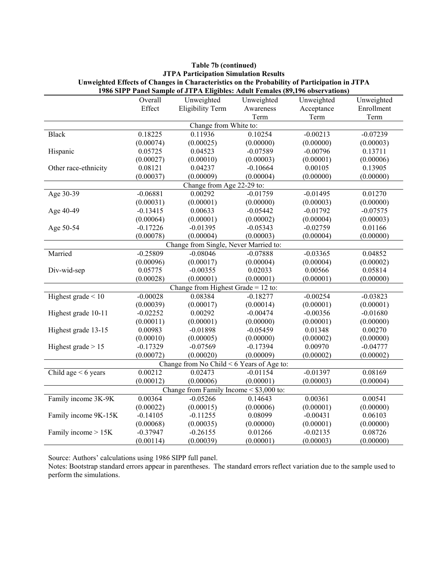|                                      |            | 1986 SIPP Panel Sample of JTPA Eligibles: Adult Females (89,196 observations) |            |            |            |  |  |  |  |
|--------------------------------------|------------|-------------------------------------------------------------------------------|------------|------------|------------|--|--|--|--|
|                                      | Overall    | Unweighted                                                                    | Unweighted | Unweighted | Unweighted |  |  |  |  |
|                                      | Effect     | Eligibility Term                                                              | Awareness  | Acceptance | Enrollment |  |  |  |  |
|                                      |            |                                                                               | Term       | Term       | Term       |  |  |  |  |
|                                      |            | Change from White to:                                                         |            |            |            |  |  |  |  |
| <b>Black</b>                         | 0.18225    | 0.11936                                                                       | 0.10254    | $-0.00213$ | $-0.07239$ |  |  |  |  |
|                                      | (0.00074)  | (0.00025)                                                                     | (0.00000)  | (0.00000)  | (0.00003)  |  |  |  |  |
| Hispanic                             | 0.05725    | 0.04523                                                                       | $-0.07589$ | $-0.00796$ | 0.13711    |  |  |  |  |
|                                      | (0.00027)  | (0.00010)                                                                     | (0.00003)  | (0.00001)  | (0.00006)  |  |  |  |  |
| Other race-ethnicity                 | 0.08121    | 0.04237                                                                       | $-0.10664$ | 0.00105    | 0.13905    |  |  |  |  |
|                                      | (0.00037)  | (0.00009)                                                                     | (0.00004)  | (0.00000)  | (0.00000)  |  |  |  |  |
|                                      |            | Change from Age 22-29 to:                                                     |            |            |            |  |  |  |  |
| Age 30-39                            | $-0.06881$ | 0.00292                                                                       | $-0.01759$ | $-0.01495$ | 0.01270    |  |  |  |  |
|                                      | (0.00031)  | (0.00001)                                                                     | (0.00000)  | (0.00003)  | (0.00000)  |  |  |  |  |
| Age 40-49                            | $-0.13415$ | 0.00633                                                                       | $-0.05442$ | $-0.01792$ | $-0.07575$ |  |  |  |  |
|                                      | (0.00064)  | (0.00001)                                                                     | (0.00002)  | (0.00004)  | (0.00003)  |  |  |  |  |
| Age 50-54                            | $-0.17226$ | $-0.01395$                                                                    | $-0.05343$ | $-0.02759$ | 0.01166    |  |  |  |  |
|                                      | (0.00078)  | (0.00004)                                                                     | (0.00003)  | (0.00004)  | (0.00000)  |  |  |  |  |
|                                      |            | Change from Single, Never Married to:                                         |            |            |            |  |  |  |  |
| Married                              | $-0.25809$ | $-0.08046$                                                                    | $-0.07888$ | $-0.03365$ | 0.04852    |  |  |  |  |
|                                      | (0.00096)  | (0.00017)                                                                     | (0.00004)  | (0.00004)  | (0.00002)  |  |  |  |  |
| Div-wid-sep                          | 0.05775    | $-0.00355$                                                                    | 0.02033    | 0.00566    | 0.05814    |  |  |  |  |
|                                      | (0.00028)  | (0.00001)                                                                     | (0.00001)  | (0.00001)  | (0.00000)  |  |  |  |  |
| Change from Highest Grade = $12$ to: |            |                                                                               |            |            |            |  |  |  |  |
| Highest grade $\leq 10$              | $-0.00028$ | 0.08384                                                                       | $-0.18277$ | $-0.00254$ | $-0.03823$ |  |  |  |  |
|                                      | (0.00039)  | (0.00017)                                                                     | (0.00014)  | (0.00001)  | (0.00001)  |  |  |  |  |
| Highest grade 10-11                  | $-0.02252$ | 0.00292                                                                       | $-0.00474$ | $-0.00356$ | $-0.01680$ |  |  |  |  |
|                                      | (0.00011)  | (0.00001)                                                                     | (0.00000)  | (0.00001)  | (0.00000)  |  |  |  |  |
| Highest grade 13-15                  | 0.00983    | $-0.01898$                                                                    | $-0.05459$ | 0.01348    | 0.00270    |  |  |  |  |
|                                      | (0.00010)  | (0.00005)                                                                     | (0.00000)  | (0.00002)  | (0.00000)  |  |  |  |  |
| Highest grade $> 15$                 | $-0.17329$ | $-0.07569$                                                                    | $-0.17394$ | 0.00970    | $-0.04777$ |  |  |  |  |
|                                      | (0.00072)  | (0.00020)                                                                     | (0.00009)  | (0.00002)  | (0.00002)  |  |  |  |  |
|                                      |            | Change from No Child < 6 Years of Age to:                                     |            |            |            |  |  |  |  |
| Child age $\leq 6$ years             | 0.00212    | 0.02473                                                                       | $-0.01154$ | $-0.01397$ | 0.08169    |  |  |  |  |
|                                      | (0.00012)  | (0.00006)                                                                     | (0.00001)  | (0.00003)  | (0.00004)  |  |  |  |  |
|                                      |            | Change from Family Income $\leq$ \$3,000 to:                                  |            |            |            |  |  |  |  |
| Family income 3K-9K                  | 0.00364    | $-0.05266$                                                                    | 0.14643    | 0.00361    | 0.00541    |  |  |  |  |
|                                      | (0.00022)  | (0.00015)                                                                     | (0.00006)  | (0.00001)  | (0.00000)  |  |  |  |  |
| Family income 9K-15K                 | $-0.14105$ | $-0.11255$                                                                    | 0.08099    | $-0.00431$ | 0.06103    |  |  |  |  |
|                                      | (0.00068)  | (0.00035)                                                                     | (0.00000)  | (0.00001)  | (0.00000)  |  |  |  |  |
| Family income > 15K                  | $-0.37947$ | $-0.26155$                                                                    | 0.01266    | $-0.02135$ | 0.08726    |  |  |  |  |
|                                      | (0.00114)  | (0.00039)                                                                     | (0.00001)  | (0.00003)  | (0.00000)  |  |  |  |  |

# **Table 7b (continued) JTPA Participation Simulation Results Unweighted Effects of Changes in Characteristics on the Probability of Participation in JTPA 1986 SIPP Panel Sample of JTPA Eligibles: Adult Females (89,196 observations)**

Source: Authors' calculations using 1986 SIPP full panel.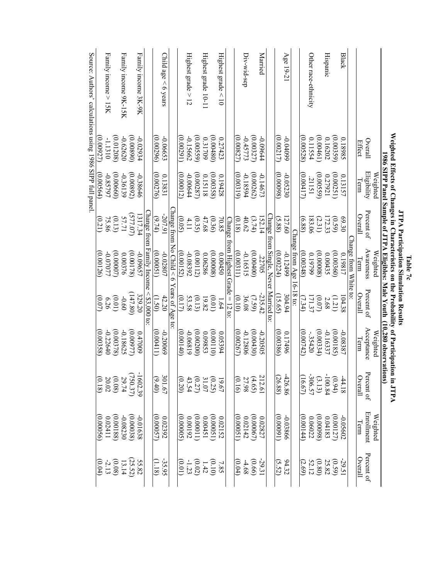|                                                           |                       |             |            | <b>JTPA Participation Simulation Results</b><br>Table 7c |              |                                                                                                                                                                         |            |            |            |
|-----------------------------------------------------------|-----------------------|-------------|------------|----------------------------------------------------------|--------------|-------------------------------------------------------------------------------------------------------------------------------------------------------------------------|------------|------------|------------|
|                                                           |                       |             |            |                                                          |              | Weighted Effects of Changes in Characteristics on the Probability of Participation in JTPA<br>1986 SIPP Panel Sample of JTPA Eligibles: Male Youth(10,280 observations) |            |            |            |
|                                                           |                       | Weighted    |            | Weighted                                                 |              | Weighted                                                                                                                                                                |            | Weighted   |            |
|                                                           | Overall               | Eligibility | Percent of | Awareness                                                | Percent of   | Acceptance                                                                                                                                                              | Percent of | Enrollment | Percent of |
|                                                           | Effect                | Term        | Overall    | Term                                                     | Overall      | Term                                                                                                                                                                    | Overall    | Term       | Overall    |
|                                                           |                       |             |            | Change from White to:                                    |              |                                                                                                                                                                         |            |            |            |
| <b>Black</b>                                              | 0.18985               | 0.13157     | 69.30      | 0.19817                                                  | 104.38       | -0.08387                                                                                                                                                                | $-44.18$   | -0.05602   | $-29.51$   |
|                                                           | (0.00359)             | (0.00251)   | (0.59)     | (0.00360)                                                | (121)        | (0.00185)                                                                                                                                                               | (0.94)     | (0.00127)  | (0.59)     |
| Hispanic                                                  | 0.16202               | 126270      | 172.33     | 0.00435                                                  | 2.68         | -0.16337                                                                                                                                                                | $-100.84$  | 0.04183    | 25.82      |
|                                                           | (0.00461)             | (0.00559)   | (2.31)     | (0.00008)                                                | (0.07)       | (0.00334)                                                                                                                                                               | (3.13)     | (0.00098)  | (0.80)     |
| Other race-ethnicity                                      | 0.11554               | 121151      | 183.06     | 661610                                                   | 171.37       | $-35420$                                                                                                                                                                | -306.57    | 0.06022    | 52.12      |
|                                                           | (0.00528)             | (0.00417)   | (6.88)     | (0.00348)                                                | (7.34)       | (0.00742)                                                                                                                                                               | (16.67)    | (0.00144)  | (2.69)     |
|                                                           |                       |             |            | Change from Age                                          | 6-18 to:     |                                                                                                                                                                         |            |            |            |
| Age 19-21                                                 | 660+00-               | $-0.05230$  | 127.60     | -0.12499                                                 | 304.94       | 0.17496                                                                                                                                                                 | -426.86    | -0.03866   | 94.32      |
|                                                           | (0.00217)             | (0.00098)   | (5.88)     | (0.00224)                                                | (15.65)      | (0.00386)                                                                                                                                                               | (26.88)    | (160000)   | (5.52)     |
|                                                           |                       |             |            | Change from Single, Never Married to:                    |              |                                                                                                                                                                         |            |            |            |
| Married                                                   | +0.09644              | $-0.14673$  | 152.14     | 22705                                                    | $-235.42$    | -0.20505                                                                                                                                                                | 212.61     | 0.02827    | -29.31     |
|                                                           | (0.00327)             | (0.00262)   | (3.74)     | (0.00400)                                                | (7.59)       | (0.00430)                                                                                                                                                               | (4.65)     | (0.00067)  | (0.66)     |
| Div-wid-sep                                               | £773                  | -0.18594    | 40.62      | $-0.16515$                                               | 36.08        | -0.12806                                                                                                                                                                | 27.98      | 0.02142    | $-4.68$    |
|                                                           | (0.00827)             | (0.00319)   | (0.18)     | (0.00311)                                                | (0.10)       | (0.00267)                                                                                                                                                               | (0.16)     | (15000.0)  | (0.04)     |
|                                                           |                       |             | Change     | from Highest Grade =                                     | 12 to:       |                                                                                                                                                                         |            |            |            |
| Highest grade < $10$                                      | 0.27423               | 0.19428     | 70.85      | 0.00450                                                  | 1.64         | 0.05394                                                                                                                                                                 | 19.61      | 0.02152    | 7.85       |
|                                                           | (0.00480)             | (0.00358)   | (0.36)     | (0.00008)                                                | (10.01)      | (0.00110)                                                                                                                                                               | (0.25)     | (0.00051)  | (0110)     |
| Highest grade 10-11                                       | 0.31709               | 0.15118     | 47.68      | 0.06286                                                  | 19.82        | 0.09853                                                                                                                                                                 | 31.07      | 120000     | 1.42       |
|                                                           | (0.00559)             | (0.00287)   | (0.35)     | (0.00112)                                                | (0.13)       | (0.00200)                                                                                                                                                               | (0.27)     | (11000.0)  | (0.02)     |
| Highest grade $>12$                                       | -0.15662              | -0.00644    | 4.11       | -0.08392                                                 | 53.58        | -0.06819                                                                                                                                                                | 43.54      | 0.00192    |            |
|                                                           | (0.00291)             | (0.00012)   | (0.05)     | (0.00152)                                                | (0.17)       | (0.00140)                                                                                                                                                               | (0.20)     | (0.00005)  | (0.01)     |
|                                                           |                       |             |            | $\frac{1}{2}$ hange from No Child < 6                    | Years of Age | S                                                                                                                                                                       |            |            |            |
| Child age $\leq 6$ years                                  | -0.06653              | 0.13831     | -207.91    | -0.02807                                                 | 42.20        | 0.20069                                                                                                                                                                 | 301.67     | 0.02392    | -35.95     |
|                                                           | (0.00296)             | (0.00276)   | (9.74)     | (15000.00)                                               | (1.50)       | (0.00411)                                                                                                                                                               | (9.40)     | (0.00057)  | (1.18)     |
|                                                           |                       |             |            | Change from Family Income < \$3,000 to:                  |              |                                                                                                                                                                         |            |            |            |
| Family income 3K-9K                                       | -0.02934              | -0.38646    | 1317.34    | -0.09657                                                 | 329.20       | 0.47009                                                                                                                                                                 | 1602.39    | -0.01638   | 55.82      |
|                                                           | (0.00890)             | (0.00892)   | (577.07)   | (0.00178)                                                | (147.80)     | (0.00977)                                                                                                                                                               | (750.37)   | (0.00038)  | (25.52)    |
| Family income 9K-15K                                      | -0.62620              | -0.36139    | 57.71      | 0.00376                                                  | $-0.60$      | -0.18625                                                                                                                                                                | 29.74      | $-0.08230$ | 13.14      |
|                                                           | (0.01208)             | (0.00660)   | (0.13)     | (0.00007)                                                | (10.01)      | (0.00378)                                                                                                                                                               | (0.08)     | (0.00188)  | (0.08)     |
| Family income $> 15K$                                     | $-1.1310$             | -0.85797    | 75.86      | -0.07077                                                 | 6.26         | $-0.22640$                                                                                                                                                              | 20.02      | 0.02411    | $-2.13$    |
|                                                           | $\underline{0.00927}$ | (0.00564)   | (0.21)     | $\underline{0.00126}$                                    | (0.07)       | (0.00358)                                                                                                                                                               | (0.18)     | (0.00056)  | (0.04)     |
| Source: Authors' calculations using 1986 SIPP full panel. |                       |             |            |                                                          |              |                                                                                                                                                                         |            |            |            |
|                                                           |                       |             |            |                                                          |              |                                                                                                                                                                         |            |            |            |
|                                                           |                       |             |            |                                                          |              |                                                                                                                                                                         |            |            |            |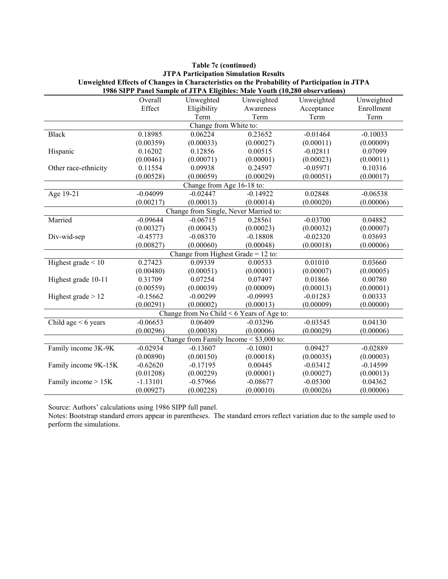|                         |            |                                                  | 1986 SIPP Panel Sample of JTPA Eligibles: Male Youth (10,280 observations) |            |            |  |  |  |  |
|-------------------------|------------|--------------------------------------------------|----------------------------------------------------------------------------|------------|------------|--|--|--|--|
|                         | Overall    | Unweghted                                        | Unweighted                                                                 | Unweighted | Unweighted |  |  |  |  |
|                         | Effect     | Eligibility                                      | Awareness                                                                  | Acceptance | Enrollment |  |  |  |  |
|                         |            | Term                                             | Term                                                                       | Term       | Term       |  |  |  |  |
|                         |            | Change from White to:                            |                                                                            |            |            |  |  |  |  |
| <b>Black</b>            | 0.18985    | 0.06224                                          | 0.23652                                                                    | $-0.01464$ | $-0.10033$ |  |  |  |  |
|                         | (0.00359)  | (0.00033)                                        | (0.00027)                                                                  | (0.00011)  | (0.00009)  |  |  |  |  |
| Hispanic                | 0.16202    | 0.12856                                          | 0.00515                                                                    | $-0.02811$ | 0.07099    |  |  |  |  |
|                         | (0.00461)  | (0.00071)                                        | (0.00001)                                                                  | (0.00023)  | (0.00011)  |  |  |  |  |
| Other race-ethnicity    | 0.11554    | 0.09938                                          | 0.24597                                                                    | $-0.05971$ | 0.10316    |  |  |  |  |
|                         | (0.00528)  | (0.00059)                                        | (0.00029)                                                                  | (0.00051)  | (0.00017)  |  |  |  |  |
|                         |            | Change from Age 16-18 to:                        |                                                                            |            |            |  |  |  |  |
| Age 19-21               | $-0.04099$ | $-0.02447$                                       | $-0.14922$                                                                 | 0.02848    | $-0.06538$ |  |  |  |  |
|                         | (0.00217)  | (0.00013)                                        | (0.00014)                                                                  | (0.00020)  | (0.00006)  |  |  |  |  |
|                         |            | Change from Single, Never Married to:            |                                                                            |            |            |  |  |  |  |
| Married                 | $-0.09644$ | $-0.06715$                                       | 0.28561                                                                    | $-0.03700$ | 0.04882    |  |  |  |  |
|                         | (0.00327)  | (0.00043)                                        | (0.00023)                                                                  | (0.00032)  | (0.00007)  |  |  |  |  |
| Div-wid-sep             | $-0.45773$ | $-0.08370$                                       | $-0.18808$                                                                 | $-0.02320$ | 0.03693    |  |  |  |  |
|                         | (0.00827)  | (0.00060)<br>(0.00006)<br>(0.00048)<br>(0.00018) |                                                                            |            |            |  |  |  |  |
|                         |            | Change from Highest Grade = $12$ to:             |                                                                            |            |            |  |  |  |  |
| Highest grade $\leq 10$ | 0.27423    | 0.09339                                          | 0.00533                                                                    | 0.01010    | 0.03660    |  |  |  |  |
|                         | (0.00480)  | (0.00051)                                        | (0.00001)                                                                  | (0.00007)  | (0.00005)  |  |  |  |  |
| Highest grade 10-11     | 0.31709    | 0.07254                                          | 0.07497                                                                    | 0.01866    | 0.00780    |  |  |  |  |
|                         | (0.00559)  | (0.00039)                                        | (0.00009)                                                                  | (0.00013)  | (0.00001)  |  |  |  |  |
| Highest grade $> 12$    | $-0.15662$ | $-0.00299$                                       | $-0.09993$                                                                 | $-0.01283$ | 0.00333    |  |  |  |  |
|                         | (0.00291)  | (0.00002)                                        | (0.00013)                                                                  | (0.00009)  | (0.00000)  |  |  |  |  |
|                         |            |                                                  | Change from No Child $\leq 6$ Years of Age to:                             |            |            |  |  |  |  |
| Child age $< 6$ years   | $-0.06653$ | 0.06409                                          | $-0.03296$                                                                 | $-0.03545$ | 0.04130    |  |  |  |  |
|                         | (0.00296)  | (0.00038)                                        | (0.00006)                                                                  | (0.00029)  | (0.00006)  |  |  |  |  |
|                         |            |                                                  | Change from Family Income $\leq$ \$3,000 to:                               |            |            |  |  |  |  |
| Family income 3K-9K     | $-0.02934$ | $-0.13607$                                       | $-0.10801$                                                                 | 0.09427    | $-0.02889$ |  |  |  |  |
|                         | (0.00890)  | (0.00150)                                        | (0.00018)                                                                  | (0.00035)  | (0.00003)  |  |  |  |  |
| Family income 9K-15K    | $-0.62620$ | $-0.17195$                                       | 0.00445                                                                    | $-0.03412$ | $-0.14599$ |  |  |  |  |
|                         | (0.01208)  | (0.00229)                                        | (0.00001)                                                                  | (0.00027)  | (0.00013)  |  |  |  |  |
| Family income > 15K     | $-1.13101$ | $-0.57966$                                       | $-0.08677$                                                                 | $-0.05300$ | 0.04362    |  |  |  |  |
|                         | (0.00927)  | (0.00228)                                        | (0.00010)                                                                  | (0.00026)  | (0.00006)  |  |  |  |  |

# **Table 7c (continued) JTPA Participation Simulation Results Unweighted Effects of Changes in Characteristics on the Probability of Participation in JTPA**

Source: Authors' calculations using 1986 SIPP full panel.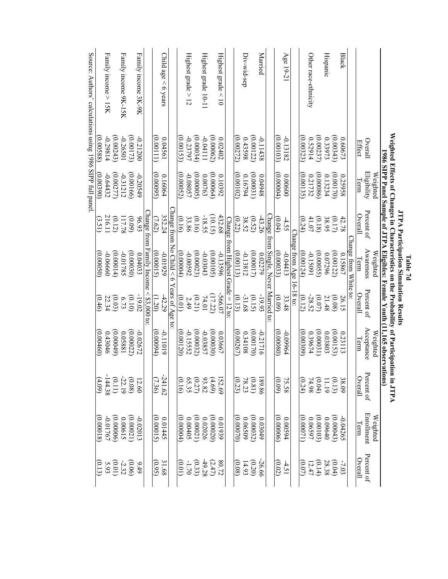|                                                           |            |             |                 | <b>JTPA Participation Simulation Results</b><br>Table 7d |                            |                                                                                                                                                                                    |                   |            |                |
|-----------------------------------------------------------|------------|-------------|-----------------|----------------------------------------------------------|----------------------------|------------------------------------------------------------------------------------------------------------------------------------------------------------------------------------|-------------------|------------|----------------|
|                                                           |            |             |                 |                                                          |                            | Weighted Effects of Changes in Characteristics on the Probability of Participation in JTPA<br><u> 1986 SIPP Panel Sample of JTPA Eligibles: Female Youth (11,165 observations)</u> |                   |            |                |
|                                                           |            | Weighted    |                 | Weighted                                                 |                            | Weighted                                                                                                                                                                           |                   | Weighted   |                |
|                                                           | Overall    | Eligibility | Percent of      | Awareness                                                | Percent of                 | Acceptance                                                                                                                                                                         | Percent of        | Enrollment | Percent of     |
|                                                           | Effect     | Term        | $O$ verall      | Change from White to:<br>Term                            | Overall                    | Term                                                                                                                                                                               | Overall           | Term       | <b>Overall</b> |
| <b>Black</b>                                              | 0.60673    | 0.25958     | 42.78           | 0.15867                                                  | 26.15                      | 0.23113                                                                                                                                                                            | 38.09             | -0.04265   | $-7.03$        |
|                                                           | (0.00343)  | (0.00170)   | (0.17)          | (0.00122)                                                | (0.08)                     | (0.00153)                                                                                                                                                                          | (0.13)            | (0.00043)  | (0.04)         |
| Hispanic                                                  | 0.33973    | 0.13234     | 38.95           | 0.07296                                                  | 21.48                      | 0.03803                                                                                                                                                                            | 11.19             | 0.09640    | 28.38          |
|                                                           | (0.00237)  | (0.00086)   | (0.18)          | (0.00055)                                                | (0.07)                     | (0.00031)                                                                                                                                                                          | (0.04)            | (0.00103)  | (0.14)         |
| Other race-ethnicity                                      | 0.52914    | 0.21732     | 41.07           | -0.15091                                                 | $-28.52$                   | 0.39674                                                                                                                                                                            | 74.98             | 0.06597    | 12.47          |
|                                                           | (0.00323)  | (0.00135)   | (0.24)          | (0.00124)                                                | (0.12)                     | (0.00309)                                                                                                                                                                          | (0.24)            | (12000)    | (0.07)         |
|                                                           |            |             |                 | Change from Age                                          | $\overline{1}$<br>$18$ to: |                                                                                                                                                                                    |                   |            |                |
| Age 19-21                                                 | $-0.13182$ | 0.00600     | 4.55            | $-0.04413$                                               | 33.48                      | +9660'0-                                                                                                                                                                           | 75.58             | 0.00594    | 4.51           |
|                                                           | (0.00103)  | (0.00004)   | (0.04)          | (0.00033)                                                | (60.09)                    | (0.00080)                                                                                                                                                                          | (0.09)            | (0.0006)   | (0.02)         |
|                                                           |            |             |                 | Change from Single, Never Married to:                    |                            |                                                                                                                                                                                    |                   |            |                |
| Married                                                   | -0.11438   | 0.04948     | -43.26          | 0.02279                                                  | $-19.93$                   | 0.21716                                                                                                                                                                            | 189.86            | 0.03049    | 26.66          |
|                                                           | (0.00122)  | (0.00031)   | (0.52)          | (0.00017)                                                | (0.15)                     | (0.00170)                                                                                                                                                                          | $(0.81)$<br>78.23 | (0.00032)  | (0.20)         |
| Div-wid-sep                                               | 0.43598    | 0.16794     | 38.52<br>(0.22) | (0.00113)<br>$-0.13812$                                  | -31.68                     | 801168                                                                                                                                                                             |                   | 0.06509    |                |
|                                                           | (0.00272)  | (0.00102)   |                 | Change from Highest Grade = $12$ to:                     | (0.13)                     | (0.00267)                                                                                                                                                                          | (0.23)            | (0.00070)  | (0.08)         |
| Highest grade < $10$                                      | 0.02402    | 0.10392     | 432.68          | -0.13596                                                 | 566.07                     | 0.03667                                                                                                                                                                            | 152.69            | 0.01939    | 80.72          |
|                                                           | (0.00062)  | (0.00064)   | (10.15)         | (0.00105)                                                | (17.22)                    | (0.00030)                                                                                                                                                                          | (4.69)            | (0.00020)  | (2.47)         |
| Highest grade 10-11                                       | 11140.0-   | 0.00763     | $-18.55$        | -0.03043                                                 | 74.01                      | -0.03857                                                                                                                                                                           | 93.82             | 0.02026    | 49.28          |
|                                                           | (0.00034)  | (0.00005)   | (0.16)          | (0.00023)                                                | (0.21)                     | (0.00032)                                                                                                                                                                          | (0.27)            | (0.00021)  | (0.33)         |
| Highest grade $>12$                                       | -0.23797   | -0.08057    | 33.86           | -0.00592                                                 | 2.49                       | $-0.15552$                                                                                                                                                                         | 65.35             | 0.00405    | $-1.70$        |
|                                                           | (0.00153)  | 0.00052     | (0.16)          | (0.00004)                                                | (10.01)                    | (0.00120)                                                                                                                                                                          | (0.16)            | (0.00004)  | (0.01)         |
|                                                           |            |             |                 | Change from No Child < 6                                 | Years of $Age$ to:         |                                                                                                                                                                                    |                   |            |                |
| Child age $< 6$ years                                     | 0.04561    | 0.16064     | 352.24          | -0.01929                                                 | $-42.29$                   | 610110                                                                                                                                                                             | $-241.62$         | 0.01445    | 31.68          |
|                                                           | (111000)   | (0.00005)   | (7.62)          | Change from Family Income<br>(0.00015)                   | $<$ \$3,000<br>(1.20)<br>S | (0.00004)                                                                                                                                                                          | (7.36)            | (0.00015)  | (0.95)         |
| Family income 3K-9K                                       | -0.21200   | -0.20549    | 66.93           | 0.04033                                                  | $-19.02$                   | $-0.02672$                                                                                                                                                                         | 12.60             | $-0.02013$ | $6 + 6$        |
|                                                           | (0.00173)  | (0.00166)   | (0.09)          | (0.00030)                                                | (010)                      | (0.00022)                                                                                                                                                                          | (0.08)            | (0.00021)  | (90.0)         |
| Family income 9K-15K                                      | -0.26501   | -0.31212    | 117.78          | -0.01785                                                 | 6.73                       | 18880.0                                                                                                                                                                            | $-22.19$          | 0.00615    | $-2.32$        |
|                                                           | (0.00243)  | (0.00277)   | (0.12)          | (0.00014)                                                | (0.03)                     | (0.00049)                                                                                                                                                                          | (0.11)            | (000000)   | (10.01)        |
| Family income $> 15K$                                     | -0.29814   | $-0.64432$  | 216.11          | $-0.06660$                                               | 22.34                      | 0.43046                                                                                                                                                                            | $-144.38$         | -0.01767   | 5.93           |
|                                                           | (0.00588)  | (066000)    | (3.51)          | (0.00050)                                                | (0.46)                     | (0.00460)                                                                                                                                                                          | (4.09)            | (0.00018)  | (0.13)         |
| Source: Authors' calculations using 1986 SIPP full panel. |            |             |                 |                                                          |                            |                                                                                                                                                                                    |                   |            |                |
|                                                           |            |             |                 |                                                          |                            |                                                                                                                                                                                    |                   |            |                |
|                                                           |            |             |                 |                                                          |                            |                                                                                                                                                                                    |                   |            |                |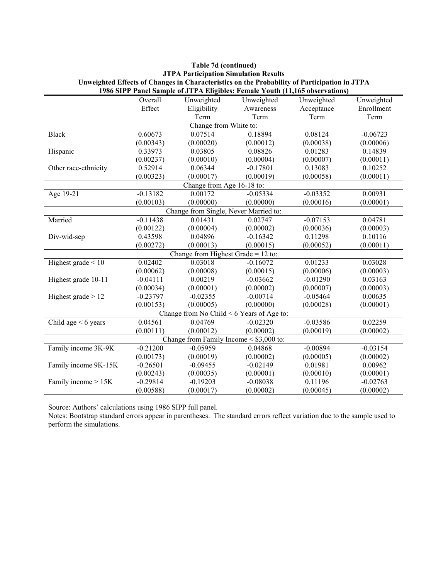|                         |            |                                                  | 1986 SIPP Panel Sample of JTPA Eligibles: Female Youth (11,165 observations) |            |            |  |  |  |
|-------------------------|------------|--------------------------------------------------|------------------------------------------------------------------------------|------------|------------|--|--|--|
|                         | Overall    | Unweighted                                       | Unweighted                                                                   | Unweighted | Unweighted |  |  |  |
|                         | Effect     | Eligibility                                      | Awareness                                                                    | Acceptance | Enrollment |  |  |  |
|                         |            | Term                                             | Term                                                                         | Term       | Term       |  |  |  |
|                         |            | Change from White to:                            |                                                                              |            |            |  |  |  |
| <b>Black</b>            | 0.60673    | 0.07514                                          | 0.18894                                                                      | 0.08124    | $-0.06723$ |  |  |  |
|                         | (0.00343)  | (0.00020)                                        | (0.00012)                                                                    | (0.00038)  | (0.00006)  |  |  |  |
| Hispanic                | 0.33973    | 0.03805                                          | 0.08826                                                                      | 0.01283    | 0.14839    |  |  |  |
|                         | (0.00237)  | (0.00010)                                        | (0.00004)                                                                    | (0.00007)  | (0.00011)  |  |  |  |
| Other race-ethnicity    | 0.52914    | 0.06344                                          | $-0.17801$                                                                   | 0.13083    | 0.10252    |  |  |  |
|                         | (0.00323)  | (0.00017)                                        | (0.00019)                                                                    | (0.00058)  | (0.00011)  |  |  |  |
|                         |            | Change from Age 16-18 to:                        |                                                                              |            |            |  |  |  |
| Age 19-21               | $-0.13182$ | 0.00172                                          | $-0.05334$                                                                   | $-0.03352$ | 0.00931    |  |  |  |
|                         | (0.00103)  | (0.00000)                                        | (0.00000)                                                                    | (0.00016)  | (0.00001)  |  |  |  |
|                         |            | Change from Single, Never Married to:            |                                                                              |            |            |  |  |  |
| Married                 | $-0.11438$ | 0.01431                                          | 0.02747                                                                      | $-0.07153$ | 0.04781    |  |  |  |
|                         | (0.00122)  | (0.00004)                                        | (0.00002)                                                                    | (0.00036)  | (0.00003)  |  |  |  |
| Div-wid-sep             | 0.43598    | 0.04896                                          | $-0.16342$                                                                   | 0.11298    | 0.10116    |  |  |  |
|                         | (0.00272)  | (0.00013)<br>(0.00015)<br>(0.00011)<br>(0.00052) |                                                                              |            |            |  |  |  |
|                         |            | Change from Highest Grade = $12$ to:             |                                                                              |            |            |  |  |  |
| Highest grade $\leq 10$ | 0.02402    | 0.03018                                          | $-0.16072$                                                                   | 0.01233    | 0.03028    |  |  |  |
|                         | (0.00062)  | (0.00008)                                        | (0.00015)                                                                    | (0.00006)  | (0.00003)  |  |  |  |
| Highest grade 10-11     | $-0.04111$ | 0.00219                                          | $-0.03662$                                                                   | $-0.01290$ | 0.03163    |  |  |  |
|                         | (0.00034)  | (0.00001)                                        | (0.00002)                                                                    | (0.00007)  | (0.00003)  |  |  |  |
| Highest grade $> 12$    | $-0.23797$ | $-0.02355$                                       | $-0.00714$                                                                   | $-0.05464$ | 0.00635    |  |  |  |
|                         | (0.00153)  | (0.00005)                                        | (0.00000)                                                                    | (0.00028)  | (0.00001)  |  |  |  |
|                         |            |                                                  | Change from No Child $\leq 6$ Years of Age to:                               |            |            |  |  |  |
| Child age $< 6$ years   | 0.04561    | 0.04769                                          | $-0.02320$                                                                   | $-0.03586$ | 0.02259    |  |  |  |
|                         | (0.00111)  | (0.00012)                                        | (0.00002)                                                                    | (0.00019)  | (0.00002)  |  |  |  |
|                         |            | Change from Family Income $\leq$ \$3,000 to:     |                                                                              |            |            |  |  |  |
| Family income 3K-9K     | $-0.21200$ | $-0.05959$                                       | 0.04868                                                                      | $-0.00894$ | $-0.03154$ |  |  |  |
|                         | (0.00173)  | (0.00019)                                        | (0.00002)                                                                    | (0.00005)  | (0.00002)  |  |  |  |
| Family income 9K-15K    | $-0.26501$ | $-0.09455$                                       | $-0.02149$                                                                   | 0.01981    | 0.00962    |  |  |  |
|                         | (0.00243)  | (0.00035)                                        | (0.00001)                                                                    | (0.00010)  | (0.00001)  |  |  |  |
| Family income > 15K     | $-0.29814$ | $-0.19203$                                       | $-0.08038$                                                                   | 0.11196    | $-0.02763$ |  |  |  |
|                         | (0.00588)  | (0.00017)                                        | (0.00002)                                                                    | (0.00045)  | (0.00002)  |  |  |  |

# **Table 7d (continued) JTPA Participation Simulation Results Unweighted Effects of Changes in Characteristics on the Probability of Participation in JTPA**

Source: Authors' calculations using 1986 SIPP full panel.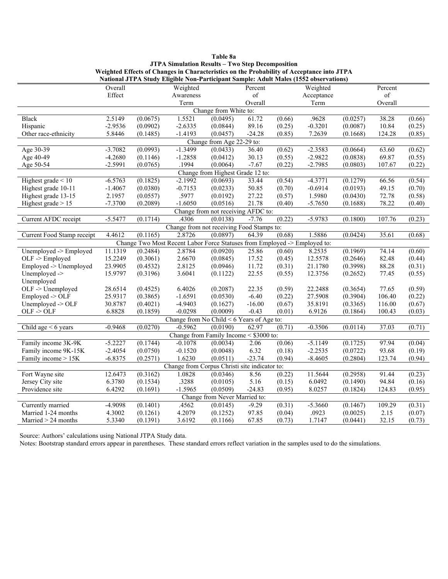|                                                                           |           |          | vecignica effects of Changes in Characteristics on the Frobability of Acceptance filto 9 FFA<br><b>National JTPA Study Eligible Non-Participant Sample: Adult Males (1552 observations)</b> |                                    |          |        |            |          |         |        |
|---------------------------------------------------------------------------|-----------|----------|---------------------------------------------------------------------------------------------------------------------------------------------------------------------------------------------|------------------------------------|----------|--------|------------|----------|---------|--------|
|                                                                           | Overall   |          | Weighted                                                                                                                                                                                    |                                    | Percent  |        | Weighted   |          | Percent |        |
|                                                                           | Effect    |          | Awareness                                                                                                                                                                                   |                                    | of       |        | Acceptance |          | of      |        |
|                                                                           |           |          | Term                                                                                                                                                                                        |                                    | Overall  |        | Term       |          | Overall |        |
|                                                                           |           |          |                                                                                                                                                                                             | Change from White to:              |          |        |            |          |         |        |
| <b>Black</b>                                                              | 2.5149    | (0.0675) | 1.5521                                                                                                                                                                                      | (0.0495)                           | 61.72    | (0.66) | .9628      | (0.0257) | 38.28   | (0.66) |
| Hispanic                                                                  | $-2.9536$ | (0.0902) | $-2.6335$                                                                                                                                                                                   | (0.0844)                           | 89.16    | (0.25) | $-0.3201$  | (0.0087) | 10.84   | (0.25) |
| Other race-ethnicity                                                      | 5.8446    | (0.1485) | $-1.4193$                                                                                                                                                                                   | (0.0457)                           | $-24.28$ | (0.85) | 7.2639     | (0.1668) | 124.28  | (0.85) |
|                                                                           |           |          |                                                                                                                                                                                             | Change from Age 22-29 to:          |          |        |            |          |         |        |
| Age 30-39                                                                 | $-3.7082$ | (0.0993) | $-1.3499$                                                                                                                                                                                   | (0.0433)                           | 36.40    | (0.62) | $-2.3583$  | (0.0664) | 63.60   | (0.62) |
| Age 40-49                                                                 | $-4.2680$ | (0.1146) | $-1.2858$                                                                                                                                                                                   | (0.0412)                           | 30.13    | (0.55) | $-2.9822$  | (0.0838) | 69.87   | (0.55) |
| Age 50-54                                                                 | $-2.5991$ | (0.0765) | .1994                                                                                                                                                                                       | (0.0064)                           | $-7.67$  | (0.22) | $-2.7985$  | (0.0803) | 107.67  | (0.22) |
|                                                                           |           |          |                                                                                                                                                                                             | Change from Highest Grade 12 to:   |          |        |            |          |         |        |
| Highest grade $\leq 10$                                                   | $-6.5763$ | (0.1825) | $-2.1992$                                                                                                                                                                                   | (0.0693)                           | 33.44    | (0.54) | $-4.3771$  | (0.1279) | 66.56   | (0.54) |
| Highest grade 10-11                                                       | $-1.4067$ | (0.0380) | $-0.7153$                                                                                                                                                                                   | (0.0233)                           | 50.85    | (0.70) | $-0.6914$  | (0.0193) | 49.15   | (0.70) |
| Highest grade 13-15                                                       | 2.1957    | (0.0557) | .5977                                                                                                                                                                                       | (0.0192)                           | 27.22    | (0.57) | 1.5980     | (0.0430) | 72.78   | (0.58) |
| Highest grade $> 15$                                                      | $-7.3700$ | (0.2089) | $-1.6050$                                                                                                                                                                                   | (0.0516)                           | 21.78    | (0.40) | $-5.7650$  | (0.1688) | 78.22   | (0.40) |
|                                                                           |           |          |                                                                                                                                                                                             | Change from not receiving AFDC to: |          |        |            |          |         |        |
| Current AFDC receipt                                                      | $-5.5477$ | (0.1714) | .4306                                                                                                                                                                                       | (0.0138)                           | $-7.76$  | (0.22) | $-5.9783$  | (0.1800) | 107.76  | (0.23) |
|                                                                           |           |          | Change from not receiving Food Stamps to:                                                                                                                                                   |                                    |          |        |            |          |         |        |
| Current Food Stamp receipt                                                | 4.4612    | (0.1165) | 2.8726                                                                                                                                                                                      | (0.0897)                           | 64.39    | (0.68) | 1.5886     | (0.0424) | 35.61   | (0.68) |
| Change Two Most Recent Labor Force Statuses from Employed -> Employed to: |           |          |                                                                                                                                                                                             |                                    |          |        |            |          |         |        |
| Unemployed -> Employed                                                    | 11.1319   | (0.2484) | 2.8784                                                                                                                                                                                      | (0.0920)                           | 25.86    | (0.60) | 8.2535     | (0.1969) | 74.14   | (0.60) |
| OLF -> Employed                                                           | 15.2249   | (0.3061) | 2.6670                                                                                                                                                                                      | (0.0845)                           | 17.52    | (0.45) | 12.5578    | (0.2646) | 82.48   | (0.44) |
| Employed -> Unemployed                                                    | 23.9905   | (0.4532) | 2.8125                                                                                                                                                                                      | (0.0946)                           | 11.72    | (0.31) | 21.1780    | (0.3998) | 88.28   | (0.31) |
| Unemployed ->                                                             | 15.9797   | (0.3196) | 3.6041                                                                                                                                                                                      | (0.1122)                           | 22.55    | (0.55) | 12.3756    | (0.2652) | 77.45   | (0.55) |
| Unemployed                                                                |           |          |                                                                                                                                                                                             |                                    |          |        |            |          |         |        |
| OLF -> Unemployed                                                         | 28.6514   | (0.4525) | 6.4026                                                                                                                                                                                      | (0.2087)                           | 22.35    | (0.59) | 22.2488    | (0.3654) | 77.65   | (0.59) |
| Employed -> OLF                                                           | 25.9317   | (0.3865) | $-1.6591$                                                                                                                                                                                   | (0.0530)                           | $-6.40$  | (0.22) | 27.5908    | (0.3904) | 106.40  | (0.22) |
| Unemployed -> OLF                                                         | 30.8787   | (0.4021) | $-4.9403$                                                                                                                                                                                   | (0.1627)                           | $-16.00$ | (0.67) | 35.8191    | (0.3365) | 116.00  | (0.67) |
| $OLF \geq OLF$                                                            | 6.8828    | (0.1859) | $-0.0298$                                                                                                                                                                                   | (0.0009)                           | $-0.43$  | (0.01) | 6.9126     | (0.1864) | 100.43  | (0.03) |
|                                                                           |           |          | Change from No Child < 6 Years of Age to:                                                                                                                                                   |                                    |          |        |            |          |         |        |
| Child age $< 6$ years                                                     | $-0.9468$ | (0.0270) | $-0.5962$                                                                                                                                                                                   | (0.0190)                           | 62.97    | (0.71) | $-0.3506$  | (0.0114) | 37.03   | (0.71) |
|                                                                           |           |          | Change from Family Income < \$3000 to:                                                                                                                                                      |                                    |          |        |            |          |         |        |
| Family income 3K-9K                                                       | $-5.2227$ | (0.1744) | $-0.1078$                                                                                                                                                                                   | (0.0034)                           | 2.06     | (0.06) | $-5.1149$  | (0.1725) | 97.94   | (0.04) |
| Family income 9K-15K                                                      | $-2.4054$ | (0.0750) | $-0.1520$                                                                                                                                                                                   | (0.0048)                           | 6.32     | (0.18) | $-2.2535$  | (0.0722) | 93.68   | (0.19) |
| Family income > 15K                                                       | $-6.8375$ | (0.2571) | 1.6230                                                                                                                                                                                      | (0.0511)                           | $-23.74$ | (0.94) | $-8.4605$  | (0.2804) | 123.74  | (0.94) |
|                                                                           |           |          | Change from Corpus Christi site indicator to:                                                                                                                                               |                                    |          |        |            |          |         |        |
| Fort Wayne site                                                           | 12.6473   | (0.3162) | 1.0828                                                                                                                                                                                      | (0.0346)                           | 8.56     | (0.22) | 11.5644    | (0.2958) | 91.44   | (0.23) |
| Jersey City site                                                          | 6.3780    | (0.1534) | .3288                                                                                                                                                                                       | (0.0105)                           | 5.16     | (0.15) | 6.0492     | (0.1490) | 94.84   | (0.16) |
| Providence site                                                           | 6.4292    | (0.1691) | $-1.5965$                                                                                                                                                                                   | (0.0509)                           | $-24.83$ | (0.95) | 8.0257     | (0.1824) | 124.83  | (0.95) |
|                                                                           |           |          |                                                                                                                                                                                             | Change from Never Married to:      |          |        |            |          |         |        |
| Currently married                                                         | $-4.9098$ | (0.1401) | .4562                                                                                                                                                                                       | (0.0145)                           | $-9.29$  | (0.31) | $-5.3660$  | (0.1467) | 109.29  | (0.31) |
| Married 1-24 months                                                       | 4.3002    | (0.1261) | 4.2079                                                                                                                                                                                      | (0.1252)                           | 97.85    | (0.04) | .0923      | (0.0025) | 2.15    | (0.07) |
| Married > 24 months                                                       | 5.3340    | (0.1391) | 3.6192                                                                                                                                                                                      | (0.1166)                           | 67.85    | (0.73) | 1.7147     | (0.0441) | 32.15   | (0.73) |

**Table 8a JTPA Simulation Results - Two Step Decomposition Weighted Effects of Changes in Characteristics on the Probability of Acceptance into JTPA** 

Source: Authors' calculations using National JTPA Study data.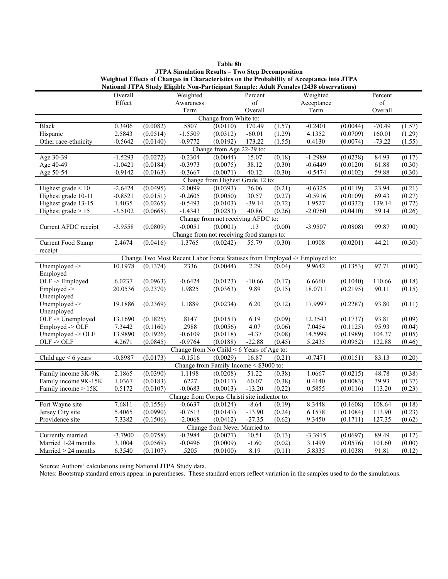|                           |           |          |                                                |                                    |          |        | <b>National JTPA Study Eligible Non-Participant Sample: Adult Females (2438 observations)</b> |          |          |        |
|---------------------------|-----------|----------|------------------------------------------------|------------------------------------|----------|--------|-----------------------------------------------------------------------------------------------|----------|----------|--------|
|                           | Overall   |          | Weighted                                       |                                    | Percent  |        | Weighted                                                                                      |          | Percent  |        |
|                           | Effect    |          | Awareness                                      |                                    | of       |        | Acceptance                                                                                    |          | of       |        |
|                           |           |          | Term                                           |                                    | Overall  |        | Term                                                                                          |          | Overall  |        |
|                           |           |          |                                                | Change from White to:              |          |        |                                                                                               |          |          |        |
| <b>Black</b>              | 0.3406    | (0.0082) | .5807                                          | (0.0110)                           | 170.49   | (1.57) | $-0.2401$                                                                                     | (0.0044) | $-70.49$ | (1.57) |
| Hispanic                  | 2.5843    | (0.0514) | $-1.5509$                                      | (0.0312)                           | $-60.01$ | (1.29) | 4.1352                                                                                        | (0.0709) | 160.01   | (1.29) |
| Other race-ethnicity      | $-0.5642$ | (0.0140) | $-0.9772$                                      | (0.0192)                           | 173.22   | (1.55) | 0.4130                                                                                        | (0.0074) | $-73.22$ | (1.55) |
|                           |           |          |                                                | Change from Age 22-29 to:          |          |        |                                                                                               |          |          |        |
| Age 30-39                 | $-1.5293$ | (0.0272) | $-0.2304$                                      | (0.0044)                           | 15.07    | (0.18) | $-1.2989$                                                                                     | (0.0238) | 84.93    | (0.17) |
| Age 40-49                 | $-1.0421$ | (0.0184) | $-0.3973$                                      | (0.0075)                           | 38.12    | (0.30) | $-0.6449$                                                                                     | (0.0120) | 61.88    | (0.30) |
| Age 50-54                 | $-0.9142$ | (0.0163) | $-0.3667$                                      | (0.0071)                           | 40.12    | (0.30) | $-0.5474$                                                                                     | (0.0102) | 59.88    | (0.30) |
|                           |           |          |                                                | Change from Highest Grade 12 to:   |          |        |                                                                                               |          |          |        |
|                           |           |          |                                                |                                    |          |        |                                                                                               |          |          |        |
| Highest grade $\leq 10$   | $-2.6424$ | (0.0495) | $-2.0099$                                      | (0.0393)                           | 76.06    | (0.21) | $-0.6325$                                                                                     | (0.0119) | 23.94    | (0.21) |
| Highest grade 10-11       | $-0.8521$ | (0.0151) | $-0.2605$                                      | (0.0050)                           | 30.57    | (0.27) | $-0.5916$                                                                                     | (0.0109) | 69.43    | (0.27) |
| Highest grade 13-15       | 1.4035    | (0.0265) | $-0.5493$                                      | (0.0103)                           | $-39.14$ | (0.72) | 1.9527                                                                                        | (0.0332) | 139.14   | (0.72) |
| Highest grade $> 15$      | $-3.5102$ | (0.0668) | $-1.4343$                                      | (0.0283)                           | 40.86    | (0.26) | $-2.0760$                                                                                     | (0.0410) | 59.14    | (0.26) |
|                           |           |          |                                                | Change from not receiving AFDC to: |          |        |                                                                                               |          |          |        |
| Current AFDC receipt      | $-3.9558$ | (0.0809) | $-0.0051$                                      | (0.0001)                           | .13      | (0.00) | $-3.9507$                                                                                     | (0.0808) | 99.87    | (0.00) |
|                           |           |          | Change from not receiving food stamps to:      |                                    |          |        |                                                                                               |          |          |        |
| <b>Current Food Stamp</b> | 2.4674    | (0.0416) | 1.3765                                         | (0.0242)                           | 55.79    | (0.30) | 1.0908                                                                                        | (0.0201) | 44.21    | (0.30) |
| receipt                   |           |          |                                                |                                    |          |        |                                                                                               |          |          |        |
|                           |           |          |                                                |                                    |          |        | Change Two Most Recent Labor Force Statuses from Employed -> Employed to:                     |          |          |        |
| Unemployed ->             | 10.1978   | (0.1374) | .2336                                          | (0.0044)                           | 2.29     | (0.04) | 9.9642                                                                                        | (0.1353) | 97.71    | (0.00) |
| Employed                  |           |          |                                                |                                    |          |        |                                                                                               |          |          |        |
| OLF -> Employed           | 6.0237    | (0.0963) | $-0.6424$                                      | (0.0123)                           | $-10.66$ | (0.17) | 6.6660                                                                                        | (0.1040) | 110.66   | (0.18) |
| Employed ->               | 20.0536   | (0.2370) | 1.9825                                         | (0.0363)                           | 9.89     | (0.15) | 18.0711                                                                                       | (0.2195) | 90.11    | (0.15) |
| Unemployed                |           |          |                                                |                                    |          |        |                                                                                               |          |          |        |
| Unemployed ->             | 19.1886   | (0.2369) | 1.1889                                         | (0.0234)                           | 6.20     | (0.12) | 17.9997                                                                                       | (0.2287) | 93.80    | (0.11) |
| Unemployed                |           |          |                                                |                                    |          |        |                                                                                               |          |          |        |
| OLF -> Unemployed         | 13.1690   | (0.1825) | .8147                                          | (0.0151)                           | 6.19     | (0.09) | 12.3543                                                                                       | (0.1737) | 93.81    | (0.09) |
| Employed -> OLF           | 7.3442    | (0.1160) | .2988                                          | (0.0056)                           | 4.07     | (0.06) | 7.0454                                                                                        | (0.1125) | 95.93    | (0.04) |
| Unemployed -> OLF         | 13.9890   | (0.1926) | $-0.6109$                                      | (0.0118)                           | $-4.37$  | (0.08) | 14.5999                                                                                       | (0.1989) | 104.37   | (0.05) |
| $OLE \geq OLF$            | 4.2671    | (0.0845) | $-0.9764$                                      | (0.0188)                           | $-22.88$ | (0.45) | 5.2435                                                                                        | (0.0952) | 122.88   | (0.46) |
|                           |           |          | Change from No Child $\leq 6$ Years of Age to: |                                    |          |        |                                                                                               |          |          |        |
| Child age $< 6$ years     | $-0.8987$ | (0.0173) | $-0.1516$                                      | (0.0029)                           | 16.87    | (0.21) | $-0.7471$                                                                                     | (0.0151) | 83.13    | (0.20) |
|                           |           |          | Change from Family Income < \$3000 to:         |                                    |          |        |                                                                                               |          |          |        |
| Family income 3K-9K       | 2.1865    | (0.0390) | 1.1198                                         | (0.0208)                           | 51.22    | (0.38) | 1.0667                                                                                        | (0.0215) | 48.78    | (0.38) |
| Family income 9K-15K      | 1.0367    | (0.0183) | .6227                                          | (0.0117)                           | 60.07    | (0.38) | 0.4140                                                                                        | (0.0083) | 39.93    | (0.37) |
| Family income > 15K       | 0.5172    | (0.0107) | $-0.0683$                                      | (0.0013)                           | $-13.20$ | (0.22) | 0.5855                                                                                        | (0.0116) | 113.20   | (0.23) |
|                           |           |          |                                                |                                    |          |        |                                                                                               |          |          |        |
|                           |           |          | Change from Corpus Christi site indicator to:  |                                    |          |        |                                                                                               |          |          |        |
| Fort Wayne site           | 7.6811    | (0.1556) | $-0.6637$                                      | (0.0124)                           | $-8.64$  | (0.19) | 8.3448                                                                                        | (0.1608) | 108.64   | (0.18) |
| Jersey City site          | 5.4065    | (0.0990) | $-0.7513$                                      | (0.0147)                           | $-13.90$ | (0.24) | 6.1578                                                                                        | (0.1084) | 113.90   | (0.23) |
| Providence site           | 7.3382    | (0.1506) | $-2.0068$                                      | (0.0412)                           | $-27.35$ | (0.62) | 9.3450                                                                                        | (0.1711) | 127.35   | (0.62) |
|                           |           |          |                                                | Change from Never Married to:      |          |        |                                                                                               |          |          |        |
| Currently married         | $-3.7900$ | (0.0758) | $-0.3984$                                      | (0.0077)                           | 10.51    | (0.13) | $-3.3915$                                                                                     | (0.0697) | 89.49    | (0.12) |
| Married 1-24 months       | 3.1004    | (0.0569) | $-0.0496$                                      | (0.0009)                           | $-1.60$  | (0.02) | 3.1499                                                                                        | (0.0576) | 101.60   | (0.00) |
| Married $> 24$ months     | 6.3540    | (0.1107) | .5205                                          | (0.0100)                           | 8.19     | (0.11) | 5.8335                                                                                        | (0.1038) | 91.81    | (0.12) |

| Table 8b                                                                                      |
|-----------------------------------------------------------------------------------------------|
| <b>JTPA Simulation Results – Two Step Decomposition</b>                                       |
| Weighted Effects of Changes in Characteristics on the Probability of Acceptance into JTPA     |
| <b>National JTPA Study Eligible Non-Participant Sample: Adult Females (2438 observations)</b> |

Source: Authors' calculations using National JTPA Study data.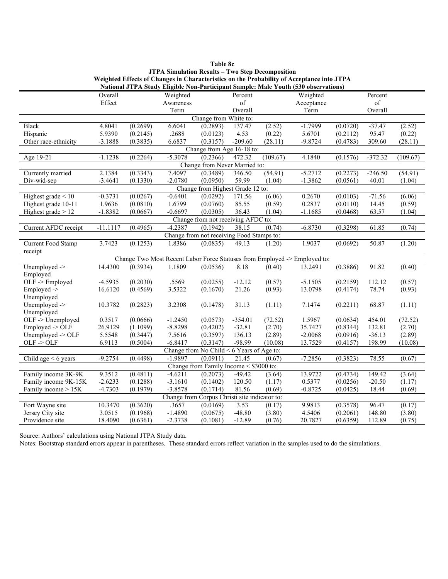|                                             |                        |                      |                                                        |                                                |                    |                  | National JTPA Study Eligible Non-Participant Sample: Male Youth (530 observations) |                      |           |                  |
|---------------------------------------------|------------------------|----------------------|--------------------------------------------------------|------------------------------------------------|--------------------|------------------|------------------------------------------------------------------------------------|----------------------|-----------|------------------|
|                                             | Overall                |                      | Weighted                                               |                                                | Percent            |                  | Weighted                                                                           |                      | Percent   |                  |
|                                             | Effect                 |                      | Awareness                                              |                                                | $\sigma f$         |                  | Acceptance                                                                         |                      | of        |                  |
|                                             |                        |                      | Term                                                   |                                                | Overall            |                  | Term                                                                               |                      | Overall   |                  |
|                                             |                        |                      |                                                        | Change from White to:                          |                    |                  |                                                                                    |                      |           |                  |
| <b>Black</b>                                | 4.8041                 | (0.2699)             | 6.6041                                                 | (0.2893)                                       | 137.47             | (2.52)           | $-1.7999$                                                                          | (0.0720)             | $-37.47$  | (2.52)           |
| Hispanic                                    | 5.9390                 | (0.2145)             | .2688                                                  | (0.0123)                                       | 4.53               | (0.22)           | 5.6701                                                                             | (0.2112)             | 95.47     | (0.22)           |
| Other race-ethnicity                        | $-3.1888$              | (0.3835)             | 6.6837                                                 | (0.3157)                                       | $-209.60$          | (28.11)          | $-9.8724$                                                                          | (0.4783)             | 309.60    | (28.11)          |
|                                             |                        |                      |                                                        | Change from Age 16-18 to:                      |                    |                  |                                                                                    |                      |           |                  |
| Age 19-21                                   | $-1.1238$              | (0.2264)             | $-5.3078$                                              | (0.2366)                                       | 472.32             | (109.67)         | 4.1840                                                                             | (0.1576)             | $-372.32$ | (109.67)         |
|                                             |                        |                      |                                                        | Change from Never Married to:                  |                    |                  |                                                                                    |                      |           |                  |
| Currently married                           | 2.1384                 | (0.3343)             | 7.4097                                                 | (0.3489)                                       | 346.50             | (54.91)          | $-5.2712$                                                                          | (0.2273)             | $-246.50$ | (54.91)          |
| Div-wid-sep                                 | $-3.4641$              | (0.1330)             | $-2.0780$                                              | (0.0950)                                       | 59.99              | (1.04)           | $-1.3862$                                                                          | (0.0561)             | 40.01     | (1.04)           |
|                                             |                        |                      |                                                        | Change from Highest Grade 12 to:               |                    |                  |                                                                                    |                      |           |                  |
| Highest grade $\leq 10$                     | $-0.3731$              | (0.0267)             | $-0.6401$                                              | (0.0292)                                       | 171.56             | (6.06)           | 0.2670                                                                             | (0.0103)             | $-71.56$  | (6.06)           |
| Highest grade 10-11                         | 1.9636                 | (0.0810)             | 1.6799                                                 | (0.0760)                                       | 85.55              | (0.59)           | 0.2837                                                                             | (0.0110)             | 14.45     | (0.59)           |
| Highest grade $> 12$                        | $-1.8382$              | (0.0667)             | $-0.6697$                                              | (0.0305)                                       | 36.43              | (1.04)           | $-1.1685$                                                                          | (0.0468)             | 63.57     | (1.04)           |
|                                             |                        |                      |                                                        | Change from not receiving AFDC to:             |                    |                  |                                                                                    |                      |           |                  |
| Current AFDC receipt                        | $-11.1117$             | (0.4965)             | $-4.2387$                                              | (0.1942)                                       | 38.15              | (0.74)           | $-6.8730$                                                                          | (0.3298)             | 61.85     | (0.74)           |
|                                             |                        |                      |                                                        | Change from not receiving Food Stamps to:      |                    |                  |                                                                                    |                      |           |                  |
| Current Food Stamp                          | 3.7423                 | (0.1253)             | 1.8386                                                 | (0.0835)                                       | $\overline{49.13}$ | (1.20)           | 1.9037                                                                             | (0.0692)             | 50.87     | (1.20)           |
| receipt                                     |                        |                      |                                                        |                                                |                    |                  |                                                                                    |                      |           |                  |
|                                             |                        |                      |                                                        |                                                |                    |                  | Change Two Most Recent Labor Force Statuses from Employed -> Employed to:          |                      |           |                  |
| Unemployed $\rightarrow$                    | 14.4300                | (0.3934)             | 1.1809                                                 | (0.0536)                                       | 8.18               | (0.40)           | 13.2491                                                                            | (0.3886)             | 91.82     |                  |
|                                             |                        |                      |                                                        |                                                |                    |                  |                                                                                    |                      |           |                  |
|                                             |                        |                      |                                                        |                                                |                    |                  |                                                                                    |                      |           | (0.40)           |
| Employed                                    |                        |                      |                                                        | (0.0255)                                       | $-12.12$           | (0.57)           |                                                                                    | (0.2159)             | 112.12    | (0.57)           |
| $OLE \rightarrow$ Employed                  | $-4.5935$              | (0.2030)             | .5569                                                  |                                                |                    |                  | $-5.1505$                                                                          |                      | 78.74     |                  |
| Employed ->                                 | 16.6120                | (0.4569)             | 3.5322                                                 | (0.1670)                                       | 21.26              | (0.93)           | 13.0798                                                                            | (0.4174)             |           | (0.93)           |
| Unemployed<br>Unemployed ->                 | 10.3782                | (0.2823)             | 3.2308                                                 | (0.1478)                                       | 31.13              |                  | 7.1474                                                                             | (0.2211)             | 68.87     |                  |
| Unemployed                                  |                        |                      |                                                        |                                                |                    | (1.11)           |                                                                                    |                      |           | (1.11)           |
| OLF -> Unemployed                           | 0.3517                 | (0.0666)             | $-1.2450$                                              | (0.0573)                                       | $-354.01$          | (72.52)          | 1.5967                                                                             | (0.0634)             | 454.01    | (72.52)          |
| Employed -> OLF                             | 26.9129                | (1.1099)             | $-8.8298$                                              | (0.4202)                                       | $-32.81$           | (2.70)           | 35.7427                                                                            | (0.8344)             | 132.81    | (2.70)           |
| Unemployed -> OLF                           | 5.5548                 | (0.3447)             | 7.5616                                                 | (0.3597)                                       | 136.13             | (2.89)           | $-2.0068$                                                                          | (0.0916)             | $-36.13$  | (2.89)           |
| $OLF \geq OLF$                              | 6.9113                 | (0.5004)             | $-6.8417$                                              | (0.3147)                                       | $-98.99$           | (10.08)          | 13.7529                                                                            | (0.4157)             | 198.99    | (10.08)          |
|                                             |                        |                      |                                                        | Change from No Child $\leq 6$ Years of Age to: |                    |                  |                                                                                    |                      |           |                  |
| Child age $\leq 6$ years                    | $-9.2754$              | (0.4498)             | $-1.9897$                                              | (0.0911)                                       | 21.45              | (0.67)           | $-7.2856$                                                                          | (0.3823)             | 78.55     | (0.67)           |
|                                             |                        |                      |                                                        | Change from Family Income $\leq$ \$3000 to:    |                    |                  |                                                                                    |                      |           |                  |
|                                             |                        |                      | $-4.6211$                                              |                                                | $-49.42$           |                  |                                                                                    |                      | 149.42    |                  |
| Family income 3K-9K                         | 9.3512                 | (0.4811)             | $-3.1610$                                              | (0.2073)                                       | 120.50             | (3.64)           | 13.9722                                                                            | (0.4734)             | $-20.50$  | (3.64)           |
| Family income 9K-15K<br>Family income > 15K | $-2.6233$<br>$-4.7303$ | (0.1288)<br>(0.1979) | $-3.8578$                                              | (0.1402)<br>(0.1714)                           | 81.56              | (1.17)<br>(0.69) | 0.5377<br>$-0.8725$                                                                | (0.0256)<br>(0.0425) | 18.44     | (1.17)<br>(0.69) |
|                                             |                        |                      |                                                        |                                                |                    |                  |                                                                                    |                      |           |                  |
| Fort Wayne site                             | 10.3470                | (0.3620)             | Change from Corpus Christi site indicator to:<br>.3657 | (0.0169)                                       | 3.53               | (0.17)           | 9.9813                                                                             | (0.3578)             | 96.47     | (0.17)           |
| Jersey City site                            | 3.0515                 | (0.1968)             | $-1.4890$                                              | (0.0675)                                       | $-48.80$           | (3.80)           | 4.5406                                                                             | (0.2061)             | 148.80    | (3.80)           |

# **Table 8c JTPA Simulation Results - Two Step Decomposition Weighted Effects of Changes in Characteristics on the Probability of Acceptance into JTPA**

Source: Authors' calculations using National JTPA Study data.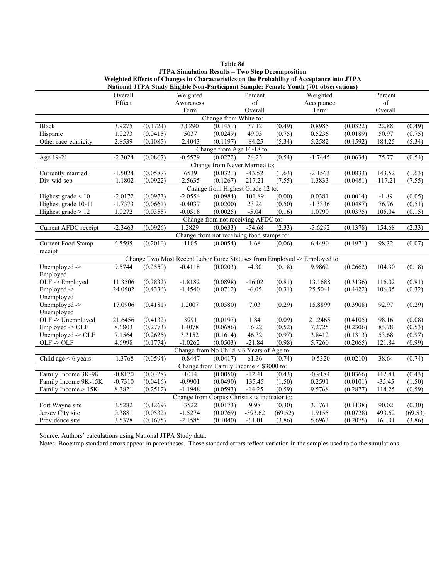|                          |           |          |                                                |                                           |           |         | National JTPA Study Eligible Non-Participant Sample: Female Youth (701 observations) |          |           |         |
|--------------------------|-----------|----------|------------------------------------------------|-------------------------------------------|-----------|---------|--------------------------------------------------------------------------------------|----------|-----------|---------|
|                          | Overall   |          | Weighted                                       |                                           | Percent   |         | Weighted                                                                             |          | Percent   |         |
|                          | Effect    |          | Awareness                                      |                                           | of        |         | Acceptance                                                                           |          | of        |         |
|                          |           |          | Term                                           |                                           | Overall   |         | Term                                                                                 |          | Overall   |         |
|                          |           |          |                                                | Change from White to:                     |           |         |                                                                                      |          |           |         |
| <b>Black</b>             | 3.9275    | (0.1724) | 3.0290                                         | (0.1451)                                  | 77.12     | (0.49)  | 0.8985                                                                               | (0.0322) | 22.88     | (0.49)  |
| Hispanic                 | 1.0273    | (0.0415) | .5037                                          | (0.0249)                                  | 49.03     | (0.75)  | 0.5236                                                                               | (0.0189) | 50.97     | (0.75)  |
| Other race-ethnicity     | 2.8539    | (0.1085) | $-2.4043$                                      | (0.1197)                                  | $-84.25$  | (5.34)  | 5.2582                                                                               | (0.1592) | 184.25    | (5.34)  |
|                          |           |          |                                                | Change from Age 16-18 to:                 |           |         |                                                                                      |          |           |         |
| Age 19-21                | $-2.3024$ | (0.0867) | $-0.5579$                                      | (0.0272)                                  | 24.23     | (0.54)  | $-1.7445$                                                                            | (0.0634) | 75.77     | (0.54)  |
|                          |           |          |                                                | Change from Never Married to:             |           |         |                                                                                      |          |           |         |
| Currently married        | $-1.5024$ | (0.0587) | .6539                                          | (0.0321)                                  | $-43.52$  | (1.63)  | $-2.1563$                                                                            | (0.0833) | 143.52    | (1.63)  |
| Div-wid-sep              | $-1.1802$ | (0.0922) | $-2.5635$                                      | (0.1267)                                  | 217.21    | (7.55)  | 1.3833                                                                               | (0.0481) | $-117.21$ | (7.55)  |
|                          |           |          |                                                | Change from Highest Grade 12 to:          |           |         |                                                                                      |          |           |         |
| Highest grade $\leq 10$  | $-2.0172$ | (0.0973) | $-2.0554$                                      | (0.0984)                                  | 101.89    | (0.00)  | 0.0381                                                                               | (0.0014) | $-1.89$   | (0.05)  |
| Highest grade 10-11      | $-1.7373$ | (0.0661) | $-0.4037$                                      | (0.0200)                                  | 23.24     | (0.50)  | $-1.3336$                                                                            | (0.0487) | 76.76     | (0.51)  |
| Highest grade $> 12$     | 1.0272    | (0.0355) | $-0.0518$                                      | (0.0025)                                  | $-5.04$   | (0.16)  | 1.0790                                                                               | (0.0375) | 105.04    | (0.15)  |
|                          |           |          |                                                | Change from not receiving AFDC to:        |           |         |                                                                                      |          |           |         |
| Current AFDC receipt     | $-2.3463$ | (0.0926) | 1.2829                                         | (0.0633)                                  | $-54.68$  | (2.33)  | $-3.6292$                                                                            | (0.1378) | 154.68    | (2.33)  |
|                          |           |          |                                                | Change from not receiving food stamps to: |           |         |                                                                                      |          |           |         |
| Current Food Stamp       | 6.5595    | (0.2010) | .1105                                          | (0.0054)                                  | 1.68      | (0.06)  | 6.4490                                                                               | (0.1971) | 98.32     | (0.07)  |
| receipt                  |           |          |                                                |                                           |           |         |                                                                                      |          |           |         |
|                          |           |          |                                                |                                           |           |         | Change Two Most Recent Labor Force Statuses from Employed -> Employed to:            |          |           |         |
| Unemployed $\rightarrow$ | 9.5744    | (0.2550) | $-0.4118$                                      | (0.0203)                                  | $-4.30$   | (0.18)  | 9.9862                                                                               | (0.2662) | 104.30    | (0.18)  |
| Employed                 |           |          |                                                |                                           |           |         |                                                                                      |          |           |         |
| OLF -> Employed          | 11.3506   | (0.2832) | $-1.8182$                                      | (0.0898)                                  | $-16.02$  | (0.81)  | 13.1688                                                                              | (0.3136) | 116.02    | (0.81)  |
| Employed ->              | 24.0502   | (0.4336) | $-1.4540$                                      | (0.0712)                                  | $-6.05$   | (0.31)  | 25.5041                                                                              | (0.4422) | 106.05    | (0.32)  |
| Unemployed               |           |          |                                                |                                           |           |         |                                                                                      |          |           |         |
| Unemployed ->            | 17.0906   | (0.4181) | 1.2007                                         | (0.0580)                                  | 7.03      | (0.29)  | 15.8899                                                                              | (0.3908) | 92.97     | (0.29)  |
| Unemployed               |           |          |                                                |                                           |           |         |                                                                                      |          |           |         |
| OLF->Unemployed          | 21.6456   | (0.4132) | .3991                                          | (0.0197)                                  | 1.84      | (0.09)  | 21.2465                                                                              | (0.4105) | 98.16     | (0.08)  |
| Employed -> OLF          | 8.6803    | (0.2773) | 1.4078                                         | (0.0686)                                  | 16.22     | (0.52)  | 7.2725                                                                               | (0.2306) | 83.78     | (0.53)  |
| Unemployed $\sim$ OLF    | 7.1564    | (0.2625) | 3.3152                                         | (0.1614)                                  | 46.32     | (0.97)  | 3.8412                                                                               | (0.1313) | 53.68     | (0.97)  |
| $OLF \geq OLF$           | 4.6998    | (0.1774) | $-1.0262$                                      | (0.0503)                                  | $-21.84$  | (0.98)  | 5.7260                                                                               | (0.2065) | 121.84    | (0.99)  |
|                          |           |          | Change from No Child $\leq 6$ Years of Age to: |                                           |           |         |                                                                                      |          |           |         |
| Child age $\leq 6$ years | $-1.3768$ | (0.0594) | $-0.8447$                                      | (0.0417)                                  | 61.36     | (0.74)  | $-0.5320$                                                                            | (0.0210) | 38.64     | (0.74)  |
|                          |           |          |                                                | Change from Family Income < \$3000 to:    |           |         |                                                                                      |          |           |         |
| Family Income 3K-9K      | $-0.8170$ | (0.0328) | .1014                                          | (0.0050)                                  | $-12.41$  | (0.43)  | $-0.9184$                                                                            | (0.0366) | 112.41    | (0.43)  |
| Family Income 9K-15K     | $-0.7310$ | (0.0416) | $-0.9901$                                      | (0.0490)                                  | 135.45    | (1.50)  | 0.2591                                                                               | (0.0101) | $-35.45$  | (1.50)  |
| Family Income > 15K      | 8.3821    | (0.2512) | $-1.1948$                                      | (0.0593)                                  | $-14.25$  | (0.59)  | 9.5768                                                                               | (0.2877) | 114.25    | (0.59)  |
|                          |           |          | Change from Corpus Christi site indicator to:  |                                           |           |         |                                                                                      |          |           |         |
| Fort Wayne site          | 3.5282    | (0.1269) | .3522                                          | (0.0173)                                  | 9.98      | (0.30)  | 3.1761                                                                               | (0.1138) | 90.02     | (0.30)  |
| Jersey City site         | 0.3881    | (0.0532) | $-1.5274$                                      | (0.0769)                                  | $-393.62$ | (69.52) | 1.9155                                                                               | (0.0728) | 493.62    | (69.53) |
| Providence site          | 3.5378    | (0.1675) | $-2.1585$                                      | (0.1040)                                  | $-61.01$  | (3.86)  | 5.6963                                                                               | (0.2075) | 161.01    | (3.86)  |
|                          |           |          |                                                |                                           |           |         |                                                                                      |          |           |         |

**Table 8d JTPA Simulation Results - Two Step Decomposition Weighted Effects of Changes in Characteristics on the Probability of Acceptance into JTPA National JTPA Study Eligible Non-Participant Sample: Female Youth (701 observations)** 

Source: Authors' calculations using National JTPA Study data.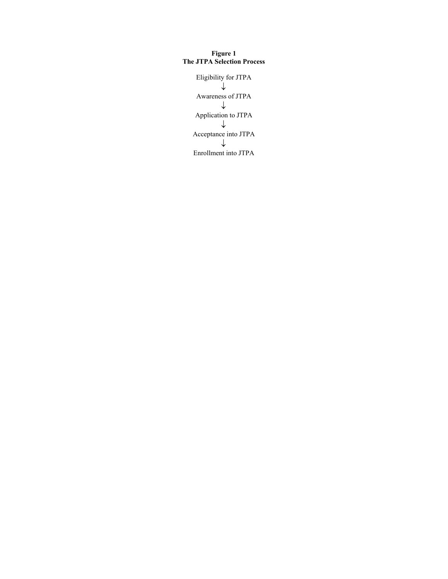## **Figure 1 The JTPA Selection Process**

Eligibility for JTPA ↓ Awareness of JTPA ↓ Application to JTPA ↓ Acceptance into JTPA ↓ Enrollment into JTPA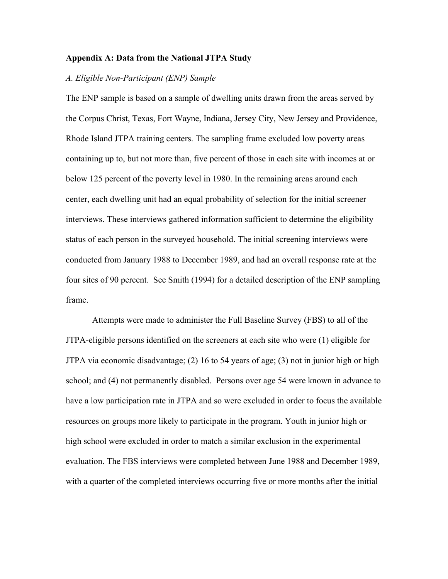# **Appendix A: Data from the National JTPA Study**

# *A. Eligible Non-Participant (ENP) Sample*

The ENP sample is based on a sample of dwelling units drawn from the areas served by the Corpus Christ, Texas, Fort Wayne, Indiana, Jersey City, New Jersey and Providence, Rhode Island JTPA training centers. The sampling frame excluded low poverty areas containing up to, but not more than, five percent of those in each site with incomes at or below 125 percent of the poverty level in 1980. In the remaining areas around each center, each dwelling unit had an equal probability of selection for the initial screener interviews. These interviews gathered information sufficient to determine the eligibility status of each person in the surveyed household. The initial screening interviews were conducted from January 1988 to December 1989, and had an overall response rate at the four sites of 90 percent. See Smith (1994) for a detailed description of the ENP sampling frame.

Attempts were made to administer the Full Baseline Survey (FBS) to all of the JTPA-eligible persons identified on the screeners at each site who were (1) eligible for JTPA via economic disadvantage; (2) 16 to 54 years of age; (3) not in junior high or high school; and (4) not permanently disabled. Persons over age 54 were known in advance to have a low participation rate in JTPA and so were excluded in order to focus the available resources on groups more likely to participate in the program. Youth in junior high or high school were excluded in order to match a similar exclusion in the experimental evaluation. The FBS interviews were completed between June 1988 and December 1989, with a quarter of the completed interviews occurring five or more months after the initial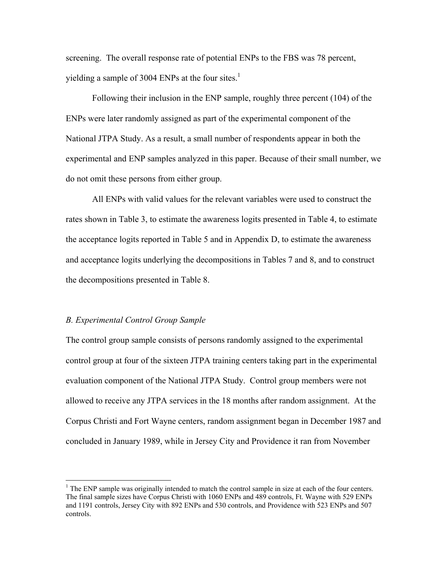screening. The overall response rate of potential ENPs to the FBS was 78 percent, yielding a sample of 3004 ENPs at the four sites.<sup>1</sup>

Following their inclusion in the ENP sample, roughly three percent (104) of the ENPs were later randomly assigned as part of the experimental component of the National JTPA Study. As a result, a small number of respondents appear in both the experimental and ENP samples analyzed in this paper. Because of their small number, we do not omit these persons from either group.

All ENPs with valid values for the relevant variables were used to construct the rates shown in Table 3, to estimate the awareness logits presented in Table 4, to estimate the acceptance logits reported in Table 5 and in Appendix D, to estimate the awareness and acceptance logits underlying the decompositions in Tables 7 and 8, and to construct the decompositions presented in Table 8.

# *B. Experimental Control Group Sample*

 $\overline{a}$ 

The control group sample consists of persons randomly assigned to the experimental control group at four of the sixteen JTPA training centers taking part in the experimental evaluation component of the National JTPA Study. Control group members were not allowed to receive any JTPA services in the 18 months after random assignment. At the Corpus Christi and Fort Wayne centers, random assignment began in December 1987 and concluded in January 1989, while in Jersey City and Providence it ran from November

 $<sup>1</sup>$  The ENP sample was originally intended to match the control sample in size at each of the four centers.</sup> The final sample sizes have Corpus Christi with 1060 ENPs and 489 controls, Ft. Wayne with 529 ENPs and 1191 controls, Jersey City with 892 ENPs and 530 controls, and Providence with 523 ENPs and 507 controls.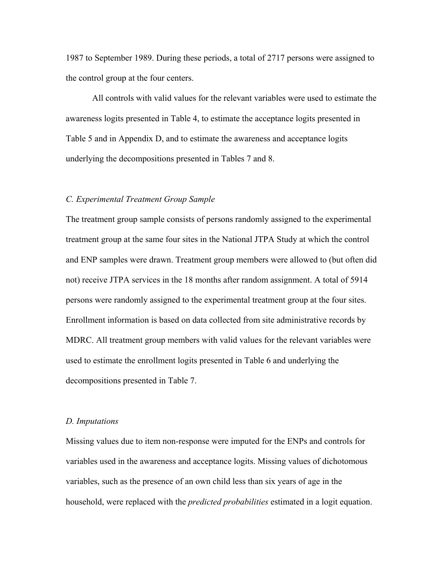1987 to September 1989. During these periods, a total of 2717 persons were assigned to the control group at the four centers.

All controls with valid values for the relevant variables were used to estimate the awareness logits presented in Table 4, to estimate the acceptance logits presented in Table 5 and in Appendix D, and to estimate the awareness and acceptance logits underlying the decompositions presented in Tables 7 and 8.

# *C. Experimental Treatment Group Sample*

The treatment group sample consists of persons randomly assigned to the experimental treatment group at the same four sites in the National JTPA Study at which the control and ENP samples were drawn. Treatment group members were allowed to (but often did not) receive JTPA services in the 18 months after random assignment. A total of 5914 persons were randomly assigned to the experimental treatment group at the four sites. Enrollment information is based on data collected from site administrative records by MDRC. All treatment group members with valid values for the relevant variables were used to estimate the enrollment logits presented in Table 6 and underlying the decompositions presented in Table 7.

# *D. Imputations*

Missing values due to item non-response were imputed for the ENPs and controls for variables used in the awareness and acceptance logits. Missing values of dichotomous variables, such as the presence of an own child less than six years of age in the household, were replaced with the *predicted probabilities* estimated in a logit equation.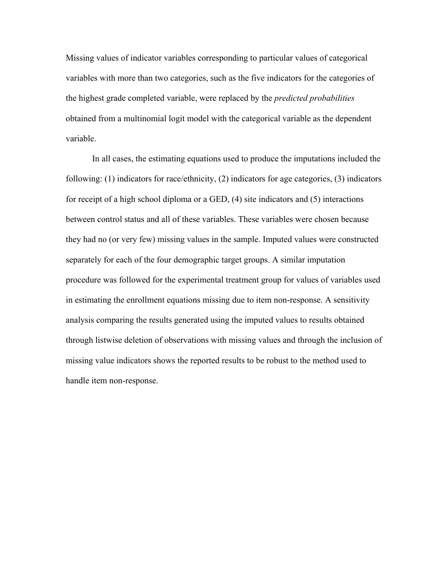Missing values of indicator variables corresponding to particular values of categorical variables with more than two categories, such as the five indicators for the categories of the highest grade completed variable, were replaced by the *predicted probabilities* obtained from a multinomial logit model with the categorical variable as the dependent variable.

In all cases, the estimating equations used to produce the imputations included the following: (1) indicators for race/ethnicity, (2) indicators for age categories, (3) indicators for receipt of a high school diploma or a GED, (4) site indicators and (5) interactions between control status and all of these variables. These variables were chosen because they had no (or very few) missing values in the sample. Imputed values were constructed separately for each of the four demographic target groups. A similar imputation procedure was followed for the experimental treatment group for values of variables used in estimating the enrollment equations missing due to item non-response. A sensitivity analysis comparing the results generated using the imputed values to results obtained through listwise deletion of observations with missing values and through the inclusion of missing value indicators shows the reported results to be robust to the method used to handle item non-response.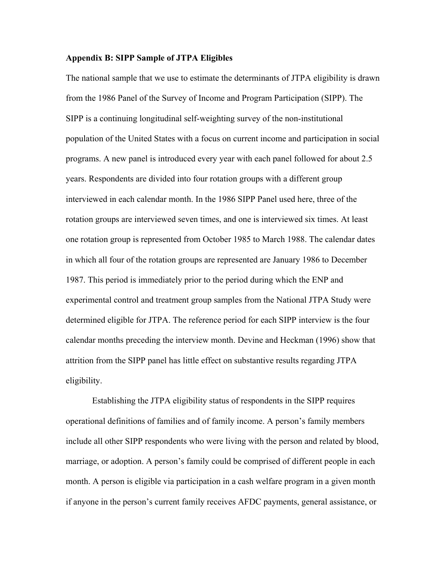# **Appendix B: SIPP Sample of JTPA Eligibles**

The national sample that we use to estimate the determinants of JTPA eligibility is drawn from the 1986 Panel of the Survey of Income and Program Participation (SIPP). The SIPP is a continuing longitudinal self-weighting survey of the non-institutional population of the United States with a focus on current income and participation in social programs. A new panel is introduced every year with each panel followed for about 2.5 years. Respondents are divided into four rotation groups with a different group interviewed in each calendar month. In the 1986 SIPP Panel used here, three of the rotation groups are interviewed seven times, and one is interviewed six times. At least one rotation group is represented from October 1985 to March 1988. The calendar dates in which all four of the rotation groups are represented are January 1986 to December 1987. This period is immediately prior to the period during which the ENP and experimental control and treatment group samples from the National JTPA Study were determined eligible for JTPA. The reference period for each SIPP interview is the four calendar months preceding the interview month. Devine and Heckman (1996) show that attrition from the SIPP panel has little effect on substantive results regarding JTPA eligibility.

Establishing the JTPA eligibility status of respondents in the SIPP requires operational definitions of families and of family income. A person's family members include all other SIPP respondents who were living with the person and related by blood, marriage, or adoption. A person's family could be comprised of different people in each month. A person is eligible via participation in a cash welfare program in a given month if anyone in the person's current family receives AFDC payments, general assistance, or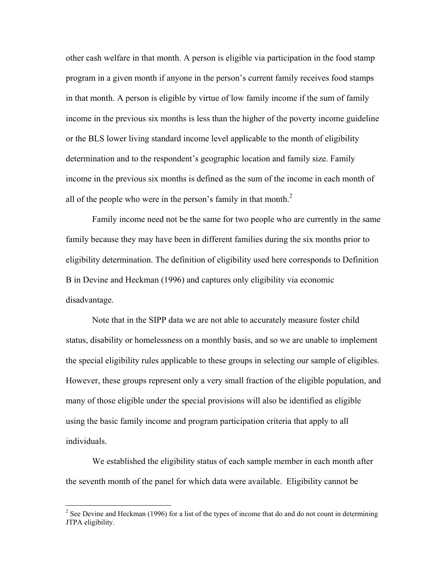other cash welfare in that month. A person is eligible via participation in the food stamp program in a given month if anyone in the person's current family receives food stamps in that month. A person is eligible by virtue of low family income if the sum of family income in the previous six months is less than the higher of the poverty income guideline or the BLS lower living standard income level applicable to the month of eligibility determination and to the respondent's geographic location and family size. Family income in the previous six months is defined as the sum of the income in each month of all of the people who were in the person's family in that month. $2$ 

Family income need not be the same for two people who are currently in the same family because they may have been in different families during the six months prior to eligibility determination. The definition of eligibility used here corresponds to Definition B in Devine and Heckman (1996) and captures only eligibility via economic disadvantage.

Note that in the SIPP data we are not able to accurately measure foster child status, disability or homelessness on a monthly basis, and so we are unable to implement the special eligibility rules applicable to these groups in selecting our sample of eligibles. However, these groups represent only a very small fraction of the eligible population, and many of those eligible under the special provisions will also be identified as eligible using the basic family income and program participation criteria that apply to all individuals.

We established the eligibility status of each sample member in each month after the seventh month of the panel for which data were available. Eligibility cannot be

 $\overline{a}$ 

<sup>&</sup>lt;sup>2</sup> See Devine and Heckman (1996) for a list of the types of income that do and do not count in determining JTPA eligibility.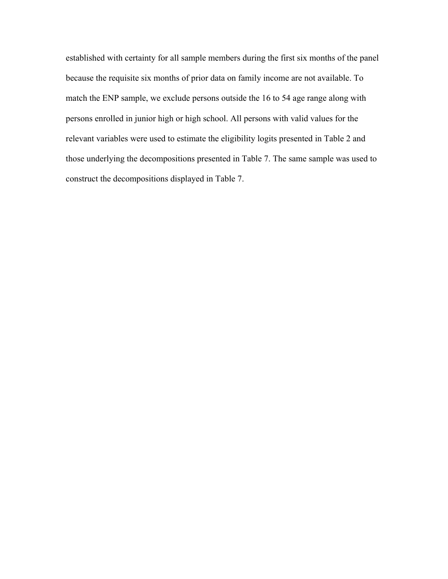established with certainty for all sample members during the first six months of the panel because the requisite six months of prior data on family income are not available. To match the ENP sample, we exclude persons outside the 16 to 54 age range along with persons enrolled in junior high or high school. All persons with valid values for the relevant variables were used to estimate the eligibility logits presented in Table 2 and those underlying the decompositions presented in Table 7. The same sample was used to construct the decompositions displayed in Table 7.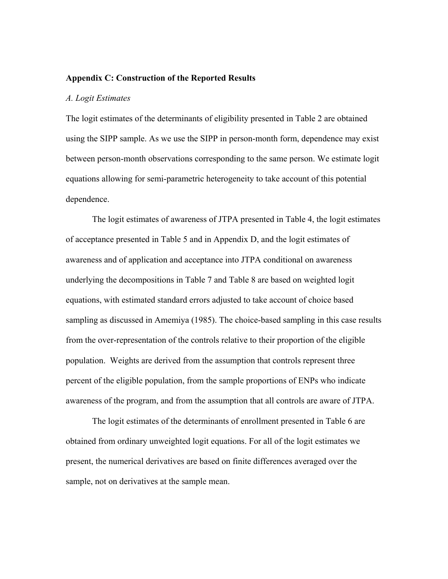## **Appendix C: Construction of the Reported Results**

## *A. Logit Estimates*

The logit estimates of the determinants of eligibility presented in Table 2 are obtained using the SIPP sample. As we use the SIPP in person-month form, dependence may exist between person-month observations corresponding to the same person. We estimate logit equations allowing for semi-parametric heterogeneity to take account of this potential dependence.

The logit estimates of awareness of JTPA presented in Table 4, the logit estimates of acceptance presented in Table 5 and in Appendix D, and the logit estimates of awareness and of application and acceptance into JTPA conditional on awareness underlying the decompositions in Table 7 and Table 8 are based on weighted logit equations, with estimated standard errors adjusted to take account of choice based sampling as discussed in Amemiya (1985). The choice-based sampling in this case results from the over-representation of the controls relative to their proportion of the eligible population. Weights are derived from the assumption that controls represent three percent of the eligible population, from the sample proportions of ENPs who indicate awareness of the program, and from the assumption that all controls are aware of JTPA.

The logit estimates of the determinants of enrollment presented in Table 6 are obtained from ordinary unweighted logit equations. For all of the logit estimates we present, the numerical derivatives are based on finite differences averaged over the sample, not on derivatives at the sample mean.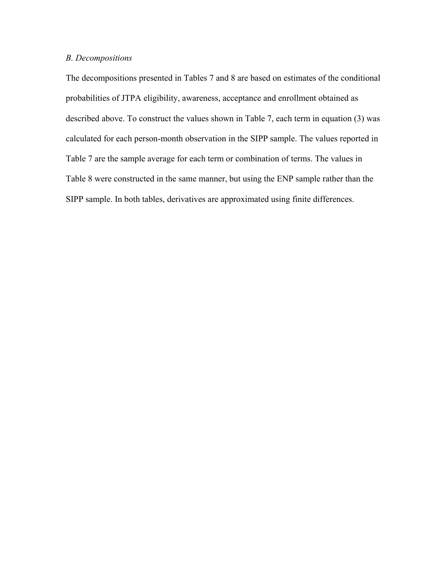# *B. Decompositions*

The decompositions presented in Tables 7 and 8 are based on estimates of the conditional probabilities of JTPA eligibility, awareness, acceptance and enrollment obtained as described above. To construct the values shown in Table 7, each term in equation (3) was calculated for each person-month observation in the SIPP sample. The values reported in Table 7 are the sample average for each term or combination of terms. The values in Table 8 were constructed in the same manner, but using the ENP sample rather than the SIPP sample. In both tables, derivatives are approximated using finite differences.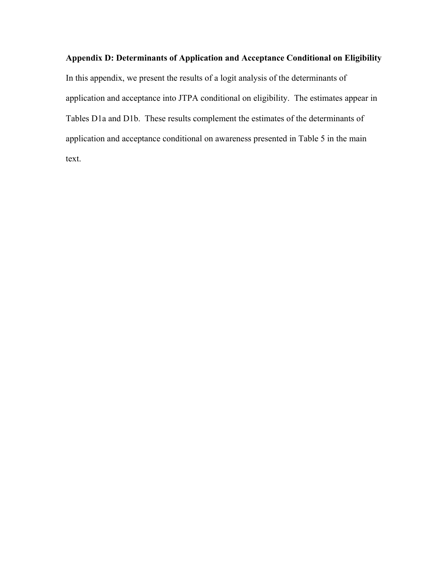# **Appendix D: Determinants of Application and Acceptance Conditional on Eligibility**

In this appendix, we present the results of a logit analysis of the determinants of application and acceptance into JTPA conditional on eligibility. The estimates appear in Tables D1a and D1b. These results complement the estimates of the determinants of application and acceptance conditional on awareness presented in Table 5 in the main text.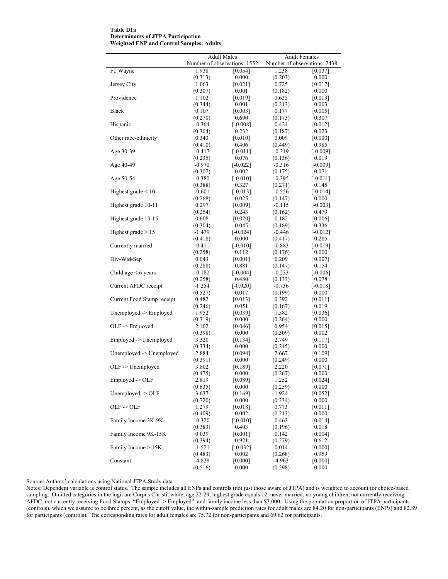#### **Table D1a Determinants of JTPA Participation Weighted ENP and Control Samples: Adults**

| Number of observations: 1552<br>Number of observations: 2438<br>Ft. Wayne<br>1.938<br>[0.054]<br>1.238<br>[0.037]<br>0.000<br>0.000<br>(0.313)<br>(0.203)<br>Jersey City<br>0.725<br>1.063<br>[0.021]<br>[0.017]<br>(0.307)<br>0.001<br>(0.182)<br>0.000<br>Providence<br>1.102<br>[0.019]<br>0.635<br>[0.013]<br>(0.344)<br>0.001<br>(0.213)<br>0.003<br>Black<br>0.107<br>[0.003]<br>0.177<br>[0.005]<br>(0.270)<br>0.690<br>(0.173)<br>0.307<br>Hispanic<br>$-0.364$<br>$[-0.008]$<br>0.424<br>[0.012]<br>(0.304)<br>0.232<br>0.023<br>(0.187)<br>Other race-ethnicity<br>0.340<br>[0.010]<br>0.009<br>[0.000]<br>(0.410)<br>0.406<br>0.985<br>(0.449)<br>Age 30-39<br>$-0.417$<br>$[-0.011]$<br>$-0.319$<br>$[-0.009]$<br>(0.235)<br>0.076<br>(0.136)<br>0.019<br>Age 40-49<br>$-0.970$<br>$[-0.022]$<br>$-0.316$<br>$[-0.009]$<br>(0.307)<br>0.002<br>(0.175)<br>0.071<br>$-0.380$<br>Age 50-54<br>$[-0.010]$<br>$-0.395$<br>$[-0.011]$<br>(0.388)<br>0.327<br>(0.271)<br>0.145<br>Highest grade $\leq 10$<br>$-0.601$<br>$[-0.013]$<br>$-0.556$<br>$[-0.014]$<br>(0.268)<br>0.025<br>(0.147)<br>0.000<br>Highest grade 10-11<br>0.297<br>[0.009]<br>$-0.115$<br>$[-0.003]$<br>(0.254)<br>0.243<br>(0.162)<br>0.479<br>Highest grade 13-15<br>0.608<br>[0.020]<br>0.182<br>[0.006]<br>(0.304)<br>0.045<br>(0.189)<br>0.336<br>Highest grade $> 15$<br>$-1.479$<br>$[-0.024]$<br>$-0.446$<br>$[-0.012]$<br>0.000<br>(0.418)<br>(0.417)<br>0.285<br>Currently married<br>$-0.411$<br>$[-0.010]$<br>$[-0.019]$<br>$-0.883$<br>(0.258)<br>0.112<br>(0.176)<br>0.000<br>Div-Wid-Sep<br>0.043<br>[0.001]<br>0.209<br>[0.007]<br>0.881<br>(0.288)<br>(0.147)<br>0.154<br>Child age $\leq 6$ years<br>$-0.182$<br>$[-0.004]$<br>$-0.233$<br>$[-0.006]$<br>0.480<br>(0.258)<br>(0.133)<br>0.078<br>Current AFDC receipt<br>$-1.254$<br>$-0.736$<br>$[-0.020]$<br>$[-0.018]$<br>0.017<br>(0.199)<br>0.000<br>(0.527)<br>Current Food Stamp receipt<br>0.482<br>[0.013]<br>0.392<br>[0.011]<br>(0.246)<br>0.051<br>(0.167)<br>0.019<br>Unemployed -> Employed<br>1.952<br>[0.039]<br>1.582<br>[0.036]<br>(0.319)<br>0.000<br>(0.264)<br>0.000<br>2.102<br>$OLF$ $\geq$ Employed<br>[0.046]<br>0.954<br>[0.015]<br>(0.398)<br>0.000<br>(0.309)<br>0.002<br>Employed -> Unemployed<br>3.320<br>2.749<br>[0.117]<br>[0.134]<br>0.000<br>0.000<br>(0.334)<br>(0.245)<br>Unemployed -> Unemployed<br>2.884<br>[0.094]<br>2.667<br>[0.109]<br>(0.391)<br>0.000<br>(0.249)<br>0.000<br>$OLE \rightarrow Unemployed$<br>3.802<br>[0.189]<br>2.220<br>[0.071]<br>(0.475)<br>0.000<br>(0.267)<br>0.000<br>2.819<br>1.252<br>[0.024]<br>Employed -> OLF<br>[0.089]<br>0.000<br>(0.635)<br>0.000<br>(0.259)<br>Unemployed -> OLF<br>[0.169]<br>1.924<br>[0.052]<br>3.637 | <b>Adult Males</b> |       | <b>Adult Females</b> |       |  |
|--------------------------------------------------------------------------------------------------------------------------------------------------------------------------------------------------------------------------------------------------------------------------------------------------------------------------------------------------------------------------------------------------------------------------------------------------------------------------------------------------------------------------------------------------------------------------------------------------------------------------------------------------------------------------------------------------------------------------------------------------------------------------------------------------------------------------------------------------------------------------------------------------------------------------------------------------------------------------------------------------------------------------------------------------------------------------------------------------------------------------------------------------------------------------------------------------------------------------------------------------------------------------------------------------------------------------------------------------------------------------------------------------------------------------------------------------------------------------------------------------------------------------------------------------------------------------------------------------------------------------------------------------------------------------------------------------------------------------------------------------------------------------------------------------------------------------------------------------------------------------------------------------------------------------------------------------------------------------------------------------------------------------------------------------------------------------------------------------------------------------------------------------------------------------------------------------------------------------------------------------------------------------------------------------------------------------------------------------------------------------------------------------------------------------------------------------------------------------------------------------------------------------------------------------------------------------------------------------------------------------------------------------------------------------------------------------------------------------------------------------------|--------------------|-------|----------------------|-------|--|
|                                                                                                                                                                                                                                                                                                                                                                                                                                                                                                                                                                                                                                                                                                                                                                                                                                                                                                                                                                                                                                                                                                                                                                                                                                                                                                                                                                                                                                                                                                                                                                                                                                                                                                                                                                                                                                                                                                                                                                                                                                                                                                                                                                                                                                                                                                                                                                                                                                                                                                                                                                                                                                                                                                                                                        |                    |       |                      |       |  |
|                                                                                                                                                                                                                                                                                                                                                                                                                                                                                                                                                                                                                                                                                                                                                                                                                                                                                                                                                                                                                                                                                                                                                                                                                                                                                                                                                                                                                                                                                                                                                                                                                                                                                                                                                                                                                                                                                                                                                                                                                                                                                                                                                                                                                                                                                                                                                                                                                                                                                                                                                                                                                                                                                                                                                        |                    |       |                      |       |  |
|                                                                                                                                                                                                                                                                                                                                                                                                                                                                                                                                                                                                                                                                                                                                                                                                                                                                                                                                                                                                                                                                                                                                                                                                                                                                                                                                                                                                                                                                                                                                                                                                                                                                                                                                                                                                                                                                                                                                                                                                                                                                                                                                                                                                                                                                                                                                                                                                                                                                                                                                                                                                                                                                                                                                                        |                    |       |                      |       |  |
|                                                                                                                                                                                                                                                                                                                                                                                                                                                                                                                                                                                                                                                                                                                                                                                                                                                                                                                                                                                                                                                                                                                                                                                                                                                                                                                                                                                                                                                                                                                                                                                                                                                                                                                                                                                                                                                                                                                                                                                                                                                                                                                                                                                                                                                                                                                                                                                                                                                                                                                                                                                                                                                                                                                                                        |                    |       |                      |       |  |
|                                                                                                                                                                                                                                                                                                                                                                                                                                                                                                                                                                                                                                                                                                                                                                                                                                                                                                                                                                                                                                                                                                                                                                                                                                                                                                                                                                                                                                                                                                                                                                                                                                                                                                                                                                                                                                                                                                                                                                                                                                                                                                                                                                                                                                                                                                                                                                                                                                                                                                                                                                                                                                                                                                                                                        |                    |       |                      |       |  |
|                                                                                                                                                                                                                                                                                                                                                                                                                                                                                                                                                                                                                                                                                                                                                                                                                                                                                                                                                                                                                                                                                                                                                                                                                                                                                                                                                                                                                                                                                                                                                                                                                                                                                                                                                                                                                                                                                                                                                                                                                                                                                                                                                                                                                                                                                                                                                                                                                                                                                                                                                                                                                                                                                                                                                        |                    |       |                      |       |  |
|                                                                                                                                                                                                                                                                                                                                                                                                                                                                                                                                                                                                                                                                                                                                                                                                                                                                                                                                                                                                                                                                                                                                                                                                                                                                                                                                                                                                                                                                                                                                                                                                                                                                                                                                                                                                                                                                                                                                                                                                                                                                                                                                                                                                                                                                                                                                                                                                                                                                                                                                                                                                                                                                                                                                                        |                    |       |                      |       |  |
|                                                                                                                                                                                                                                                                                                                                                                                                                                                                                                                                                                                                                                                                                                                                                                                                                                                                                                                                                                                                                                                                                                                                                                                                                                                                                                                                                                                                                                                                                                                                                                                                                                                                                                                                                                                                                                                                                                                                                                                                                                                                                                                                                                                                                                                                                                                                                                                                                                                                                                                                                                                                                                                                                                                                                        |                    |       |                      |       |  |
|                                                                                                                                                                                                                                                                                                                                                                                                                                                                                                                                                                                                                                                                                                                                                                                                                                                                                                                                                                                                                                                                                                                                                                                                                                                                                                                                                                                                                                                                                                                                                                                                                                                                                                                                                                                                                                                                                                                                                                                                                                                                                                                                                                                                                                                                                                                                                                                                                                                                                                                                                                                                                                                                                                                                                        |                    |       |                      |       |  |
|                                                                                                                                                                                                                                                                                                                                                                                                                                                                                                                                                                                                                                                                                                                                                                                                                                                                                                                                                                                                                                                                                                                                                                                                                                                                                                                                                                                                                                                                                                                                                                                                                                                                                                                                                                                                                                                                                                                                                                                                                                                                                                                                                                                                                                                                                                                                                                                                                                                                                                                                                                                                                                                                                                                                                        |                    |       |                      |       |  |
|                                                                                                                                                                                                                                                                                                                                                                                                                                                                                                                                                                                                                                                                                                                                                                                                                                                                                                                                                                                                                                                                                                                                                                                                                                                                                                                                                                                                                                                                                                                                                                                                                                                                                                                                                                                                                                                                                                                                                                                                                                                                                                                                                                                                                                                                                                                                                                                                                                                                                                                                                                                                                                                                                                                                                        |                    |       |                      |       |  |
|                                                                                                                                                                                                                                                                                                                                                                                                                                                                                                                                                                                                                                                                                                                                                                                                                                                                                                                                                                                                                                                                                                                                                                                                                                                                                                                                                                                                                                                                                                                                                                                                                                                                                                                                                                                                                                                                                                                                                                                                                                                                                                                                                                                                                                                                                                                                                                                                                                                                                                                                                                                                                                                                                                                                                        |                    |       |                      |       |  |
|                                                                                                                                                                                                                                                                                                                                                                                                                                                                                                                                                                                                                                                                                                                                                                                                                                                                                                                                                                                                                                                                                                                                                                                                                                                                                                                                                                                                                                                                                                                                                                                                                                                                                                                                                                                                                                                                                                                                                                                                                                                                                                                                                                                                                                                                                                                                                                                                                                                                                                                                                                                                                                                                                                                                                        |                    |       |                      |       |  |
|                                                                                                                                                                                                                                                                                                                                                                                                                                                                                                                                                                                                                                                                                                                                                                                                                                                                                                                                                                                                                                                                                                                                                                                                                                                                                                                                                                                                                                                                                                                                                                                                                                                                                                                                                                                                                                                                                                                                                                                                                                                                                                                                                                                                                                                                                                                                                                                                                                                                                                                                                                                                                                                                                                                                                        |                    |       |                      |       |  |
|                                                                                                                                                                                                                                                                                                                                                                                                                                                                                                                                                                                                                                                                                                                                                                                                                                                                                                                                                                                                                                                                                                                                                                                                                                                                                                                                                                                                                                                                                                                                                                                                                                                                                                                                                                                                                                                                                                                                                                                                                                                                                                                                                                                                                                                                                                                                                                                                                                                                                                                                                                                                                                                                                                                                                        |                    |       |                      |       |  |
|                                                                                                                                                                                                                                                                                                                                                                                                                                                                                                                                                                                                                                                                                                                                                                                                                                                                                                                                                                                                                                                                                                                                                                                                                                                                                                                                                                                                                                                                                                                                                                                                                                                                                                                                                                                                                                                                                                                                                                                                                                                                                                                                                                                                                                                                                                                                                                                                                                                                                                                                                                                                                                                                                                                                                        |                    |       |                      |       |  |
|                                                                                                                                                                                                                                                                                                                                                                                                                                                                                                                                                                                                                                                                                                                                                                                                                                                                                                                                                                                                                                                                                                                                                                                                                                                                                                                                                                                                                                                                                                                                                                                                                                                                                                                                                                                                                                                                                                                                                                                                                                                                                                                                                                                                                                                                                                                                                                                                                                                                                                                                                                                                                                                                                                                                                        |                    |       |                      |       |  |
|                                                                                                                                                                                                                                                                                                                                                                                                                                                                                                                                                                                                                                                                                                                                                                                                                                                                                                                                                                                                                                                                                                                                                                                                                                                                                                                                                                                                                                                                                                                                                                                                                                                                                                                                                                                                                                                                                                                                                                                                                                                                                                                                                                                                                                                                                                                                                                                                                                                                                                                                                                                                                                                                                                                                                        |                    |       |                      |       |  |
|                                                                                                                                                                                                                                                                                                                                                                                                                                                                                                                                                                                                                                                                                                                                                                                                                                                                                                                                                                                                                                                                                                                                                                                                                                                                                                                                                                                                                                                                                                                                                                                                                                                                                                                                                                                                                                                                                                                                                                                                                                                                                                                                                                                                                                                                                                                                                                                                                                                                                                                                                                                                                                                                                                                                                        |                    |       |                      |       |  |
|                                                                                                                                                                                                                                                                                                                                                                                                                                                                                                                                                                                                                                                                                                                                                                                                                                                                                                                                                                                                                                                                                                                                                                                                                                                                                                                                                                                                                                                                                                                                                                                                                                                                                                                                                                                                                                                                                                                                                                                                                                                                                                                                                                                                                                                                                                                                                                                                                                                                                                                                                                                                                                                                                                                                                        |                    |       |                      |       |  |
|                                                                                                                                                                                                                                                                                                                                                                                                                                                                                                                                                                                                                                                                                                                                                                                                                                                                                                                                                                                                                                                                                                                                                                                                                                                                                                                                                                                                                                                                                                                                                                                                                                                                                                                                                                                                                                                                                                                                                                                                                                                                                                                                                                                                                                                                                                                                                                                                                                                                                                                                                                                                                                                                                                                                                        |                    |       |                      |       |  |
|                                                                                                                                                                                                                                                                                                                                                                                                                                                                                                                                                                                                                                                                                                                                                                                                                                                                                                                                                                                                                                                                                                                                                                                                                                                                                                                                                                                                                                                                                                                                                                                                                                                                                                                                                                                                                                                                                                                                                                                                                                                                                                                                                                                                                                                                                                                                                                                                                                                                                                                                                                                                                                                                                                                                                        |                    |       |                      |       |  |
|                                                                                                                                                                                                                                                                                                                                                                                                                                                                                                                                                                                                                                                                                                                                                                                                                                                                                                                                                                                                                                                                                                                                                                                                                                                                                                                                                                                                                                                                                                                                                                                                                                                                                                                                                                                                                                                                                                                                                                                                                                                                                                                                                                                                                                                                                                                                                                                                                                                                                                                                                                                                                                                                                                                                                        |                    |       |                      |       |  |
|                                                                                                                                                                                                                                                                                                                                                                                                                                                                                                                                                                                                                                                                                                                                                                                                                                                                                                                                                                                                                                                                                                                                                                                                                                                                                                                                                                                                                                                                                                                                                                                                                                                                                                                                                                                                                                                                                                                                                                                                                                                                                                                                                                                                                                                                                                                                                                                                                                                                                                                                                                                                                                                                                                                                                        |                    |       |                      |       |  |
|                                                                                                                                                                                                                                                                                                                                                                                                                                                                                                                                                                                                                                                                                                                                                                                                                                                                                                                                                                                                                                                                                                                                                                                                                                                                                                                                                                                                                                                                                                                                                                                                                                                                                                                                                                                                                                                                                                                                                                                                                                                                                                                                                                                                                                                                                                                                                                                                                                                                                                                                                                                                                                                                                                                                                        |                    |       |                      |       |  |
|                                                                                                                                                                                                                                                                                                                                                                                                                                                                                                                                                                                                                                                                                                                                                                                                                                                                                                                                                                                                                                                                                                                                                                                                                                                                                                                                                                                                                                                                                                                                                                                                                                                                                                                                                                                                                                                                                                                                                                                                                                                                                                                                                                                                                                                                                                                                                                                                                                                                                                                                                                                                                                                                                                                                                        |                    |       |                      |       |  |
|                                                                                                                                                                                                                                                                                                                                                                                                                                                                                                                                                                                                                                                                                                                                                                                                                                                                                                                                                                                                                                                                                                                                                                                                                                                                                                                                                                                                                                                                                                                                                                                                                                                                                                                                                                                                                                                                                                                                                                                                                                                                                                                                                                                                                                                                                                                                                                                                                                                                                                                                                                                                                                                                                                                                                        |                    |       |                      |       |  |
|                                                                                                                                                                                                                                                                                                                                                                                                                                                                                                                                                                                                                                                                                                                                                                                                                                                                                                                                                                                                                                                                                                                                                                                                                                                                                                                                                                                                                                                                                                                                                                                                                                                                                                                                                                                                                                                                                                                                                                                                                                                                                                                                                                                                                                                                                                                                                                                                                                                                                                                                                                                                                                                                                                                                                        |                    |       |                      |       |  |
|                                                                                                                                                                                                                                                                                                                                                                                                                                                                                                                                                                                                                                                                                                                                                                                                                                                                                                                                                                                                                                                                                                                                                                                                                                                                                                                                                                                                                                                                                                                                                                                                                                                                                                                                                                                                                                                                                                                                                                                                                                                                                                                                                                                                                                                                                                                                                                                                                                                                                                                                                                                                                                                                                                                                                        |                    |       |                      |       |  |
|                                                                                                                                                                                                                                                                                                                                                                                                                                                                                                                                                                                                                                                                                                                                                                                                                                                                                                                                                                                                                                                                                                                                                                                                                                                                                                                                                                                                                                                                                                                                                                                                                                                                                                                                                                                                                                                                                                                                                                                                                                                                                                                                                                                                                                                                                                                                                                                                                                                                                                                                                                                                                                                                                                                                                        |                    |       |                      |       |  |
|                                                                                                                                                                                                                                                                                                                                                                                                                                                                                                                                                                                                                                                                                                                                                                                                                                                                                                                                                                                                                                                                                                                                                                                                                                                                                                                                                                                                                                                                                                                                                                                                                                                                                                                                                                                                                                                                                                                                                                                                                                                                                                                                                                                                                                                                                                                                                                                                                                                                                                                                                                                                                                                                                                                                                        |                    |       |                      |       |  |
|                                                                                                                                                                                                                                                                                                                                                                                                                                                                                                                                                                                                                                                                                                                                                                                                                                                                                                                                                                                                                                                                                                                                                                                                                                                                                                                                                                                                                                                                                                                                                                                                                                                                                                                                                                                                                                                                                                                                                                                                                                                                                                                                                                                                                                                                                                                                                                                                                                                                                                                                                                                                                                                                                                                                                        |                    |       |                      |       |  |
|                                                                                                                                                                                                                                                                                                                                                                                                                                                                                                                                                                                                                                                                                                                                                                                                                                                                                                                                                                                                                                                                                                                                                                                                                                                                                                                                                                                                                                                                                                                                                                                                                                                                                                                                                                                                                                                                                                                                                                                                                                                                                                                                                                                                                                                                                                                                                                                                                                                                                                                                                                                                                                                                                                                                                        |                    |       |                      |       |  |
|                                                                                                                                                                                                                                                                                                                                                                                                                                                                                                                                                                                                                                                                                                                                                                                                                                                                                                                                                                                                                                                                                                                                                                                                                                                                                                                                                                                                                                                                                                                                                                                                                                                                                                                                                                                                                                                                                                                                                                                                                                                                                                                                                                                                                                                                                                                                                                                                                                                                                                                                                                                                                                                                                                                                                        |                    |       |                      |       |  |
|                                                                                                                                                                                                                                                                                                                                                                                                                                                                                                                                                                                                                                                                                                                                                                                                                                                                                                                                                                                                                                                                                                                                                                                                                                                                                                                                                                                                                                                                                                                                                                                                                                                                                                                                                                                                                                                                                                                                                                                                                                                                                                                                                                                                                                                                                                                                                                                                                                                                                                                                                                                                                                                                                                                                                        |                    |       |                      |       |  |
|                                                                                                                                                                                                                                                                                                                                                                                                                                                                                                                                                                                                                                                                                                                                                                                                                                                                                                                                                                                                                                                                                                                                                                                                                                                                                                                                                                                                                                                                                                                                                                                                                                                                                                                                                                                                                                                                                                                                                                                                                                                                                                                                                                                                                                                                                                                                                                                                                                                                                                                                                                                                                                                                                                                                                        |                    |       |                      |       |  |
|                                                                                                                                                                                                                                                                                                                                                                                                                                                                                                                                                                                                                                                                                                                                                                                                                                                                                                                                                                                                                                                                                                                                                                                                                                                                                                                                                                                                                                                                                                                                                                                                                                                                                                                                                                                                                                                                                                                                                                                                                                                                                                                                                                                                                                                                                                                                                                                                                                                                                                                                                                                                                                                                                                                                                        |                    |       |                      |       |  |
|                                                                                                                                                                                                                                                                                                                                                                                                                                                                                                                                                                                                                                                                                                                                                                                                                                                                                                                                                                                                                                                                                                                                                                                                                                                                                                                                                                                                                                                                                                                                                                                                                                                                                                                                                                                                                                                                                                                                                                                                                                                                                                                                                                                                                                                                                                                                                                                                                                                                                                                                                                                                                                                                                                                                                        |                    |       |                      |       |  |
|                                                                                                                                                                                                                                                                                                                                                                                                                                                                                                                                                                                                                                                                                                                                                                                                                                                                                                                                                                                                                                                                                                                                                                                                                                                                                                                                                                                                                                                                                                                                                                                                                                                                                                                                                                                                                                                                                                                                                                                                                                                                                                                                                                                                                                                                                                                                                                                                                                                                                                                                                                                                                                                                                                                                                        |                    |       |                      |       |  |
|                                                                                                                                                                                                                                                                                                                                                                                                                                                                                                                                                                                                                                                                                                                                                                                                                                                                                                                                                                                                                                                                                                                                                                                                                                                                                                                                                                                                                                                                                                                                                                                                                                                                                                                                                                                                                                                                                                                                                                                                                                                                                                                                                                                                                                                                                                                                                                                                                                                                                                                                                                                                                                                                                                                                                        |                    |       |                      |       |  |
|                                                                                                                                                                                                                                                                                                                                                                                                                                                                                                                                                                                                                                                                                                                                                                                                                                                                                                                                                                                                                                                                                                                                                                                                                                                                                                                                                                                                                                                                                                                                                                                                                                                                                                                                                                                                                                                                                                                                                                                                                                                                                                                                                                                                                                                                                                                                                                                                                                                                                                                                                                                                                                                                                                                                                        |                    |       |                      |       |  |
|                                                                                                                                                                                                                                                                                                                                                                                                                                                                                                                                                                                                                                                                                                                                                                                                                                                                                                                                                                                                                                                                                                                                                                                                                                                                                                                                                                                                                                                                                                                                                                                                                                                                                                                                                                                                                                                                                                                                                                                                                                                                                                                                                                                                                                                                                                                                                                                                                                                                                                                                                                                                                                                                                                                                                        |                    |       |                      |       |  |
|                                                                                                                                                                                                                                                                                                                                                                                                                                                                                                                                                                                                                                                                                                                                                                                                                                                                                                                                                                                                                                                                                                                                                                                                                                                                                                                                                                                                                                                                                                                                                                                                                                                                                                                                                                                                                                                                                                                                                                                                                                                                                                                                                                                                                                                                                                                                                                                                                                                                                                                                                                                                                                                                                                                                                        |                    |       |                      |       |  |
|                                                                                                                                                                                                                                                                                                                                                                                                                                                                                                                                                                                                                                                                                                                                                                                                                                                                                                                                                                                                                                                                                                                                                                                                                                                                                                                                                                                                                                                                                                                                                                                                                                                                                                                                                                                                                                                                                                                                                                                                                                                                                                                                                                                                                                                                                                                                                                                                                                                                                                                                                                                                                                                                                                                                                        |                    |       |                      |       |  |
|                                                                                                                                                                                                                                                                                                                                                                                                                                                                                                                                                                                                                                                                                                                                                                                                                                                                                                                                                                                                                                                                                                                                                                                                                                                                                                                                                                                                                                                                                                                                                                                                                                                                                                                                                                                                                                                                                                                                                                                                                                                                                                                                                                                                                                                                                                                                                                                                                                                                                                                                                                                                                                                                                                                                                        |                    |       |                      |       |  |
|                                                                                                                                                                                                                                                                                                                                                                                                                                                                                                                                                                                                                                                                                                                                                                                                                                                                                                                                                                                                                                                                                                                                                                                                                                                                                                                                                                                                                                                                                                                                                                                                                                                                                                                                                                                                                                                                                                                                                                                                                                                                                                                                                                                                                                                                                                                                                                                                                                                                                                                                                                                                                                                                                                                                                        |                    |       |                      |       |  |
|                                                                                                                                                                                                                                                                                                                                                                                                                                                                                                                                                                                                                                                                                                                                                                                                                                                                                                                                                                                                                                                                                                                                                                                                                                                                                                                                                                                                                                                                                                                                                                                                                                                                                                                                                                                                                                                                                                                                                                                                                                                                                                                                                                                                                                                                                                                                                                                                                                                                                                                                                                                                                                                                                                                                                        |                    |       |                      |       |  |
|                                                                                                                                                                                                                                                                                                                                                                                                                                                                                                                                                                                                                                                                                                                                                                                                                                                                                                                                                                                                                                                                                                                                                                                                                                                                                                                                                                                                                                                                                                                                                                                                                                                                                                                                                                                                                                                                                                                                                                                                                                                                                                                                                                                                                                                                                                                                                                                                                                                                                                                                                                                                                                                                                                                                                        |                    |       |                      |       |  |
|                                                                                                                                                                                                                                                                                                                                                                                                                                                                                                                                                                                                                                                                                                                                                                                                                                                                                                                                                                                                                                                                                                                                                                                                                                                                                                                                                                                                                                                                                                                                                                                                                                                                                                                                                                                                                                                                                                                                                                                                                                                                                                                                                                                                                                                                                                                                                                                                                                                                                                                                                                                                                                                                                                                                                        |                    |       |                      |       |  |
|                                                                                                                                                                                                                                                                                                                                                                                                                                                                                                                                                                                                                                                                                                                                                                                                                                                                                                                                                                                                                                                                                                                                                                                                                                                                                                                                                                                                                                                                                                                                                                                                                                                                                                                                                                                                                                                                                                                                                                                                                                                                                                                                                                                                                                                                                                                                                                                                                                                                                                                                                                                                                                                                                                                                                        |                    |       |                      |       |  |
|                                                                                                                                                                                                                                                                                                                                                                                                                                                                                                                                                                                                                                                                                                                                                                                                                                                                                                                                                                                                                                                                                                                                                                                                                                                                                                                                                                                                                                                                                                                                                                                                                                                                                                                                                                                                                                                                                                                                                                                                                                                                                                                                                                                                                                                                                                                                                                                                                                                                                                                                                                                                                                                                                                                                                        | (0.720)            | 0.000 | (0.334)              | 0.000 |  |
| $OLE \geq OLF$<br>1.279<br>[0.018]<br>0.773<br>[0.011]                                                                                                                                                                                                                                                                                                                                                                                                                                                                                                                                                                                                                                                                                                                                                                                                                                                                                                                                                                                                                                                                                                                                                                                                                                                                                                                                                                                                                                                                                                                                                                                                                                                                                                                                                                                                                                                                                                                                                                                                                                                                                                                                                                                                                                                                                                                                                                                                                                                                                                                                                                                                                                                                                                 |                    |       |                      |       |  |
| (0.409)<br>0.002<br>(0.213)<br>0.000                                                                                                                                                                                                                                                                                                                                                                                                                                                                                                                                                                                                                                                                                                                                                                                                                                                                                                                                                                                                                                                                                                                                                                                                                                                                                                                                                                                                                                                                                                                                                                                                                                                                                                                                                                                                                                                                                                                                                                                                                                                                                                                                                                                                                                                                                                                                                                                                                                                                                                                                                                                                                                                                                                                   |                    |       |                      |       |  |
| Family Income 3K-9K<br>0.463<br>$-0.320$<br>$[-0.010]$<br>[0.014]                                                                                                                                                                                                                                                                                                                                                                                                                                                                                                                                                                                                                                                                                                                                                                                                                                                                                                                                                                                                                                                                                                                                                                                                                                                                                                                                                                                                                                                                                                                                                                                                                                                                                                                                                                                                                                                                                                                                                                                                                                                                                                                                                                                                                                                                                                                                                                                                                                                                                                                                                                                                                                                                                      |                    |       |                      |       |  |
| 0.403<br>0.018<br>(0.383)<br>(0.196)                                                                                                                                                                                                                                                                                                                                                                                                                                                                                                                                                                                                                                                                                                                                                                                                                                                                                                                                                                                                                                                                                                                                                                                                                                                                                                                                                                                                                                                                                                                                                                                                                                                                                                                                                                                                                                                                                                                                                                                                                                                                                                                                                                                                                                                                                                                                                                                                                                                                                                                                                                                                                                                                                                                   |                    |       |                      |       |  |
| Family Income 9K-15K<br>$[0.001]$<br>0.142<br>0.039<br>[0.004]                                                                                                                                                                                                                                                                                                                                                                                                                                                                                                                                                                                                                                                                                                                                                                                                                                                                                                                                                                                                                                                                                                                                                                                                                                                                                                                                                                                                                                                                                                                                                                                                                                                                                                                                                                                                                                                                                                                                                                                                                                                                                                                                                                                                                                                                                                                                                                                                                                                                                                                                                                                                                                                                                         |                    |       |                      |       |  |
| (0.394)<br>0.921<br>(0.279)<br>0.612                                                                                                                                                                                                                                                                                                                                                                                                                                                                                                                                                                                                                                                                                                                                                                                                                                                                                                                                                                                                                                                                                                                                                                                                                                                                                                                                                                                                                                                                                                                                                                                                                                                                                                                                                                                                                                                                                                                                                                                                                                                                                                                                                                                                                                                                                                                                                                                                                                                                                                                                                                                                                                                                                                                   |                    |       |                      |       |  |
| Family Income > 15K<br>$-1.521$<br>$[-0.032]$<br>0.014<br>[0.000]                                                                                                                                                                                                                                                                                                                                                                                                                                                                                                                                                                                                                                                                                                                                                                                                                                                                                                                                                                                                                                                                                                                                                                                                                                                                                                                                                                                                                                                                                                                                                                                                                                                                                                                                                                                                                                                                                                                                                                                                                                                                                                                                                                                                                                                                                                                                                                                                                                                                                                                                                                                                                                                                                      |                    |       |                      |       |  |
| 0.002<br>0.959<br>(0.483)<br>(0.268)                                                                                                                                                                                                                                                                                                                                                                                                                                                                                                                                                                                                                                                                                                                                                                                                                                                                                                                                                                                                                                                                                                                                                                                                                                                                                                                                                                                                                                                                                                                                                                                                                                                                                                                                                                                                                                                                                                                                                                                                                                                                                                                                                                                                                                                                                                                                                                                                                                                                                                                                                                                                                                                                                                                   |                    |       |                      |       |  |
| Constant<br>$-4.828$<br>[0.000]<br>[0.000]<br>-4.963                                                                                                                                                                                                                                                                                                                                                                                                                                                                                                                                                                                                                                                                                                                                                                                                                                                                                                                                                                                                                                                                                                                                                                                                                                                                                                                                                                                                                                                                                                                                                                                                                                                                                                                                                                                                                                                                                                                                                                                                                                                                                                                                                                                                                                                                                                                                                                                                                                                                                                                                                                                                                                                                                                   |                    |       |                      |       |  |
| 0.000<br>(0.298)<br>0.000<br>(0.516)                                                                                                                                                                                                                                                                                                                                                                                                                                                                                                                                                                                                                                                                                                                                                                                                                                                                                                                                                                                                                                                                                                                                                                                                                                                                                                                                                                                                                                                                                                                                                                                                                                                                                                                                                                                                                                                                                                                                                                                                                                                                                                                                                                                                                                                                                                                                                                                                                                                                                                                                                                                                                                                                                                                   |                    |       |                      |       |  |

Source: Authors' calculations using National JTPA Study data.

Notes: Dependent variable is control status. The sample includes all ENPs and controls (not just those aware of JTPA) and is weighted to account for choice-based sampling. Omitted categories in the logit are Corpus Christi, white, age 22-29, highest grade equals 12, never married, no young children, not currently receiving AFDC, not currently receiving Food Stamps, "Employed -> Employed", and family income less than \$3,000. Using the population proportion of JTPA participants (controls), which we assume to be three percent, as the cutoff value, the within-sample prediction rates for adult males are 84.20 for non-participants (ENPs) and 82.89 for participants (controls). The corresponding rates for adult females are 75.72 for non-participants and 69.62 for participants.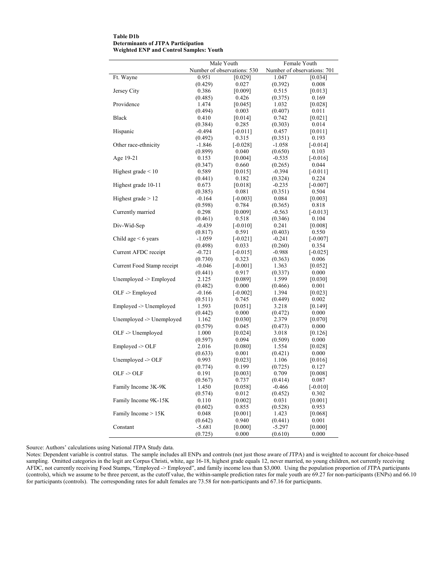### **Table D1b Determinants of JTPA Participation Weighted ENP and Control Samples: Youth**

| Number of observations: 530<br>Number of observations: 701<br>Ft. Wayne<br>0.951<br>1.047<br>[0.034]<br>[0.029]<br>(0.429)<br>0.027<br>(0.392)<br>0.008<br>Jersey City<br>0.386<br>[0.009]<br>0.515<br>[0.013]<br>(0.485)<br>0.426<br>(0.375)<br>0.169<br>Providence<br>1.474<br>[0.045]<br>1.032<br>[0.028]<br>(0.494)<br>(0.407)<br>0.003<br>0.011<br><b>Black</b><br>0.410<br>[0.014]<br>0.742<br>[0.021]<br>(0.384)<br>(0.303)<br>0.285<br>0.014<br>Hispanic<br>$-0.494$<br>$[-0.011]$<br>0.457<br>[0.011]<br>(0.492)<br>0.315<br>(0.351)<br>0.193<br>Other race-ethnicity<br>$-1.846$<br>$[-0.028]$<br>$-1.058$<br>$[-0.014]$<br>(0.899)<br>0.040<br>(0.650)<br>0.103<br>Age 19-21<br>0.153<br>[0.004]<br>$-0.535$<br>$[-0.016]$<br>0.660<br>(0.347)<br>(0.265)<br>0.044<br>Highest grade $\leq 10$<br>0.589<br>[0.015]<br>$-0.394$<br>$[-0.011]$<br>0.224<br>(0.441)<br>0.182<br>(0.324)<br>$-0.235$<br>Highest grade 10-11<br>0.673<br>[0.018]<br>$[-0.007]$<br>0.504<br>(0.385)<br>0.081<br>(0.351)<br>Highest grade $> 12$<br>$-0.164$<br>$[-0.003]$<br>0.084<br>[0.003]<br>(0.598)<br>0.784<br>0.818<br>(0.365)<br>Currently married<br>[0.009]<br>0.298<br>$-0.563$<br>$[-0.013]$<br>(0.461)<br>0.518<br>(0.346)<br>0.104<br>Div-Wid-Sep<br>$-0.439$<br>$[-0.010]$<br>0.241<br>[0.008]<br>0.591<br>(0.403)<br>0.550<br>(0.817)<br>Child age $\leq 6$ years<br>$-1.059$<br>$-0.241$<br>$[-0.021]$<br>$[-0.007]$<br>(0.498)<br>0.033<br>(0.260)<br>0.354<br>Current AFDC receipt<br>$-0.721$<br>$[-0.015]$<br>$-0.988$<br>$[-0.025]$<br>(0.730)<br>0.323<br>(0.363)<br>0.006<br>Current Food Stamp receipt<br>$-0.046$<br>$[-0.001]$<br>1.363<br>[0.052]<br>(0.441)<br>0.917<br>(0.337)<br>0.000<br>Unemployed -> Employed<br>2.125<br>1.599<br>[0.089]<br>[0.030]<br>(0.482)<br>0.000<br>(0.466)<br>0.001<br>$OLE$ -> Employed<br>$-0.166$<br>$[-0.002]$<br>1.394<br>[0.023]<br>0.745<br>(0.511)<br>(0.449)<br>0.002<br>Employed -> Unemployed<br>1.593<br>[0.051]<br>3.218<br>[0.149]<br>(0.442)<br>0.000<br>(0.472)<br>0.000<br>Unemployed -> Unemployed<br>1.162<br>2.379<br>[0.030]<br>[0.070]<br>(0.579)<br>0.045<br>(0.473)<br>0.000<br>$OLF \geq Unemployed$<br>1.000<br>[0.024]<br>3.018<br>[0.126]<br>0.094<br>(0.597)<br>(0.509)<br>0.000<br>$Emploved \ge OLF$<br>2.016<br>1.554<br>[0.080]<br>$[0.028]$<br>(0.633)<br>0.001<br>(0.421)<br>0.000<br>Unemployed $\sim$ OLF<br>0.993<br>1.106<br>[0.023]<br>[0.016]<br>(0.774)<br>0.199<br>(0.725)<br>0.127<br>$OLF \geq OLF$<br>0.191<br>[0.003]<br>0.709<br>[0.008]<br>0.737<br>(0.414)<br>0.087<br>(0.567)<br>Family Income 3K-9K<br>1.450<br>[0.058]<br>$-0.466$<br>$[-0.010]$<br>0.012<br>0.302<br>(0.574)<br>(0.452)<br>Family Income 9K-15K<br>0.110<br>[0.002]<br>0.031<br>[0.001]<br>(0.602)<br>0.855<br>(0.528)<br>0.953<br>Family Income > 15K<br>0.048<br>[0.001]<br>1.423<br>[0.068]<br>0.940<br>0.001<br>(0.642)<br>(0.441)<br>Constant<br>$-5.681$<br>[0.000]<br>$-5.297$<br>[0.000] | Male Youth |       | Female Youth |           |
|------------------------------------------------------------------------------------------------------------------------------------------------------------------------------------------------------------------------------------------------------------------------------------------------------------------------------------------------------------------------------------------------------------------------------------------------------------------------------------------------------------------------------------------------------------------------------------------------------------------------------------------------------------------------------------------------------------------------------------------------------------------------------------------------------------------------------------------------------------------------------------------------------------------------------------------------------------------------------------------------------------------------------------------------------------------------------------------------------------------------------------------------------------------------------------------------------------------------------------------------------------------------------------------------------------------------------------------------------------------------------------------------------------------------------------------------------------------------------------------------------------------------------------------------------------------------------------------------------------------------------------------------------------------------------------------------------------------------------------------------------------------------------------------------------------------------------------------------------------------------------------------------------------------------------------------------------------------------------------------------------------------------------------------------------------------------------------------------------------------------------------------------------------------------------------------------------------------------------------------------------------------------------------------------------------------------------------------------------------------------------------------------------------------------------------------------------------------------------------------------------------------------------------------------------------------------------------------------------------------------------------------------------------------------------------------------------------------------------------------------------------------------------------------------------------------------------------------------------------------------------------------------------------------------------------------------------------------------|------------|-------|--------------|-----------|
|                                                                                                                                                                                                                                                                                                                                                                                                                                                                                                                                                                                                                                                                                                                                                                                                                                                                                                                                                                                                                                                                                                                                                                                                                                                                                                                                                                                                                                                                                                                                                                                                                                                                                                                                                                                                                                                                                                                                                                                                                                                                                                                                                                                                                                                                                                                                                                                                                                                                                                                                                                                                                                                                                                                                                                                                                                                                                                                                                                        |            |       |              |           |
|                                                                                                                                                                                                                                                                                                                                                                                                                                                                                                                                                                                                                                                                                                                                                                                                                                                                                                                                                                                                                                                                                                                                                                                                                                                                                                                                                                                                                                                                                                                                                                                                                                                                                                                                                                                                                                                                                                                                                                                                                                                                                                                                                                                                                                                                                                                                                                                                                                                                                                                                                                                                                                                                                                                                                                                                                                                                                                                                                                        |            |       |              |           |
|                                                                                                                                                                                                                                                                                                                                                                                                                                                                                                                                                                                                                                                                                                                                                                                                                                                                                                                                                                                                                                                                                                                                                                                                                                                                                                                                                                                                                                                                                                                                                                                                                                                                                                                                                                                                                                                                                                                                                                                                                                                                                                                                                                                                                                                                                                                                                                                                                                                                                                                                                                                                                                                                                                                                                                                                                                                                                                                                                                        |            |       |              |           |
|                                                                                                                                                                                                                                                                                                                                                                                                                                                                                                                                                                                                                                                                                                                                                                                                                                                                                                                                                                                                                                                                                                                                                                                                                                                                                                                                                                                                                                                                                                                                                                                                                                                                                                                                                                                                                                                                                                                                                                                                                                                                                                                                                                                                                                                                                                                                                                                                                                                                                                                                                                                                                                                                                                                                                                                                                                                                                                                                                                        |            |       |              |           |
|                                                                                                                                                                                                                                                                                                                                                                                                                                                                                                                                                                                                                                                                                                                                                                                                                                                                                                                                                                                                                                                                                                                                                                                                                                                                                                                                                                                                                                                                                                                                                                                                                                                                                                                                                                                                                                                                                                                                                                                                                                                                                                                                                                                                                                                                                                                                                                                                                                                                                                                                                                                                                                                                                                                                                                                                                                                                                                                                                                        |            |       |              |           |
|                                                                                                                                                                                                                                                                                                                                                                                                                                                                                                                                                                                                                                                                                                                                                                                                                                                                                                                                                                                                                                                                                                                                                                                                                                                                                                                                                                                                                                                                                                                                                                                                                                                                                                                                                                                                                                                                                                                                                                                                                                                                                                                                                                                                                                                                                                                                                                                                                                                                                                                                                                                                                                                                                                                                                                                                                                                                                                                                                                        |            |       |              |           |
|                                                                                                                                                                                                                                                                                                                                                                                                                                                                                                                                                                                                                                                                                                                                                                                                                                                                                                                                                                                                                                                                                                                                                                                                                                                                                                                                                                                                                                                                                                                                                                                                                                                                                                                                                                                                                                                                                                                                                                                                                                                                                                                                                                                                                                                                                                                                                                                                                                                                                                                                                                                                                                                                                                                                                                                                                                                                                                                                                                        |            |       |              |           |
|                                                                                                                                                                                                                                                                                                                                                                                                                                                                                                                                                                                                                                                                                                                                                                                                                                                                                                                                                                                                                                                                                                                                                                                                                                                                                                                                                                                                                                                                                                                                                                                                                                                                                                                                                                                                                                                                                                                                                                                                                                                                                                                                                                                                                                                                                                                                                                                                                                                                                                                                                                                                                                                                                                                                                                                                                                                                                                                                                                        |            |       |              |           |
|                                                                                                                                                                                                                                                                                                                                                                                                                                                                                                                                                                                                                                                                                                                                                                                                                                                                                                                                                                                                                                                                                                                                                                                                                                                                                                                                                                                                                                                                                                                                                                                                                                                                                                                                                                                                                                                                                                                                                                                                                                                                                                                                                                                                                                                                                                                                                                                                                                                                                                                                                                                                                                                                                                                                                                                                                                                                                                                                                                        |            |       |              |           |
|                                                                                                                                                                                                                                                                                                                                                                                                                                                                                                                                                                                                                                                                                                                                                                                                                                                                                                                                                                                                                                                                                                                                                                                                                                                                                                                                                                                                                                                                                                                                                                                                                                                                                                                                                                                                                                                                                                                                                                                                                                                                                                                                                                                                                                                                                                                                                                                                                                                                                                                                                                                                                                                                                                                                                                                                                                                                                                                                                                        |            |       |              |           |
|                                                                                                                                                                                                                                                                                                                                                                                                                                                                                                                                                                                                                                                                                                                                                                                                                                                                                                                                                                                                                                                                                                                                                                                                                                                                                                                                                                                                                                                                                                                                                                                                                                                                                                                                                                                                                                                                                                                                                                                                                                                                                                                                                                                                                                                                                                                                                                                                                                                                                                                                                                                                                                                                                                                                                                                                                                                                                                                                                                        |            |       |              |           |
|                                                                                                                                                                                                                                                                                                                                                                                                                                                                                                                                                                                                                                                                                                                                                                                                                                                                                                                                                                                                                                                                                                                                                                                                                                                                                                                                                                                                                                                                                                                                                                                                                                                                                                                                                                                                                                                                                                                                                                                                                                                                                                                                                                                                                                                                                                                                                                                                                                                                                                                                                                                                                                                                                                                                                                                                                                                                                                                                                                        |            |       |              |           |
|                                                                                                                                                                                                                                                                                                                                                                                                                                                                                                                                                                                                                                                                                                                                                                                                                                                                                                                                                                                                                                                                                                                                                                                                                                                                                                                                                                                                                                                                                                                                                                                                                                                                                                                                                                                                                                                                                                                                                                                                                                                                                                                                                                                                                                                                                                                                                                                                                                                                                                                                                                                                                                                                                                                                                                                                                                                                                                                                                                        |            |       |              |           |
|                                                                                                                                                                                                                                                                                                                                                                                                                                                                                                                                                                                                                                                                                                                                                                                                                                                                                                                                                                                                                                                                                                                                                                                                                                                                                                                                                                                                                                                                                                                                                                                                                                                                                                                                                                                                                                                                                                                                                                                                                                                                                                                                                                                                                                                                                                                                                                                                                                                                                                                                                                                                                                                                                                                                                                                                                                                                                                                                                                        |            |       |              |           |
|                                                                                                                                                                                                                                                                                                                                                                                                                                                                                                                                                                                                                                                                                                                                                                                                                                                                                                                                                                                                                                                                                                                                                                                                                                                                                                                                                                                                                                                                                                                                                                                                                                                                                                                                                                                                                                                                                                                                                                                                                                                                                                                                                                                                                                                                                                                                                                                                                                                                                                                                                                                                                                                                                                                                                                                                                                                                                                                                                                        |            |       |              |           |
|                                                                                                                                                                                                                                                                                                                                                                                                                                                                                                                                                                                                                                                                                                                                                                                                                                                                                                                                                                                                                                                                                                                                                                                                                                                                                                                                                                                                                                                                                                                                                                                                                                                                                                                                                                                                                                                                                                                                                                                                                                                                                                                                                                                                                                                                                                                                                                                                                                                                                                                                                                                                                                                                                                                                                                                                                                                                                                                                                                        |            |       |              |           |
|                                                                                                                                                                                                                                                                                                                                                                                                                                                                                                                                                                                                                                                                                                                                                                                                                                                                                                                                                                                                                                                                                                                                                                                                                                                                                                                                                                                                                                                                                                                                                                                                                                                                                                                                                                                                                                                                                                                                                                                                                                                                                                                                                                                                                                                                                                                                                                                                                                                                                                                                                                                                                                                                                                                                                                                                                                                                                                                                                                        |            |       |              |           |
|                                                                                                                                                                                                                                                                                                                                                                                                                                                                                                                                                                                                                                                                                                                                                                                                                                                                                                                                                                                                                                                                                                                                                                                                                                                                                                                                                                                                                                                                                                                                                                                                                                                                                                                                                                                                                                                                                                                                                                                                                                                                                                                                                                                                                                                                                                                                                                                                                                                                                                                                                                                                                                                                                                                                                                                                                                                                                                                                                                        |            |       |              |           |
|                                                                                                                                                                                                                                                                                                                                                                                                                                                                                                                                                                                                                                                                                                                                                                                                                                                                                                                                                                                                                                                                                                                                                                                                                                                                                                                                                                                                                                                                                                                                                                                                                                                                                                                                                                                                                                                                                                                                                                                                                                                                                                                                                                                                                                                                                                                                                                                                                                                                                                                                                                                                                                                                                                                                                                                                                                                                                                                                                                        |            |       |              |           |
|                                                                                                                                                                                                                                                                                                                                                                                                                                                                                                                                                                                                                                                                                                                                                                                                                                                                                                                                                                                                                                                                                                                                                                                                                                                                                                                                                                                                                                                                                                                                                                                                                                                                                                                                                                                                                                                                                                                                                                                                                                                                                                                                                                                                                                                                                                                                                                                                                                                                                                                                                                                                                                                                                                                                                                                                                                                                                                                                                                        |            |       |              |           |
|                                                                                                                                                                                                                                                                                                                                                                                                                                                                                                                                                                                                                                                                                                                                                                                                                                                                                                                                                                                                                                                                                                                                                                                                                                                                                                                                                                                                                                                                                                                                                                                                                                                                                                                                                                                                                                                                                                                                                                                                                                                                                                                                                                                                                                                                                                                                                                                                                                                                                                                                                                                                                                                                                                                                                                                                                                                                                                                                                                        |            |       |              |           |
|                                                                                                                                                                                                                                                                                                                                                                                                                                                                                                                                                                                                                                                                                                                                                                                                                                                                                                                                                                                                                                                                                                                                                                                                                                                                                                                                                                                                                                                                                                                                                                                                                                                                                                                                                                                                                                                                                                                                                                                                                                                                                                                                                                                                                                                                                                                                                                                                                                                                                                                                                                                                                                                                                                                                                                                                                                                                                                                                                                        |            |       |              |           |
|                                                                                                                                                                                                                                                                                                                                                                                                                                                                                                                                                                                                                                                                                                                                                                                                                                                                                                                                                                                                                                                                                                                                                                                                                                                                                                                                                                                                                                                                                                                                                                                                                                                                                                                                                                                                                                                                                                                                                                                                                                                                                                                                                                                                                                                                                                                                                                                                                                                                                                                                                                                                                                                                                                                                                                                                                                                                                                                                                                        |            |       |              |           |
|                                                                                                                                                                                                                                                                                                                                                                                                                                                                                                                                                                                                                                                                                                                                                                                                                                                                                                                                                                                                                                                                                                                                                                                                                                                                                                                                                                                                                                                                                                                                                                                                                                                                                                                                                                                                                                                                                                                                                                                                                                                                                                                                                                                                                                                                                                                                                                                                                                                                                                                                                                                                                                                                                                                                                                                                                                                                                                                                                                        |            |       |              |           |
|                                                                                                                                                                                                                                                                                                                                                                                                                                                                                                                                                                                                                                                                                                                                                                                                                                                                                                                                                                                                                                                                                                                                                                                                                                                                                                                                                                                                                                                                                                                                                                                                                                                                                                                                                                                                                                                                                                                                                                                                                                                                                                                                                                                                                                                                                                                                                                                                                                                                                                                                                                                                                                                                                                                                                                                                                                                                                                                                                                        |            |       |              |           |
|                                                                                                                                                                                                                                                                                                                                                                                                                                                                                                                                                                                                                                                                                                                                                                                                                                                                                                                                                                                                                                                                                                                                                                                                                                                                                                                                                                                                                                                                                                                                                                                                                                                                                                                                                                                                                                                                                                                                                                                                                                                                                                                                                                                                                                                                                                                                                                                                                                                                                                                                                                                                                                                                                                                                                                                                                                                                                                                                                                        |            |       |              |           |
|                                                                                                                                                                                                                                                                                                                                                                                                                                                                                                                                                                                                                                                                                                                                                                                                                                                                                                                                                                                                                                                                                                                                                                                                                                                                                                                                                                                                                                                                                                                                                                                                                                                                                                                                                                                                                                                                                                                                                                                                                                                                                                                                                                                                                                                                                                                                                                                                                                                                                                                                                                                                                                                                                                                                                                                                                                                                                                                                                                        |            |       |              |           |
|                                                                                                                                                                                                                                                                                                                                                                                                                                                                                                                                                                                                                                                                                                                                                                                                                                                                                                                                                                                                                                                                                                                                                                                                                                                                                                                                                                                                                                                                                                                                                                                                                                                                                                                                                                                                                                                                                                                                                                                                                                                                                                                                                                                                                                                                                                                                                                                                                                                                                                                                                                                                                                                                                                                                                                                                                                                                                                                                                                        |            |       |              |           |
|                                                                                                                                                                                                                                                                                                                                                                                                                                                                                                                                                                                                                                                                                                                                                                                                                                                                                                                                                                                                                                                                                                                                                                                                                                                                                                                                                                                                                                                                                                                                                                                                                                                                                                                                                                                                                                                                                                                                                                                                                                                                                                                                                                                                                                                                                                                                                                                                                                                                                                                                                                                                                                                                                                                                                                                                                                                                                                                                                                        |            |       |              |           |
|                                                                                                                                                                                                                                                                                                                                                                                                                                                                                                                                                                                                                                                                                                                                                                                                                                                                                                                                                                                                                                                                                                                                                                                                                                                                                                                                                                                                                                                                                                                                                                                                                                                                                                                                                                                                                                                                                                                                                                                                                                                                                                                                                                                                                                                                                                                                                                                                                                                                                                                                                                                                                                                                                                                                                                                                                                                                                                                                                                        |            |       |              |           |
|                                                                                                                                                                                                                                                                                                                                                                                                                                                                                                                                                                                                                                                                                                                                                                                                                                                                                                                                                                                                                                                                                                                                                                                                                                                                                                                                                                                                                                                                                                                                                                                                                                                                                                                                                                                                                                                                                                                                                                                                                                                                                                                                                                                                                                                                                                                                                                                                                                                                                                                                                                                                                                                                                                                                                                                                                                                                                                                                                                        |            |       |              |           |
|                                                                                                                                                                                                                                                                                                                                                                                                                                                                                                                                                                                                                                                                                                                                                                                                                                                                                                                                                                                                                                                                                                                                                                                                                                                                                                                                                                                                                                                                                                                                                                                                                                                                                                                                                                                                                                                                                                                                                                                                                                                                                                                                                                                                                                                                                                                                                                                                                                                                                                                                                                                                                                                                                                                                                                                                                                                                                                                                                                        |            |       |              |           |
|                                                                                                                                                                                                                                                                                                                                                                                                                                                                                                                                                                                                                                                                                                                                                                                                                                                                                                                                                                                                                                                                                                                                                                                                                                                                                                                                                                                                                                                                                                                                                                                                                                                                                                                                                                                                                                                                                                                                                                                                                                                                                                                                                                                                                                                                                                                                                                                                                                                                                                                                                                                                                                                                                                                                                                                                                                                                                                                                                                        |            |       |              |           |
|                                                                                                                                                                                                                                                                                                                                                                                                                                                                                                                                                                                                                                                                                                                                                                                                                                                                                                                                                                                                                                                                                                                                                                                                                                                                                                                                                                                                                                                                                                                                                                                                                                                                                                                                                                                                                                                                                                                                                                                                                                                                                                                                                                                                                                                                                                                                                                                                                                                                                                                                                                                                                                                                                                                                                                                                                                                                                                                                                                        |            |       |              |           |
|                                                                                                                                                                                                                                                                                                                                                                                                                                                                                                                                                                                                                                                                                                                                                                                                                                                                                                                                                                                                                                                                                                                                                                                                                                                                                                                                                                                                                                                                                                                                                                                                                                                                                                                                                                                                                                                                                                                                                                                                                                                                                                                                                                                                                                                                                                                                                                                                                                                                                                                                                                                                                                                                                                                                                                                                                                                                                                                                                                        |            |       |              |           |
|                                                                                                                                                                                                                                                                                                                                                                                                                                                                                                                                                                                                                                                                                                                                                                                                                                                                                                                                                                                                                                                                                                                                                                                                                                                                                                                                                                                                                                                                                                                                                                                                                                                                                                                                                                                                                                                                                                                                                                                                                                                                                                                                                                                                                                                                                                                                                                                                                                                                                                                                                                                                                                                                                                                                                                                                                                                                                                                                                                        |            |       |              |           |
|                                                                                                                                                                                                                                                                                                                                                                                                                                                                                                                                                                                                                                                                                                                                                                                                                                                                                                                                                                                                                                                                                                                                                                                                                                                                                                                                                                                                                                                                                                                                                                                                                                                                                                                                                                                                                                                                                                                                                                                                                                                                                                                                                                                                                                                                                                                                                                                                                                                                                                                                                                                                                                                                                                                                                                                                                                                                                                                                                                        |            |       |              |           |
|                                                                                                                                                                                                                                                                                                                                                                                                                                                                                                                                                                                                                                                                                                                                                                                                                                                                                                                                                                                                                                                                                                                                                                                                                                                                                                                                                                                                                                                                                                                                                                                                                                                                                                                                                                                                                                                                                                                                                                                                                                                                                                                                                                                                                                                                                                                                                                                                                                                                                                                                                                                                                                                                                                                                                                                                                                                                                                                                                                        |            |       |              |           |
|                                                                                                                                                                                                                                                                                                                                                                                                                                                                                                                                                                                                                                                                                                                                                                                                                                                                                                                                                                                                                                                                                                                                                                                                                                                                                                                                                                                                                                                                                                                                                                                                                                                                                                                                                                                                                                                                                                                                                                                                                                                                                                                                                                                                                                                                                                                                                                                                                                                                                                                                                                                                                                                                                                                                                                                                                                                                                                                                                                        |            |       |              |           |
|                                                                                                                                                                                                                                                                                                                                                                                                                                                                                                                                                                                                                                                                                                                                                                                                                                                                                                                                                                                                                                                                                                                                                                                                                                                                                                                                                                                                                                                                                                                                                                                                                                                                                                                                                                                                                                                                                                                                                                                                                                                                                                                                                                                                                                                                                                                                                                                                                                                                                                                                                                                                                                                                                                                                                                                                                                                                                                                                                                        |            |       |              |           |
|                                                                                                                                                                                                                                                                                                                                                                                                                                                                                                                                                                                                                                                                                                                                                                                                                                                                                                                                                                                                                                                                                                                                                                                                                                                                                                                                                                                                                                                                                                                                                                                                                                                                                                                                                                                                                                                                                                                                                                                                                                                                                                                                                                                                                                                                                                                                                                                                                                                                                                                                                                                                                                                                                                                                                                                                                                                                                                                                                                        |            |       |              |           |
|                                                                                                                                                                                                                                                                                                                                                                                                                                                                                                                                                                                                                                                                                                                                                                                                                                                                                                                                                                                                                                                                                                                                                                                                                                                                                                                                                                                                                                                                                                                                                                                                                                                                                                                                                                                                                                                                                                                                                                                                                                                                                                                                                                                                                                                                                                                                                                                                                                                                                                                                                                                                                                                                                                                                                                                                                                                                                                                                                                        |            |       |              |           |
|                                                                                                                                                                                                                                                                                                                                                                                                                                                                                                                                                                                                                                                                                                                                                                                                                                                                                                                                                                                                                                                                                                                                                                                                                                                                                                                                                                                                                                                                                                                                                                                                                                                                                                                                                                                                                                                                                                                                                                                                                                                                                                                                                                                                                                                                                                                                                                                                                                                                                                                                                                                                                                                                                                                                                                                                                                                                                                                                                                        |            |       |              |           |
|                                                                                                                                                                                                                                                                                                                                                                                                                                                                                                                                                                                                                                                                                                                                                                                                                                                                                                                                                                                                                                                                                                                                                                                                                                                                                                                                                                                                                                                                                                                                                                                                                                                                                                                                                                                                                                                                                                                                                                                                                                                                                                                                                                                                                                                                                                                                                                                                                                                                                                                                                                                                                                                                                                                                                                                                                                                                                                                                                                        |            |       |              |           |
|                                                                                                                                                                                                                                                                                                                                                                                                                                                                                                                                                                                                                                                                                                                                                                                                                                                                                                                                                                                                                                                                                                                                                                                                                                                                                                                                                                                                                                                                                                                                                                                                                                                                                                                                                                                                                                                                                                                                                                                                                                                                                                                                                                                                                                                                                                                                                                                                                                                                                                                                                                                                                                                                                                                                                                                                                                                                                                                                                                        |            |       |              |           |
|                                                                                                                                                                                                                                                                                                                                                                                                                                                                                                                                                                                                                                                                                                                                                                                                                                                                                                                                                                                                                                                                                                                                                                                                                                                                                                                                                                                                                                                                                                                                                                                                                                                                                                                                                                                                                                                                                                                                                                                                                                                                                                                                                                                                                                                                                                                                                                                                                                                                                                                                                                                                                                                                                                                                                                                                                                                                                                                                                                        |            |       |              |           |
|                                                                                                                                                                                                                                                                                                                                                                                                                                                                                                                                                                                                                                                                                                                                                                                                                                                                                                                                                                                                                                                                                                                                                                                                                                                                                                                                                                                                                                                                                                                                                                                                                                                                                                                                                                                                                                                                                                                                                                                                                                                                                                                                                                                                                                                                                                                                                                                                                                                                                                                                                                                                                                                                                                                                                                                                                                                                                                                                                                        |            |       |              |           |
|                                                                                                                                                                                                                                                                                                                                                                                                                                                                                                                                                                                                                                                                                                                                                                                                                                                                                                                                                                                                                                                                                                                                                                                                                                                                                                                                                                                                                                                                                                                                                                                                                                                                                                                                                                                                                                                                                                                                                                                                                                                                                                                                                                                                                                                                                                                                                                                                                                                                                                                                                                                                                                                                                                                                                                                                                                                                                                                                                                        |            |       |              |           |
|                                                                                                                                                                                                                                                                                                                                                                                                                                                                                                                                                                                                                                                                                                                                                                                                                                                                                                                                                                                                                                                                                                                                                                                                                                                                                                                                                                                                                                                                                                                                                                                                                                                                                                                                                                                                                                                                                                                                                                                                                                                                                                                                                                                                                                                                                                                                                                                                                                                                                                                                                                                                                                                                                                                                                                                                                                                                                                                                                                        |            |       |              |           |
|                                                                                                                                                                                                                                                                                                                                                                                                                                                                                                                                                                                                                                                                                                                                                                                                                                                                                                                                                                                                                                                                                                                                                                                                                                                                                                                                                                                                                                                                                                                                                                                                                                                                                                                                                                                                                                                                                                                                                                                                                                                                                                                                                                                                                                                                                                                                                                                                                                                                                                                                                                                                                                                                                                                                                                                                                                                                                                                                                                        |            |       |              |           |
|                                                                                                                                                                                                                                                                                                                                                                                                                                                                                                                                                                                                                                                                                                                                                                                                                                                                                                                                                                                                                                                                                                                                                                                                                                                                                                                                                                                                                                                                                                                                                                                                                                                                                                                                                                                                                                                                                                                                                                                                                                                                                                                                                                                                                                                                                                                                                                                                                                                                                                                                                                                                                                                                                                                                                                                                                                                                                                                                                                        |            |       |              |           |
|                                                                                                                                                                                                                                                                                                                                                                                                                                                                                                                                                                                                                                                                                                                                                                                                                                                                                                                                                                                                                                                                                                                                                                                                                                                                                                                                                                                                                                                                                                                                                                                                                                                                                                                                                                                                                                                                                                                                                                                                                                                                                                                                                                                                                                                                                                                                                                                                                                                                                                                                                                                                                                                                                                                                                                                                                                                                                                                                                                        |            |       |              |           |
|                                                                                                                                                                                                                                                                                                                                                                                                                                                                                                                                                                                                                                                                                                                                                                                                                                                                                                                                                                                                                                                                                                                                                                                                                                                                                                                                                                                                                                                                                                                                                                                                                                                                                                                                                                                                                                                                                                                                                                                                                                                                                                                                                                                                                                                                                                                                                                                                                                                                                                                                                                                                                                                                                                                                                                                                                                                                                                                                                                        |            |       |              |           |
|                                                                                                                                                                                                                                                                                                                                                                                                                                                                                                                                                                                                                                                                                                                                                                                                                                                                                                                                                                                                                                                                                                                                                                                                                                                                                                                                                                                                                                                                                                                                                                                                                                                                                                                                                                                                                                                                                                                                                                                                                                                                                                                                                                                                                                                                                                                                                                                                                                                                                                                                                                                                                                                                                                                                                                                                                                                                                                                                                                        |            |       |              |           |
|                                                                                                                                                                                                                                                                                                                                                                                                                                                                                                                                                                                                                                                                                                                                                                                                                                                                                                                                                                                                                                                                                                                                                                                                                                                                                                                                                                                                                                                                                                                                                                                                                                                                                                                                                                                                                                                                                                                                                                                                                                                                                                                                                                                                                                                                                                                                                                                                                                                                                                                                                                                                                                                                                                                                                                                                                                                                                                                                                                        |            |       |              |           |
|                                                                                                                                                                                                                                                                                                                                                                                                                                                                                                                                                                                                                                                                                                                                                                                                                                                                                                                                                                                                                                                                                                                                                                                                                                                                                                                                                                                                                                                                                                                                                                                                                                                                                                                                                                                                                                                                                                                                                                                                                                                                                                                                                                                                                                                                                                                                                                                                                                                                                                                                                                                                                                                                                                                                                                                                                                                                                                                                                                        | (0.725)    | 0.000 | (0.610)      | $0.000\,$ |

Source: Authors' calculations using National JTPA Study data.

Notes: Dependent variable is control status. The sample includes all ENPs and controls (not just those aware of JTPA) and is weighted to account for choice-based sampling. Omitted categories in the logit are Corpus Christi, white, age 16-18, highest grade equals 12, never married, no young children, not currently receiving AFDC, not currently receiving Food Stamps, "Employed -> Employed", and family income less than \$3,000. Using the population proportion of JTPA participants (controls), which we assume to be three percent, as the cutoff value, the within-sample prediction rates for male youth are 69.27 for non-participants (ENPs) and 66.10 for participants (controls). The corresponding rates for adult females are 73.58 for non-participants and 67.16 for participants.